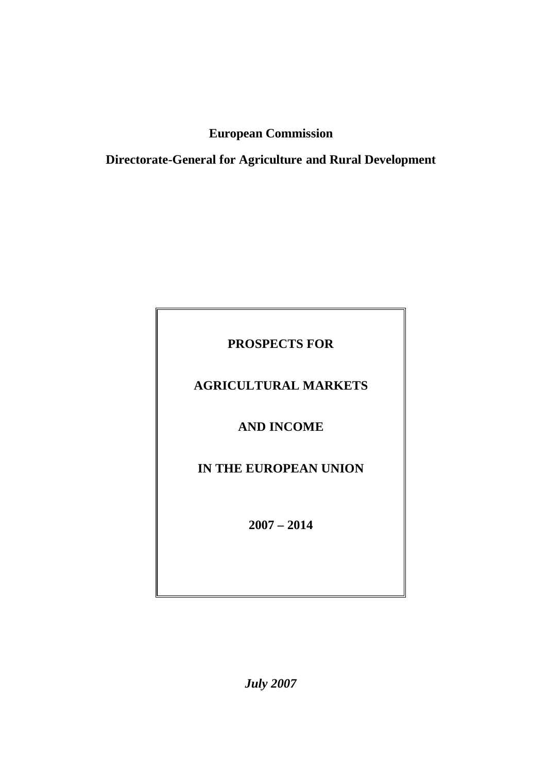# **European Commission**

**Directorate-General for Agriculture and Rural Development**

# **PROSPECTS FOR**

## **AGRICULTURAL MARKETS**

## **AND INCOME**

# **IN THE EUROPEAN UNION**

**2007 – 2014**

*July 2007*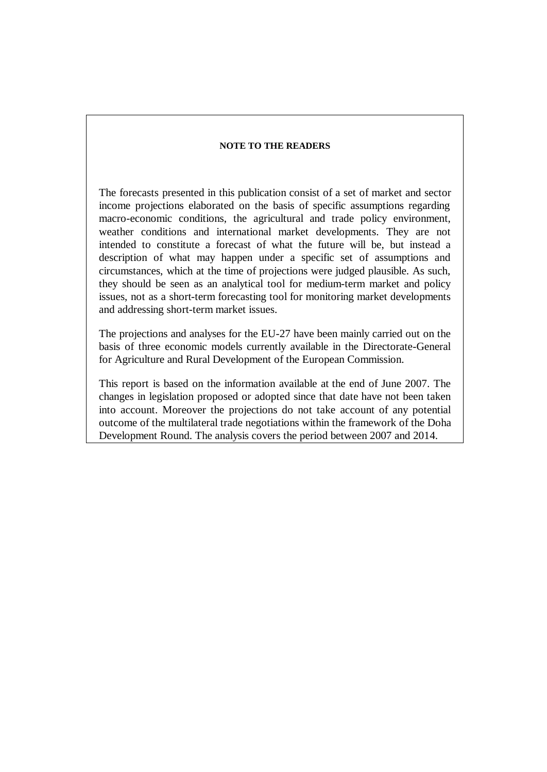#### **NOTE TO THE READERS**

The forecasts presented in this publication consist of a set of market and sector income projections elaborated on the basis of specific assumptions regarding macro-economic conditions, the agricultural and trade policy environment, weather conditions and international market developments. They are not intended to constitute a forecast of what the future will be, but instead a description of what may happen under a specific set of assumptions and circumstances, which at the time of projections were judged plausible. As such, they should be seen as an analytical tool for medium-term market and policy issues, not as a short-term forecasting tool for monitoring market developments and addressing short-term market issues.

The projections and analyses for the EU-27 have been mainly carried out on the basis of three economic models currently available in the Directorate-General for Agriculture and Rural Development of the European Commission.

This report is based on the information available at the end of June 2007. The changes in legislation proposed or adopted since that date have not been taken into account. Moreover the projections do not take account of any potential outcome of the multilateral trade negotiations within the framework of the Doha Development Round. The analysis covers the period between 2007 and 2014.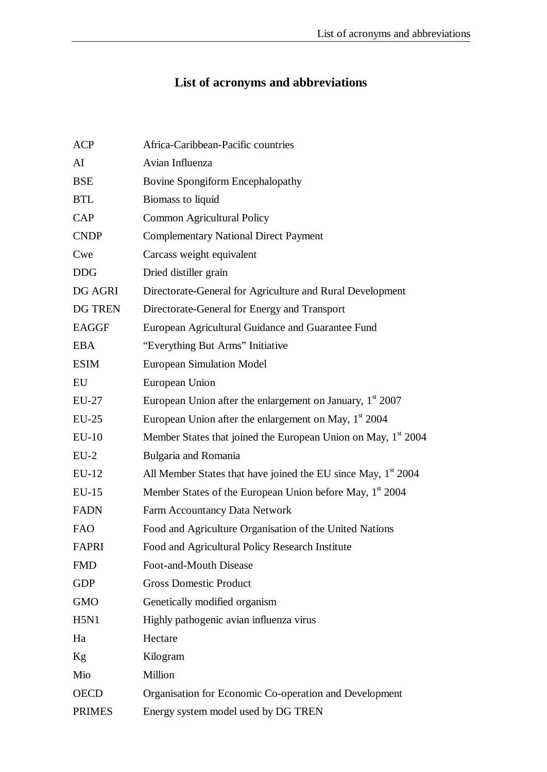# **List of acronyms and abbreviations**

| <b>ACP</b>     | Africa-Caribbean-Pacific countries                                        |
|----------------|---------------------------------------------------------------------------|
| AI             | Avian Influenza                                                           |
| <b>BSE</b>     | Bovine Spongiform Encephalopathy                                          |
| <b>BTL</b>     | Biomass to liquid                                                         |
| CAP            | Common Agricultural Policy                                                |
| <b>CNDP</b>    | <b>Complementary National Direct Payment</b>                              |
| Cwe            | Carcass weight equivalent                                                 |
| <b>DDG</b>     | Dried distiller grain                                                     |
| DG AGRI        | Directorate-General for Agriculture and Rural Development                 |
| <b>DG TREN</b> | Directorate-General for Energy and Transport                              |
| <b>EAGGF</b>   | European Agricultural Guidance and Guarantee Fund                         |
| <b>EBA</b>     | "Everything But Arms" Initiative                                          |
| <b>ESIM</b>    | <b>European Simulation Model</b>                                          |
| EU             | European Union                                                            |
| EU-27          | European Union after the enlargement on January, $1st 2007$               |
| $EU-25$        | European Union after the enlargement on May, $1st 2004$                   |
| <b>EU-10</b>   | Member States that joined the European Union on May, 1 <sup>st</sup> 2004 |
| $EU-2$         | Bulgaria and Romania                                                      |
| EU-12          | All Member States that have joined the EU since May, $1st$ 2004           |
| $EU-15$        | Member States of the European Union before May, 1 <sup>st</sup> 2004      |
| <b>FADN</b>    | Farm Accountancy Data Network                                             |
| <b>FAO</b>     | Food and Agriculture Organisation of the United Nations                   |
| FAPRI          | Food and Agricultural Policy Research Institute                           |
| <b>FMD</b>     | Foot-and-Mouth Disease                                                    |
| <b>GDP</b>     | <b>Gross Domestic Product</b>                                             |
| <b>GMO</b>     | Genetically modified organism                                             |
| <b>H5N1</b>    | Highly pathogenic avian influenza virus                                   |
| Ha             | Hectare                                                                   |
| Kg             | Kilogram                                                                  |
| Mio            | Million                                                                   |
| <b>OECD</b>    | Organisation for Economic Co-operation and Development                    |
| <b>PRIMES</b>  | Energy system model used by DG TREN                                       |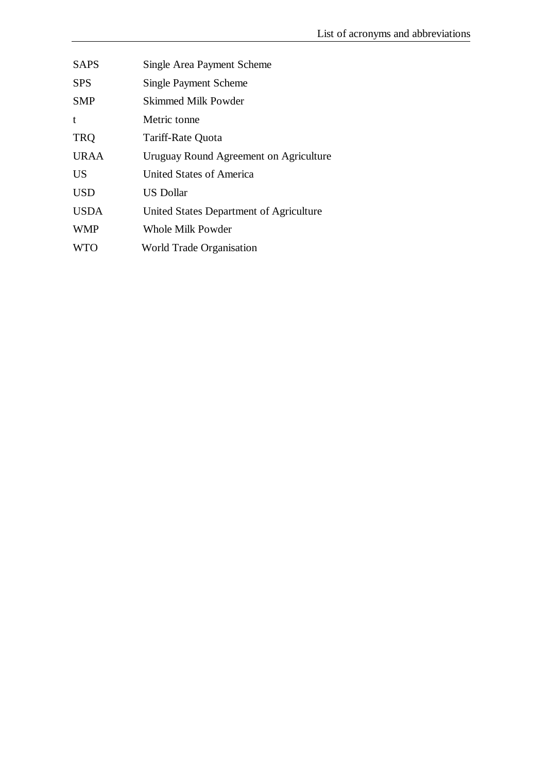| <b>SAPS</b> | Single Area Payment Scheme              |
|-------------|-----------------------------------------|
| <b>SPS</b>  | <b>Single Payment Scheme</b>            |
| <b>SMP</b>  | Skimmed Milk Powder                     |
| t           | Metric tonne                            |
| <b>TRQ</b>  | Tariff-Rate Quota                       |
| <b>URAA</b> | Uruguay Round Agreement on Agriculture  |
| <b>US</b>   | United States of America                |
| <b>USD</b>  | <b>US Dollar</b>                        |
| <b>USDA</b> | United States Department of Agriculture |
| <b>WMP</b>  | <b>Whole Milk Powder</b>                |
| <b>WTO</b>  | <b>World Trade Organisation</b>         |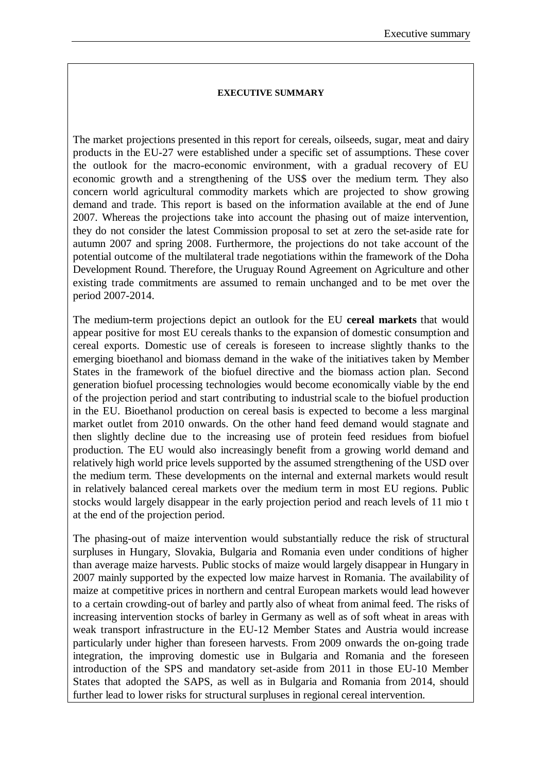#### **EXECUTIVE SUMMARY**

The market projections presented in this report for cereals, oilseeds, sugar, meat and dairy products in the EU-27 were established under a specific set of assumptions. These cover the outlook for the macro-economic environment, with a gradual recovery of EU economic growth and a strengthening of the US\$ over the medium term. They also concern world agricultural commodity markets which are projected to show growing demand and trade. This report is based on the information available at the end of June 2007. Whereas the projections take into account the phasing out of maize intervention, they do not consider the latest Commission proposal to set at zero the set-aside rate for autumn 2007 and spring 2008. Furthermore, the projections do not take account of the potential outcome of the multilateral trade negotiations within the framework of the Doha Development Round. Therefore, the Uruguay Round Agreement on Agriculture and other existing trade commitments are assumed to remain unchanged and to be met over the period 2007-2014.

The medium-term projections depict an outlook for the EU **cereal markets** that would appear positive for most EU cereals thanks to the expansion of domestic consumption and cereal exports. Domestic use of cereals is foreseen to increase slightly thanks to the emerging bioethanol and biomass demand in the wake of the initiatives taken by Member States in the framework of the biofuel directive and the biomass action plan. Second generation biofuel processing technologies would become economically viable by the end of the projection period and start contributing to industrial scale to the biofuel production in the EU. Bioethanol production on cereal basis is expected to become a less marginal market outlet from 2010 onwards. On the other hand feed demand would stagnate and then slightly decline due to the increasing use of protein feed residues from biofuel production. The EU would also increasingly benefit from a growing world demand and relatively high world price levels supported by the assumed strengthening of the USD over the medium term. These developments on the internal and external markets would result in relatively balanced cereal markets over the medium term in most EU regions. Public stocks would largely disappear in the early projection period and reach levels of 11 mio t at the end of the projection period.

The phasing-out of maize intervention would substantially reduce the risk of structural surpluses in Hungary, Slovakia, Bulgaria and Romania even under conditions of higher than average maize harvests. Public stocks of maize would largely disappear in Hungary in 2007 mainly supported by the expected low maize harvest in Romania. The availability of maize at competitive prices in northern and central European markets would lead however to a certain crowding-out of barley and partly also of wheat from animal feed. The risks of increasing intervention stocks of barley in Germany as well as of soft wheat in areas with weak transport infrastructure in the EU-12 Member States and Austria would increase particularly under higher than foreseen harvests. From 2009 onwards the on-going trade integration, the improving domestic use in Bulgaria and Romania and the foreseen introduction of the SPS and mandatory set-aside from 2011 in those EU-10 Member States that adopted the SAPS, as well as in Bulgaria and Romania from 2014, should further lead to lower risks for structural surpluses in regional cereal intervention.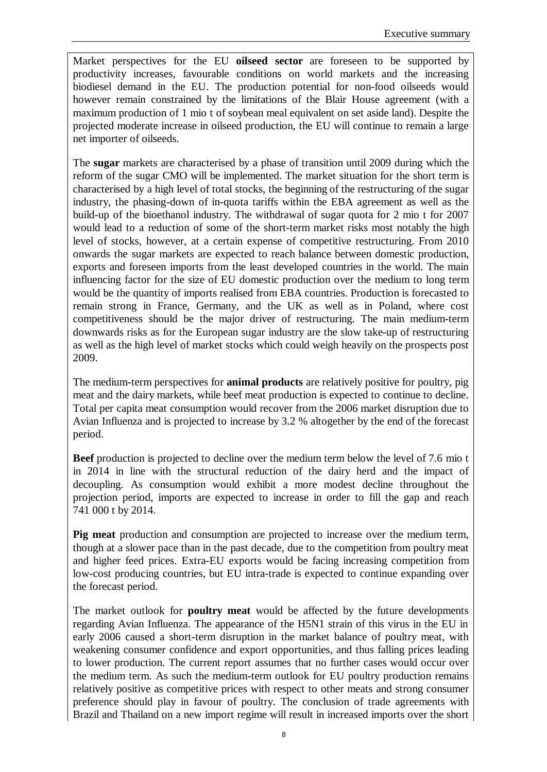Market perspectives for the EU **oilseed sector** are foreseen to be supported by productivity increases, favourable conditions on world markets and the increasing biodiesel demand in the EU. The production potential for non-food oilseeds would however remain constrained by the limitations of the Blair House agreement (with a maximum production of 1 mio t of soybean meal equivalent on set aside land). Despite the projected moderate increase in oilseed production, the EU will continue to remain a large net importer of oilseeds.

The **sugar** markets are characterised by a phase of transition until 2009 during which the reform of the sugar CMO will be implemented. The market situation for the short term is characterised by a high level of total stocks, the beginning of the restructuring of the sugar industry, the phasing-down of in-quota tariffs within the EBA agreement as well as the build-up of the bioethanol industry. The withdrawal of sugar quota for 2 mio t for 2007 would lead to a reduction of some of the short-term market risks most notably the high level of stocks, however, at a certain expense of competitive restructuring. From 2010 onwards the sugar markets are expected to reach balance between domestic production, exports and foreseen imports from the least developed countries in the world. The main influencing factor for the size of EU domestic production over the medium to long term would be the quantity of imports realised from EBA countries. Production is forecasted to remain strong in France, Germany, and the UK as well as in Poland, where cost competitiveness should be the major driver of restructuring. The main medium-term downwards risks as for the European sugar industry are the slow take-up of restructuring as well as the high level of market stocks which could weigh heavily on the prospects post 2009.

The medium-term perspectives for **animal products** are relatively positive for poultry, pig meat and the dairy markets, while beef meat production is expected to continue to decline. Total per capita meat consumption would recover from the 2006 market disruption due to Avian Influenza and is projected to increase by 3.2 % altogether by the end of the forecast period.

**Beef** production is projected to decline over the medium term below the level of 7.6 mio t in 2014 in line with the structural reduction of the dairy herd and the impact of decoupling. As consumption would exhibit a more modest decline throughout the projection period, imports are expected to increase in order to fill the gap and reach 741 000 t by 2014.

**Pig meat** production and consumption are projected to increase over the medium term, though at a slower pace than in the past decade, due to the competition from poultry meat and higher feed prices. Extra-EU exports would be facing increasing competition from low-cost producing countries, but EU intra-trade is expected to continue expanding over the forecast period.

The market outlook for **poultry meat** would be affected by the future developments regarding Avian Influenza. The appearance of the H5N1 strain of this virus in the EU in early 2006 caused a short-term disruption in the market balance of poultry meat, with weakening consumer confidence and export opportunities, and thus falling prices leading to lower production. The current report assumes that no further cases would occur over the medium term. As such the medium-term outlook for EU poultry production remains relatively positive as competitive prices with respect to other meats and strong consumer preference should play in favour of poultry. The conclusion of trade agreements with Brazil and Thailand on a new import regime will result in increased imports over the short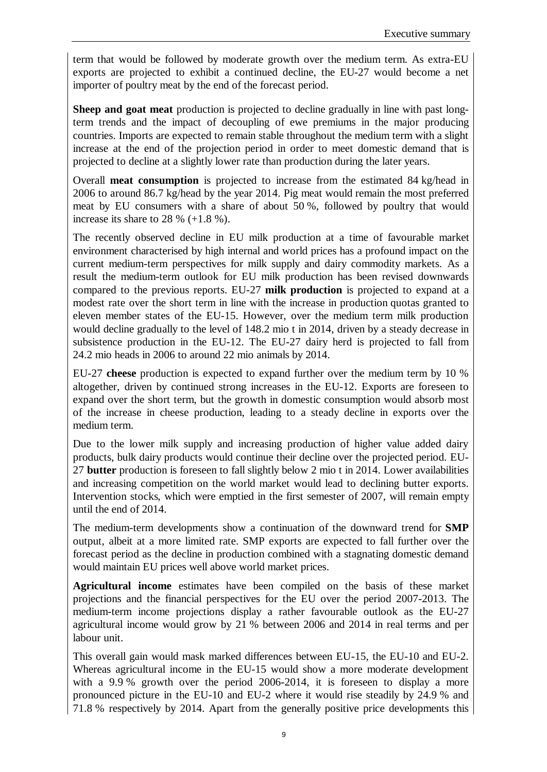term that would be followed by moderate growth over the medium term. As extra-EU exports are projected to exhibit a continued decline, the EU-27 would become a net importer of poultry meat by the end of the forecast period.

**Sheep and goat meat** production is projected to decline gradually in line with past longterm trends and the impact of decoupling of ewe premiums in the major producing countries. Imports are expected to remain stable throughout the medium term with a slight increase at the end of the projection period in order to meet domestic demand that is projected to decline at a slightly lower rate than production during the later years.

Overall **meat consumption** is projected to increase from the estimated 84 kg/head in 2006 to around 86.7 kg/head by the year 2014. Pig meat would remain the most preferred meat by EU consumers with a share of about 50 %, followed by poultry that would increase its share to 28 %  $(+1.8 \%)$ .

The recently observed decline in EU milk production at a time of favourable market environment characterised by high internal and world prices has a profound impact on the current medium-term perspectives for milk supply and dairy commodity markets. As a result the medium-term outlook for EU milk production has been revised downwards compared to the previous reports. EU-27 **milk production** is projected to expand at a modest rate over the short term in line with the increase in production quotas granted to eleven member states of the EU-15. However, over the medium term milk production would decline gradually to the level of 148.2 mio t in 2014, driven by a steady decrease in subsistence production in the EU-12. The EU-27 dairy herd is projected to fall from 24.2 mio heads in 2006 to around 22 mio animals by 2014.

EU-27 **cheese** production is expected to expand further over the medium term by 10 % altogether, driven by continued strong increases in the EU-12. Exports are foreseen to expand over the short term, but the growth in domestic consumption would absorb most of the increase in cheese production, leading to a steady decline in exports over the medium term.

Due to the lower milk supply and increasing production of higher value added dairy products, bulk dairy products would continue their decline over the projected period. EU-27 **butter** production is foreseen to fall slightly below 2 mio t in 2014. Lower availabilities and increasing competition on the world market would lead to declining butter exports. Intervention stocks, which were emptied in the first semester of 2007, will remain empty until the end of 2014.

The medium-term developments show a continuation of the downward trend for **SMP** output, albeit at a more limited rate. SMP exports are expected to fall further over the forecast period as the decline in production combined with a stagnating domestic demand would maintain EU prices well above world market prices.

**Agricultural income** estimates have been compiled on the basis of these market projections and the financial perspectives for the EU over the period 2007-2013. The medium-term income projections display a rather favourable outlook as the EU-27 agricultural income would grow by 21 % between 2006 and 2014 in real terms and per labour unit.

This overall gain would mask marked differences between EU-15, the EU-10 and EU-2. Whereas agricultural income in the EU-15 would show a more moderate development with a 9.9 % growth over the period 2006-2014, it is foreseen to display a more pronounced picture in the EU-10 and EU-2 where it would rise steadily by 24.9 % and 71.8 % respectively by 2014. Apart from the generally positive price developments this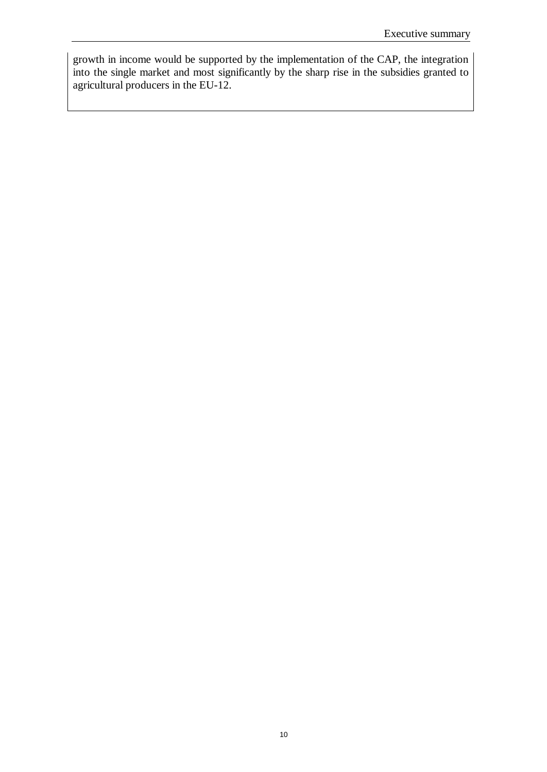growth in income would be supported by the implementation of the CAP, the integration into the single market and most significantly by the sharp rise in the subsidies granted to agricultural producers in the EU-12.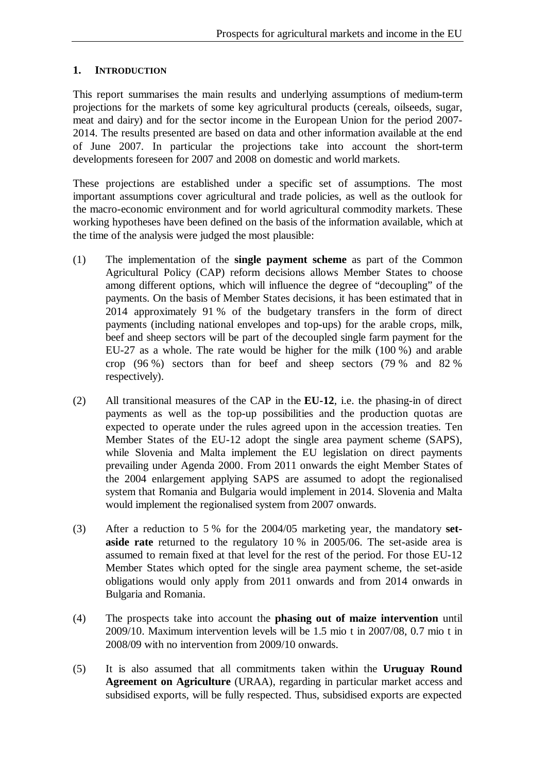#### **1. INTRODUCTION**

This report summarises the main results and underlying assumptions of medium-term projections for the markets of some key agricultural products (cereals, oilseeds, sugar, meat and dairy) and for the sector income in the European Union for the period 2007- 2014. The results presented are based on data and other information available at the end of June 2007. In particular the projections take into account the short-term developments foreseen for 2007 and 2008 on domestic and world markets.

These projections are established under a specific set of assumptions. The most important assumptions cover agricultural and trade policies, as well as the outlook for the macro-economic environment and for world agricultural commodity markets. These working hypotheses have been defined on the basis of the information available, which at the time of the analysis were judged the most plausible:

- (1) The implementation of the **single payment scheme** as part of the Common Agricultural Policy (CAP) reform decisions allows Member States to choose among different options, which will influence the degree of "decoupling" of the payments. On the basis of Member States decisions, it has been estimated that in 2014 approximately 91 % of the budgetary transfers in the form of direct payments (including national envelopes and top-ups) for the arable crops, milk, beef and sheep sectors will be part of the decoupled single farm payment for the EU-27 as a whole. The rate would be higher for the milk (100 %) and arable crop (96 %) sectors than for beef and sheep sectors (79 % and 82 % respectively).
- (2) All transitional measures of the CAP in the **EU-12**, i.e. the phasing-in of direct payments as well as the top-up possibilities and the production quotas are expected to operate under the rules agreed upon in the accession treaties. Ten Member States of the EU-12 adopt the single area payment scheme (SAPS), while Slovenia and Malta implement the EU legislation on direct payments prevailing under Agenda 2000. From 2011 onwards the eight Member States of the 2004 enlargement applying SAPS are assumed to adopt the regionalised system that Romania and Bulgaria would implement in 2014. Slovenia and Malta would implement the regionalised system from 2007 onwards.
- (3) After a reduction to 5 % for the 2004/05 marketing year, the mandatory **setaside rate** returned to the regulatory 10 % in 2005/06. The set-aside area is assumed to remain fixed at that level for the rest of the period. For those EU-12 Member States which opted for the single area payment scheme, the set-aside obligations would only apply from 2011 onwards and from 2014 onwards in Bulgaria and Romania.
- (4) The prospects take into account the **phasing out of maize intervention** until 2009/10. Maximum intervention levels will be 1.5 mio t in 2007/08, 0.7 mio t in 2008/09 with no intervention from 2009/10 onwards.
- (5) It is also assumed that all commitments taken within the **Uruguay Round Agreement on Agriculture** (URAA), regarding in particular market access and subsidised exports, will be fully respected. Thus, subsidised exports are expected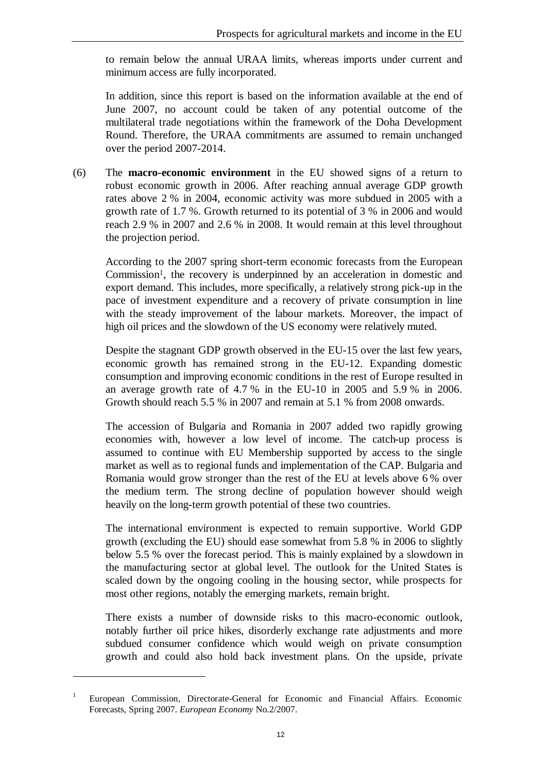to remain below the annual URAA limits, whereas imports under current and minimum access are fully incorporated.

In addition, since this report is based on the information available at the end of June 2007, no account could be taken of any potential outcome of the multilateral trade negotiations within the framework of the Doha Development Round. Therefore, the URAA commitments are assumed to remain unchanged over the period 2007-2014.

(6) The **macro-economic environment** in the EU showed signs of a return to robust economic growth in 2006. After reaching annual average GDP growth rates above 2 % in 2004, economic activity was more subdued in 2005 with a growth rate of 1.7 %. Growth returned to its potential of 3 % in 2006 and would reach 2.9 % in 2007 and 2.6 % in 2008. It would remain at this level throughout the projection period.

According to the 2007 spring short-term economic forecasts from the European Commission<sup>1</sup>, the recovery is underpinned by an acceleration in domestic and export demand. This includes, more specifically, a relatively strong pick-up in the pace of investment expenditure and a recovery of private consumption in line with the steady improvement of the labour markets. Moreover, the impact of high oil prices and the slowdown of the US economy were relatively muted.

Despite the stagnant GDP growth observed in the EU-15 over the last few years, economic growth has remained strong in the EU-12. Expanding domestic consumption and improving economic conditions in the rest of Europe resulted in an average growth rate of 4.7 % in the EU-10 in 2005 and 5.9 % in 2006. Growth should reach 5.5 % in 2007 and remain at 5.1 % from 2008 onwards.

The accession of Bulgaria and Romania in 2007 added two rapidly growing economies with, however a low level of income. The catch-up process is assumed to continue with EU Membership supported by access to the single market as well as to regional funds and implementation of the CAP. Bulgaria and Romania would grow stronger than the rest of the EU at levels above 6 % over the medium term. The strong decline of population however should weigh heavily on the long-term growth potential of these two countries.

The international environment is expected to remain supportive. World GDP growth (excluding the EU) should ease somewhat from 5.8 % in 2006 to slightly below 5.5 % over the forecast period. This is mainly explained by a slowdown in the manufacturing sector at global level. The outlook for the United States is scaled down by the ongoing cooling in the housing sector, while prospects for most other regions, notably the emerging markets, remain bright.

There exists a number of downside risks to this macro-economic outlook, notably further oil price hikes, disorderly exchange rate adjustments and more subdued consumer confidence which would weigh on private consumption growth and could also hold back investment plans. On the upside, private

 $\overline{a}$ 

<sup>1</sup> European Commission, Directorate-General for Economic and Financial Affairs. Economic Forecasts, Spring 2007. *European Economy* No.2/2007.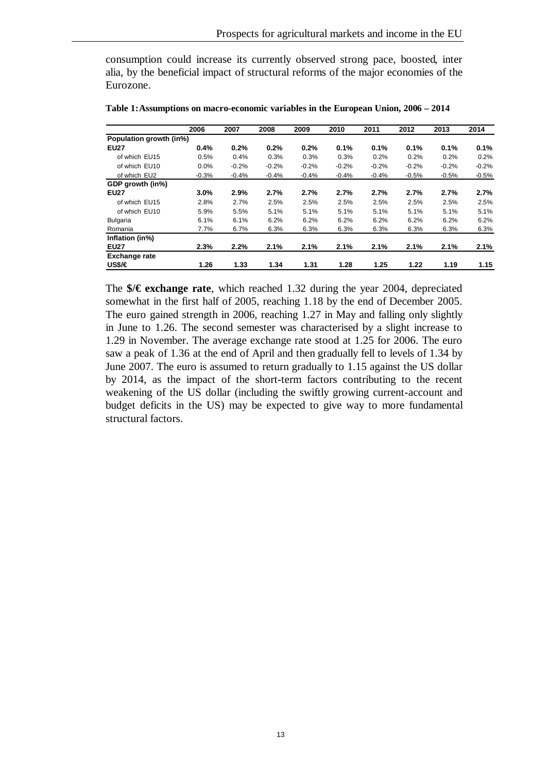consumption could increase its currently observed strong pace, boosted, inter alia, by the beneficial impact of structural reforms of the major economies of the Eurozone.

|                         | 2006    | 2007    | 2008    | 2009    | 2010    | 2011    | 2012    | 2013    | 2014    |
|-------------------------|---------|---------|---------|---------|---------|---------|---------|---------|---------|
| Population growth (in%) |         |         |         |         |         |         |         |         |         |
| <b>EU27</b>             | 0.4%    | 0.2%    | 0.2%    | 0.2%    | 0.1%    | 0.1%    | 0.1%    | 0.1%    | 0.1%    |
| of which EU15           | 0.5%    | 0.4%    | 0.3%    | 0.3%    | 0.3%    | 0.2%    | 0.2%    | 0.2%    | 0.2%    |
| of which EU10           | 0.0%    | $-0.2%$ | $-0.2%$ | $-0.2%$ | $-0.2%$ | $-0.2%$ | $-0.2%$ | $-0.2%$ | $-0.2%$ |
| of which EU2            | $-0.3%$ | $-0.4%$ | $-0.4%$ | $-0.4%$ | $-0.4%$ | $-0.4%$ | $-0.5%$ | $-0.5%$ | $-0.5%$ |
| GDP growth (in%)        |         |         |         |         |         |         |         |         |         |
| <b>EU27</b>             | 3.0%    | 2.9%    | 2.7%    | 2.7%    | 2.7%    | 2.7%    | 2.7%    | 2.7%    | 2.7%    |
| of which EU15           | 2.8%    | 2.7%    | 2.5%    | 2.5%    | 2.5%    | 2.5%    | 2.5%    | 2.5%    | 2.5%    |
| of which EU10           | 5.9%    | 5.5%    | 5.1%    | 5.1%    | 5.1%    | 5.1%    | 5.1%    | 5.1%    | 5.1%    |
| <b>Bulgaria</b>         | 6.1%    | 6.1%    | 6.2%    | 6.2%    | 6.2%    | 6.2%    | 6.2%    | 6.2%    | 6.2%    |
| Romania                 | 7.7%    | 6.7%    | 6.3%    | 6.3%    | 6.3%    | 6.3%    | 6.3%    | 6.3%    | 6.3%    |
| Inflation (in%)         |         |         |         |         |         |         |         |         |         |
| <b>EU27</b>             | 2.3%    | 2.2%    | 2.1%    | 2.1%    | 2.1%    | 2.1%    | 2.1%    | 2.1%    | 2.1%    |
| <b>Exchange rate</b>    |         |         |         |         |         |         |         |         |         |
| US\$/€                  | 1.26    | 1.33    | 1.34    | 1.31    | 1.28    | 1.25    | 1.22    | 1.19    | 1.15    |

**Table 1:Assumptions on macro-economic variables in the European Union, 2006 – 2014**

The **\$/€ exchange rate**, which reached 1.32 during the year 2004, depreciated somewhat in the first half of 2005, reaching 1.18 by the end of December 2005. The euro gained strength in 2006, reaching 1.27 in May and falling only slightly in June to 1.26. The second semester was characterised by a slight increase to 1.29 in November. The average exchange rate stood at 1.25 for 2006. The euro saw a peak of 1.36 at the end of April and then gradually fell to levels of 1.34 by June 2007. The euro is assumed to return gradually to 1.15 against the US dollar by 2014, as the impact of the short-term factors contributing to the recent weakening of the US dollar (including the swiftly growing current-account and budget deficits in the US) may be expected to give way to more fundamental structural factors.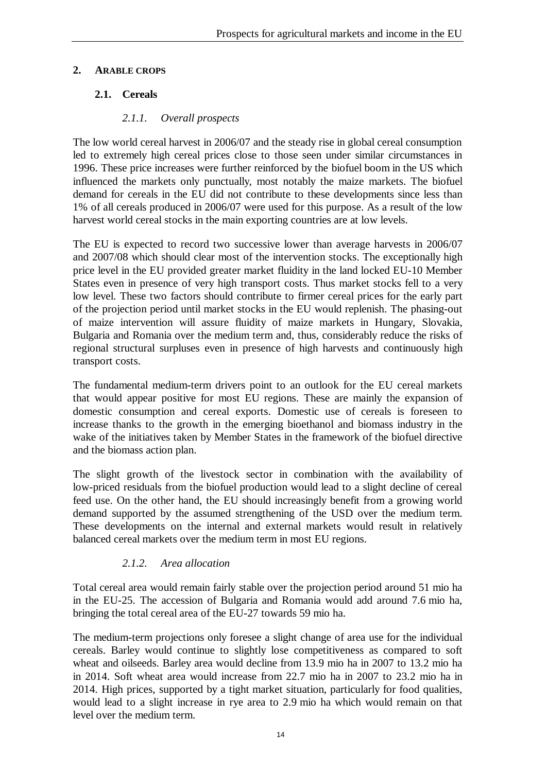#### **2. ARABLE CROPS**

## **2.1. Cereals**

### *2.1.1. Overall prospects*

The low world cereal harvest in 2006/07 and the steady rise in global cereal consumption led to extremely high cereal prices close to those seen under similar circumstances in 1996. These price increases were further reinforced by the biofuel boom in the US which influenced the markets only punctually, most notably the maize markets. The biofuel demand for cereals in the EU did not contribute to these developments since less than 1% of all cereals produced in 2006/07 were used for this purpose. As a result of the low harvest world cereal stocks in the main exporting countries are at low levels.

The EU is expected to record two successive lower than average harvests in 2006/07 and 2007/08 which should clear most of the intervention stocks. The exceptionally high price level in the EU provided greater market fluidity in the land locked EU-10 Member States even in presence of very high transport costs. Thus market stocks fell to a very low level. These two factors should contribute to firmer cereal prices for the early part of the projection period until market stocks in the EU would replenish. The phasing-out of maize intervention will assure fluidity of maize markets in Hungary, Slovakia, Bulgaria and Romania over the medium term and, thus, considerably reduce the risks of regional structural surpluses even in presence of high harvests and continuously high transport costs.

The fundamental medium-term drivers point to an outlook for the EU cereal markets that would appear positive for most EU regions. These are mainly the expansion of domestic consumption and cereal exports. Domestic use of cereals is foreseen to increase thanks to the growth in the emerging bioethanol and biomass industry in the wake of the initiatives taken by Member States in the framework of the biofuel directive and the biomass action plan.

The slight growth of the livestock sector in combination with the availability of low-priced residuals from the biofuel production would lead to a slight decline of cereal feed use. On the other hand, the EU should increasingly benefit from a growing world demand supported by the assumed strengthening of the USD over the medium term. These developments on the internal and external markets would result in relatively balanced cereal markets over the medium term in most EU regions.

## *2.1.2. Area allocation*

Total cereal area would remain fairly stable over the projection period around 51 mio ha in the EU-25. The accession of Bulgaria and Romania would add around 7.6 mio ha, bringing the total cereal area of the EU-27 towards 59 mio ha.

The medium-term projections only foresee a slight change of area use for the individual cereals. Barley would continue to slightly lose competitiveness as compared to soft wheat and oilseeds. Barley area would decline from 13.9 mio ha in 2007 to 13.2 mio ha in 2014. Soft wheat area would increase from 22.7 mio ha in 2007 to 23.2 mio ha in 2014. High prices, supported by a tight market situation, particularly for food qualities, would lead to a slight increase in rye area to 2.9 mio ha which would remain on that level over the medium term.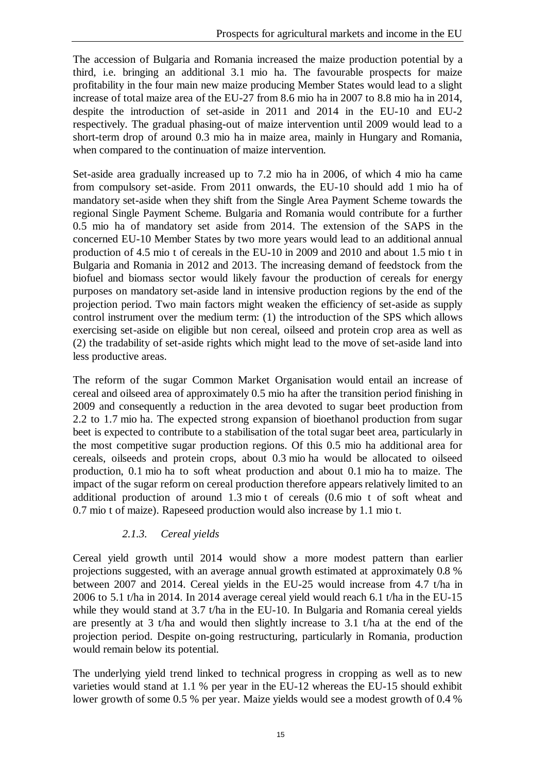The accession of Bulgaria and Romania increased the maize production potential by a third, i.e. bringing an additional 3.1 mio ha. The favourable prospects for maize profitability in the four main new maize producing Member States would lead to a slight increase of total maize area of the EU-27 from 8.6 mio ha in 2007 to 8.8 mio ha in 2014, despite the introduction of set-aside in 2011 and 2014 in the EU-10 and EU-2 respectively. The gradual phasing-out of maize intervention until 2009 would lead to a short-term drop of around 0.3 mio ha in maize area, mainly in Hungary and Romania, when compared to the continuation of maize intervention.

Set-aside area gradually increased up to 7.2 mio ha in 2006, of which 4 mio ha came from compulsory set-aside. From 2011 onwards, the EU-10 should add 1 mio ha of mandatory set-aside when they shift from the Single Area Payment Scheme towards the regional Single Payment Scheme. Bulgaria and Romania would contribute for a further 0.5 mio ha of mandatory set aside from 2014. The extension of the SAPS in the concerned EU-10 Member States by two more years would lead to an additional annual production of 4.5 mio t of cereals in the EU-10 in 2009 and 2010 and about 1.5 mio t in Bulgaria and Romania in 2012 and 2013. The increasing demand of feedstock from the biofuel and biomass sector would likely favour the production of cereals for energy purposes on mandatory set-aside land in intensive production regions by the end of the projection period. Two main factors might weaken the efficiency of set-aside as supply control instrument over the medium term: (1) the introduction of the SPS which allows exercising set-aside on eligible but non cereal, oilseed and protein crop area as well as (2) the tradability of set-aside rights which might lead to the move of set-aside land into less productive areas.

The reform of the sugar Common Market Organisation would entail an increase of cereal and oilseed area of approximately 0.5 mio ha after the transition period finishing in 2009 and consequently a reduction in the area devoted to sugar beet production from 2.2 to 1.7 mio ha. The expected strong expansion of bioethanol production from sugar beet is expected to contribute to a stabilisation of the total sugar beet area, particularly in the most competitive sugar production regions. Of this 0.5 mio ha additional area for cereals, oilseeds and protein crops, about 0.3 mio ha would be allocated to oilseed production, 0.1 mio ha to soft wheat production and about 0.1 mio ha to maize. The impact of the sugar reform on cereal production therefore appears relatively limited to an additional production of around 1.3 mio t of cereals (0.6 mio t of soft wheat and 0.7 mio t of maize). Rapeseed production would also increase by 1.1 mio t.

## *2.1.3. Cereal yields*

Cereal yield growth until 2014 would show a more modest pattern than earlier projections suggested, with an average annual growth estimated at approximately 0.8 % between 2007 and 2014. Cereal yields in the EU-25 would increase from 4.7 t/ha in 2006 to 5.1 t/ha in 2014. In 2014 average cereal yield would reach 6.1 t/ha in the EU-15 while they would stand at 3.7 t/ha in the EU-10. In Bulgaria and Romania cereal yields are presently at 3 t/ha and would then slightly increase to 3.1 t/ha at the end of the projection period. Despite on-going restructuring, particularly in Romania, production would remain below its potential.

The underlying yield trend linked to technical progress in cropping as well as to new varieties would stand at 1.1 % per year in the EU-12 whereas the EU-15 should exhibit lower growth of some 0.5 % per year. Maize yields would see a modest growth of 0.4 %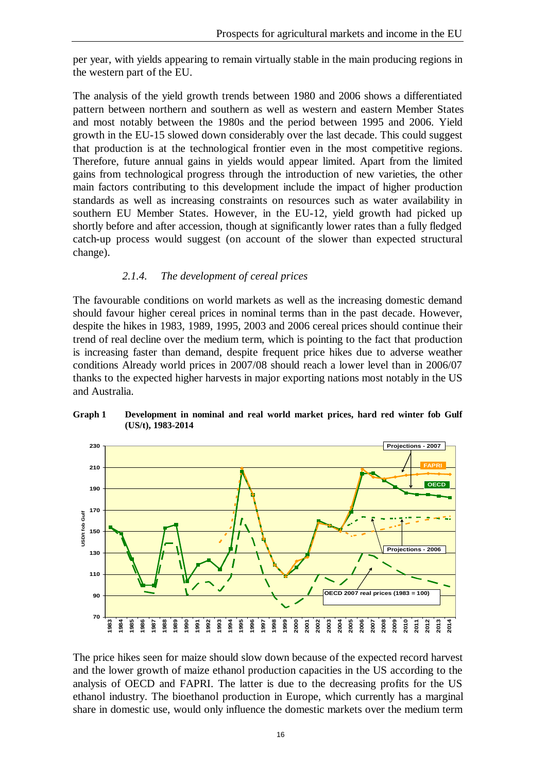per year, with yields appearing to remain virtually stable in the main producing regions in the western part of the EU.

The analysis of the yield growth trends between 1980 and 2006 shows a differentiated pattern between northern and southern as well as western and eastern Member States and most notably between the 1980s and the period between 1995 and 2006. Yield growth in the EU-15 slowed down considerably over the last decade. This could suggest that production is at the technological frontier even in the most competitive regions. Therefore, future annual gains in yields would appear limited. Apart from the limited gains from technological progress through the introduction of new varieties, the other main factors contributing to this development include the impact of higher production standards as well as increasing constraints on resources such as water availability in southern EU Member States. However, in the EU-12, yield growth had picked up shortly before and after accession, though at significantly lower rates than a fully fledged catch-up process would suggest (on account of the slower than expected structural change).

#### *2.1.4. The development of cereal prices*

The favourable conditions on world markets as well as the increasing domestic demand should favour higher cereal prices in nominal terms than in the past decade. However, despite the hikes in 1983, 1989, 1995, 2003 and 2006 cereal prices should continue their trend of real decline over the medium term, which is pointing to the fact that production is increasing faster than demand, despite frequent price hikes due to adverse weather conditions Already world prices in 2007/08 should reach a lower level than in 2006/07 thanks to the expected higher harvests in major exporting nations most notably in the US and Australia.





The price hikes seen for maize should slow down because of the expected record harvest and the lower growth of maize ethanol production capacities in the US according to the analysis of OECD and FAPRI. The latter is due to the decreasing profits for the US ethanol industry. The bioethanol production in Europe, which currently has a marginal share in domestic use, would only influence the domestic markets over the medium term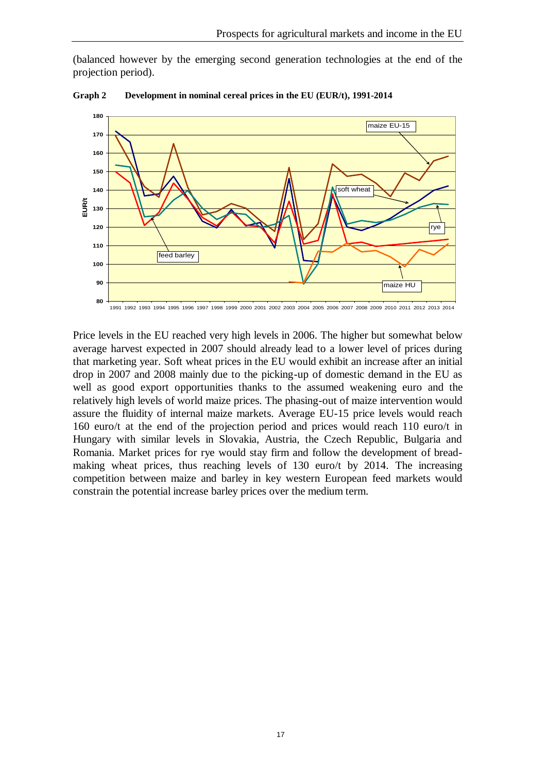(balanced however by the emerging second generation technologies at the end of the projection period).



**Graph 2 Development in nominal cereal prices in the EU (EUR/t), 1991-2014**

Price levels in the EU reached very high levels in 2006. The higher but somewhat below average harvest expected in 2007 should already lead to a lower level of prices during that marketing year. Soft wheat prices in the EU would exhibit an increase after an initial drop in 2007 and 2008 mainly due to the picking-up of domestic demand in the EU as well as good export opportunities thanks to the assumed weakening euro and the relatively high levels of world maize prices. The phasing-out of maize intervention would assure the fluidity of internal maize markets. Average EU-15 price levels would reach 160 euro/t at the end of the projection period and prices would reach 110 euro/t in Hungary with similar levels in Slovakia, Austria, the Czech Republic, Bulgaria and Romania. Market prices for rye would stay firm and follow the development of breadmaking wheat prices, thus reaching levels of 130 euro/t by 2014. The increasing competition between maize and barley in key western European feed markets would constrain the potential increase barley prices over the medium term.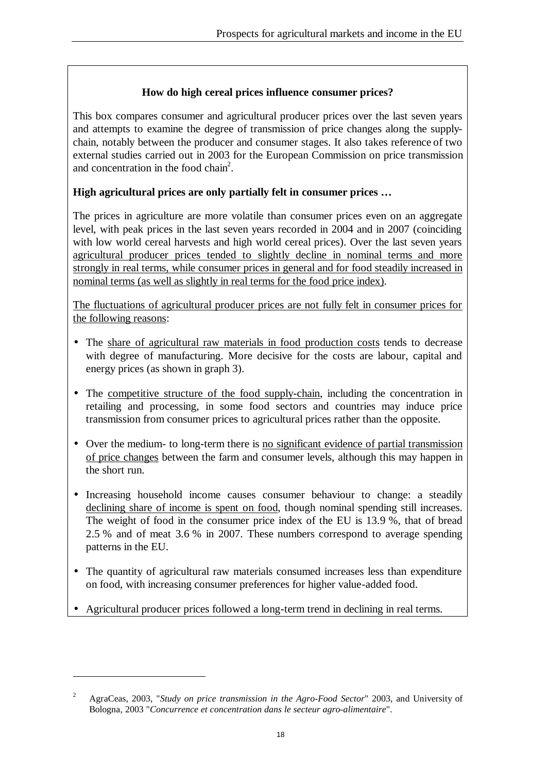## **How do high cereal prices influence consumer prices?**

This box compares consumer and agricultural producer prices over the last seven years and attempts to examine the degree of transmission of price changes along the supplychain, notably between the producer and consumer stages. It also takes reference of two external studies carried out in 2003 for the European Commission on price transmission and concentration in the food chain<sup>2</sup>.

## **High agricultural prices are only partially felt in consumer prices …**

The prices in agriculture are more volatile than consumer prices even on an aggregate level, with peak prices in the last seven years recorded in 2004 and in 2007 (coinciding with low world cereal harvests and high world cereal prices). Over the last seven years agricultural producer prices tended to slightly decline in nominal terms and more strongly in real terms, while consumer prices in general and for food steadily increased in nominal terms (as well as slightly in real terms for the food price index).

The fluctuations of agricultural producer prices are not fully felt in consumer prices for the following reasons:

- The share of agricultural raw materials in food production costs tends to decrease with degree of manufacturing. More decisive for the costs are labour, capital and energy prices (as shown in graph 3).
- The competitive structure of the food supply-chain, including the concentration in retailing and processing, in some food sectors and countries may induce price transmission from consumer prices to agricultural prices rather than the opposite.
- Over the medium- to long-term there is no significant evidence of partial transmission of price changes between the farm and consumer levels, although this may happen in the short run.
- Increasing household income causes consumer behaviour to change: a steadily declining share of income is spent on food, though nominal spending still increases. The weight of food in the consumer price index of the EU is 13.9 %, that of bread 2.5 % and of meat 3.6 % in 2007. These numbers correspond to average spending patterns in the EU.
- The quantity of agricultural raw materials consumed increases less than expenditure on food, with increasing consumer preferences for higher value-added food.
- Agricultural producer prices followed a long-term trend in declining in real terms.

 $\overline{a}$ 

<sup>2</sup> AgraCeas, 2003, "*Study on price transmission in the Agro-Food Sector*" 2003, and University of Bologna, 2003 "*Concurrence et concentration dans le secteur agro-alimentaire*".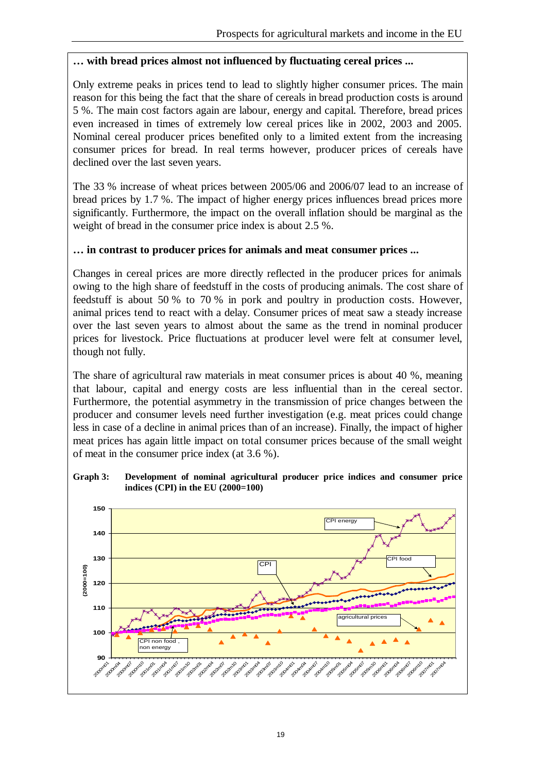#### **… with bread prices almost not influenced by fluctuating cereal prices ...**

Only extreme peaks in prices tend to lead to slightly higher consumer prices. The main reason for this being the fact that the share of cereals in bread production costs is around 5 %. The main cost factors again are labour, energy and capital. Therefore, bread prices even increased in times of extremely low cereal prices like in 2002, 2003 and 2005. Nominal cereal producer prices benefited only to a limited extent from the increasing consumer prices for bread. In real terms however, producer prices of cereals have declined over the last seven years.

The 33 % increase of wheat prices between 2005/06 and 2006/07 lead to an increase of bread prices by 1.7 %. The impact of higher energy prices influences bread prices more significantly. Furthermore, the impact on the overall inflation should be marginal as the weight of bread in the consumer price index is about 2.5 %.

#### **… in contrast to producer prices for animals and meat consumer prices ...**

Changes in cereal prices are more directly reflected in the producer prices for animals owing to the high share of feedstuff in the costs of producing animals. The cost share of feedstuff is about 50 % to 70 % in pork and poultry in production costs. However, animal prices tend to react with a delay. Consumer prices of meat saw a steady increase over the last seven years to almost about the same as the trend in nominal producer prices for livestock. Price fluctuations at producer level were felt at consumer level, though not fully.

The share of agricultural raw materials in meat consumer prices is about 40 %, meaning that labour, capital and energy costs are less influential than in the cereal sector. Furthermore, the potential asymmetry in the transmission of price changes between the producer and consumer levels need further investigation (e.g. meat prices could change less in case of a decline in animal prices than of an increase). Finally, the impact of higher meat prices has again little impact on total consumer prices because of the small weight of meat in the consumer price index (at 3.6 %).

#### **Graph 3: Development of nominal agricultural producer price indices and consumer price indices (CPI) in the EU (2000=100)**

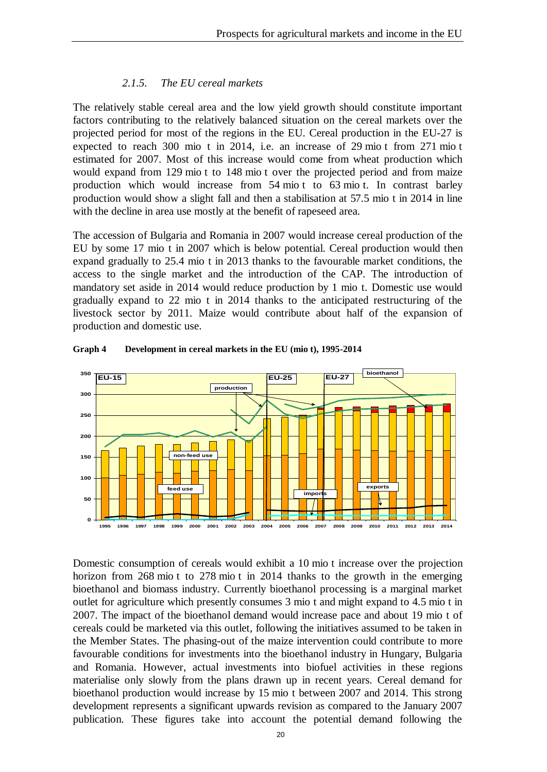#### *2.1.5. The EU cereal markets*

The relatively stable cereal area and the low yield growth should constitute important factors contributing to the relatively balanced situation on the cereal markets over the projected period for most of the regions in the EU. Cereal production in the EU-27 is expected to reach 300 mio t in 2014, i.e. an increase of 29 mio t from 271 mio t estimated for 2007. Most of this increase would come from wheat production which would expand from 129 mio t to 148 mio t over the projected period and from maize production which would increase from 54 mio t to 63 mio t. In contrast barley production would show a slight fall and then a stabilisation at 57.5 mio t in 2014 in line with the decline in area use mostly at the benefit of rapeseed area.

The accession of Bulgaria and Romania in 2007 would increase cereal production of the EU by some 17 mio t in 2007 which is below potential. Cereal production would then expand gradually to 25.4 mio t in 2013 thanks to the favourable market conditions, the access to the single market and the introduction of the CAP. The introduction of mandatory set aside in 2014 would reduce production by 1 mio t. Domestic use would gradually expand to 22 mio t in 2014 thanks to the anticipated restructuring of the livestock sector by 2011. Maize would contribute about half of the expansion of production and domestic use.



**Graph 4 Development in cereal markets in the EU (mio t), 1995-2014**

Domestic consumption of cereals would exhibit a 10 mio t increase over the projection horizon from 268 mio t to 278 mio t in 2014 thanks to the growth in the emerging bioethanol and biomass industry. Currently bioethanol processing is a marginal market outlet for agriculture which presently consumes 3 mio t and might expand to 4.5 mio t in 2007. The impact of the bioethanol demand would increase pace and about 19 mio t of cereals could be marketed via this outlet, following the initiatives assumed to be taken in the Member States. The phasing-out of the maize intervention could contribute to more favourable conditions for investments into the bioethanol industry in Hungary, Bulgaria and Romania. However, actual investments into biofuel activities in these regions materialise only slowly from the plans drawn up in recent years. Cereal demand for bioethanol production would increase by 15 mio t between 2007 and 2014. This strong development represents a significant upwards revision as compared to the January 2007 publication. These figures take into account the potential demand following the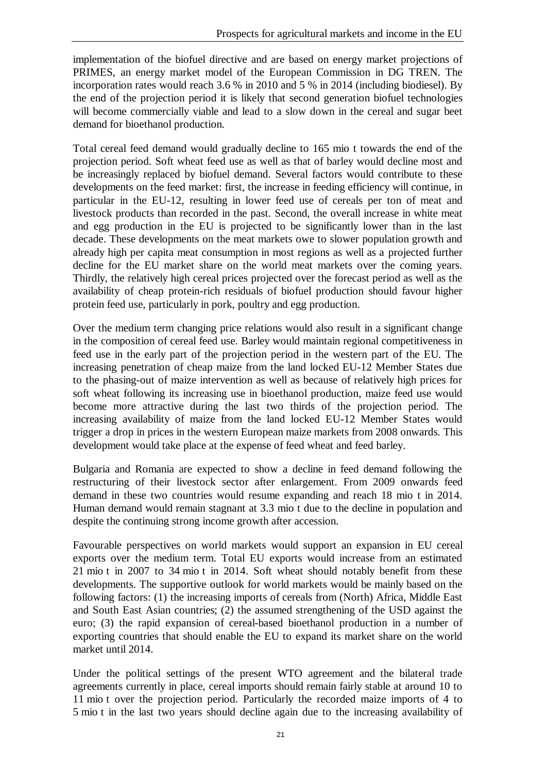implementation of the biofuel directive and are based on energy market projections of PRIMES, an energy market model of the European Commission in DG TREN. The incorporation rates would reach 3.6 % in 2010 and 5 % in 2014 (including biodiesel). By the end of the projection period it is likely that second generation biofuel technologies will become commercially viable and lead to a slow down in the cereal and sugar beet demand for bioethanol production.

Total cereal feed demand would gradually decline to 165 mio t towards the end of the projection period. Soft wheat feed use as well as that of barley would decline most and be increasingly replaced by biofuel demand. Several factors would contribute to these developments on the feed market: first, the increase in feeding efficiency will continue, in particular in the EU-12, resulting in lower feed use of cereals per ton of meat and livestock products than recorded in the past. Second, the overall increase in white meat and egg production in the EU is projected to be significantly lower than in the last decade. These developments on the meat markets owe to slower population growth and already high per capita meat consumption in most regions as well as a projected further decline for the EU market share on the world meat markets over the coming years. Thirdly, the relatively high cereal prices projected over the forecast period as well as the availability of cheap protein-rich residuals of biofuel production should favour higher protein feed use, particularly in pork, poultry and egg production.

Over the medium term changing price relations would also result in a significant change in the composition of cereal feed use. Barley would maintain regional competitiveness in feed use in the early part of the projection period in the western part of the EU. The increasing penetration of cheap maize from the land locked EU-12 Member States due to the phasing-out of maize intervention as well as because of relatively high prices for soft wheat following its increasing use in bioethanol production, maize feed use would become more attractive during the last two thirds of the projection period. The increasing availability of maize from the land locked EU-12 Member States would trigger a drop in prices in the western European maize markets from 2008 onwards. This development would take place at the expense of feed wheat and feed barley.

Bulgaria and Romania are expected to show a decline in feed demand following the restructuring of their livestock sector after enlargement. From 2009 onwards feed demand in these two countries would resume expanding and reach 18 mio t in 2014. Human demand would remain stagnant at 3.3 mio t due to the decline in population and despite the continuing strong income growth after accession.

Favourable perspectives on world markets would support an expansion in EU cereal exports over the medium term. Total EU exports would increase from an estimated 21 mio t in 2007 to 34 mio t in 2014. Soft wheat should notably benefit from these developments. The supportive outlook for world markets would be mainly based on the following factors: (1) the increasing imports of cereals from (North) Africa, Middle East and South East Asian countries; (2) the assumed strengthening of the USD against the euro; (3) the rapid expansion of cereal-based bioethanol production in a number of exporting countries that should enable the EU to expand its market share on the world market until 2014.

Under the political settings of the present WTO agreement and the bilateral trade agreements currently in place, cereal imports should remain fairly stable at around 10 to 11 mio t over the projection period. Particularly the recorded maize imports of 4 to 5 mio t in the last two years should decline again due to the increasing availability of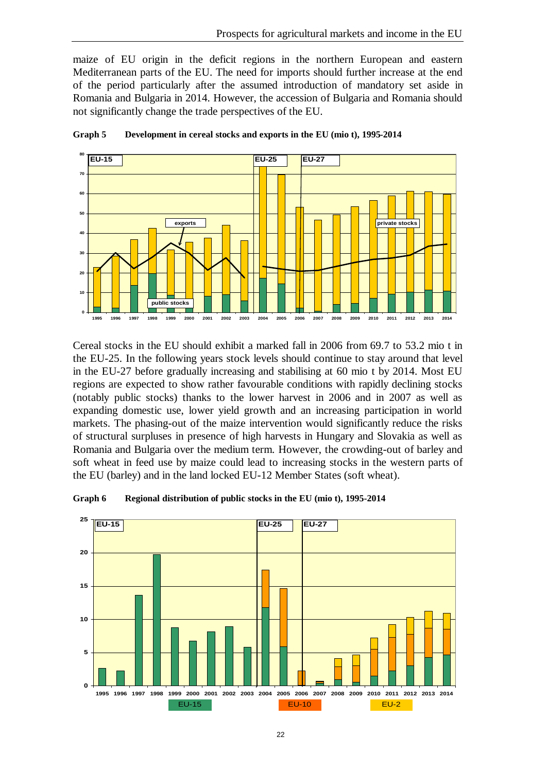maize of EU origin in the deficit regions in the northern European and eastern Mediterranean parts of the EU. The need for imports should further increase at the end of the period particularly after the assumed introduction of mandatory set aside in Romania and Bulgaria in 2014. However, the accession of Bulgaria and Romania should not significantly change the trade perspectives of the EU.





Cereal stocks in the EU should exhibit a marked fall in 2006 from 69.7 to 53.2 mio t in the EU-25. In the following years stock levels should continue to stay around that level in the EU-27 before gradually increasing and stabilising at 60 mio t by 2014. Most EU regions are expected to show rather favourable conditions with rapidly declining stocks (notably public stocks) thanks to the lower harvest in 2006 and in 2007 as well as expanding domestic use, lower yield growth and an increasing participation in world markets. The phasing-out of the maize intervention would significantly reduce the risks of structural surpluses in presence of high harvests in Hungary and Slovakia as well as Romania and Bulgaria over the medium term. However, the crowding-out of barley and soft wheat in feed use by maize could lead to increasing stocks in the western parts of the EU (barley) and in the land locked EU-12 Member States (soft wheat).



**Graph 6 Regional distribution of public stocks in the EU (mio t), 1995-2014**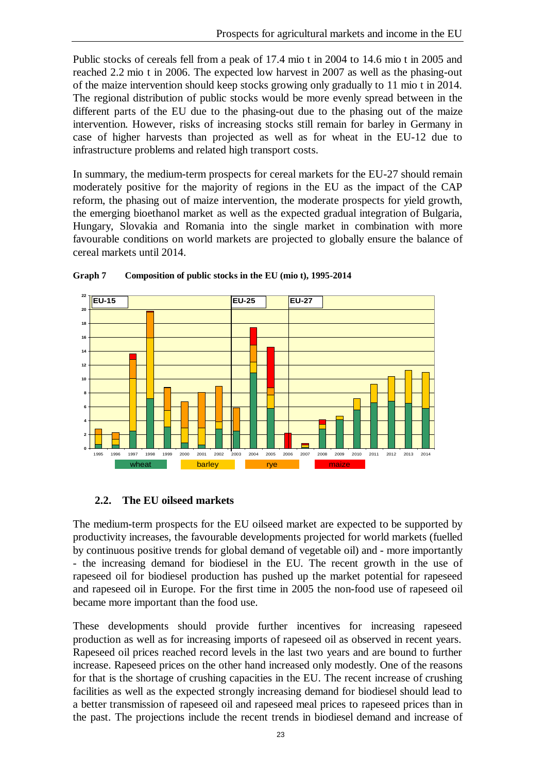Public stocks of cereals fell from a peak of 17.4 mio t in 2004 to 14.6 mio t in 2005 and reached 2.2 mio t in 2006. The expected low harvest in 2007 as well as the phasing-out of the maize intervention should keep stocks growing only gradually to 11 mio t in 2014. The regional distribution of public stocks would be more evenly spread between in the different parts of the EU due to the phasing-out due to the phasing out of the maize intervention. However, risks of increasing stocks still remain for barley in Germany in case of higher harvests than projected as well as for wheat in the EU-12 due to infrastructure problems and related high transport costs.

In summary, the medium-term prospects for cereal markets for the EU-27 should remain moderately positive for the majority of regions in the EU as the impact of the CAP reform, the phasing out of maize intervention, the moderate prospects for yield growth, the emerging bioethanol market as well as the expected gradual integration of Bulgaria, Hungary, Slovakia and Romania into the single market in combination with more favourable conditions on world markets are projected to globally ensure the balance of cereal markets until 2014.



#### **Graph 7 Composition of public stocks in the EU (mio t), 1995-2014**

#### **2.2. The EU oilseed markets**

The medium-term prospects for the EU oilseed market are expected to be supported by productivity increases, the favourable developments projected for world markets (fuelled by continuous positive trends for global demand of vegetable oil) and - more importantly - the increasing demand for biodiesel in the EU. The recent growth in the use of rapeseed oil for biodiesel production has pushed up the market potential for rapeseed and rapeseed oil in Europe. For the first time in 2005 the non-food use of rapeseed oil became more important than the food use.

These developments should provide further incentives for increasing rapeseed production as well as for increasing imports of rapeseed oil as observed in recent years. Rapeseed oil prices reached record levels in the last two years and are bound to further increase. Rapeseed prices on the other hand increased only modestly. One of the reasons for that is the shortage of crushing capacities in the EU. The recent increase of crushing facilities as well as the expected strongly increasing demand for biodiesel should lead to a better transmission of rapeseed oil and rapeseed meal prices to rapeseed prices than in the past. The projections include the recent trends in biodiesel demand and increase of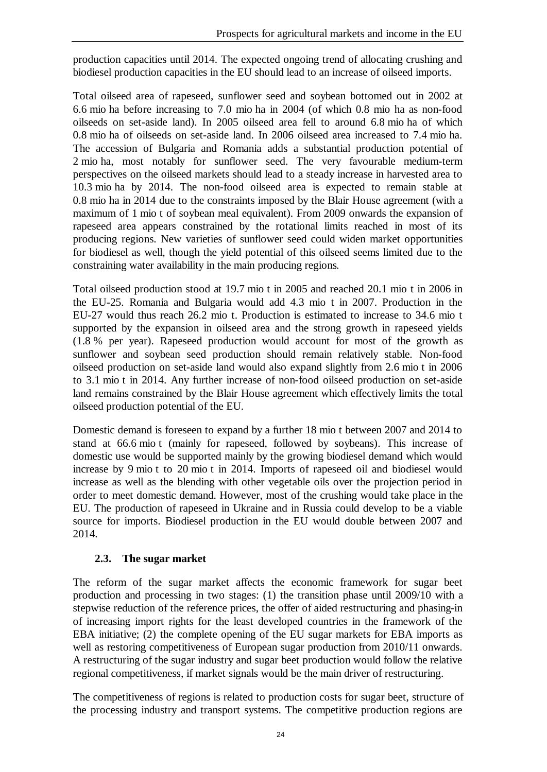production capacities until 2014. The expected ongoing trend of allocating crushing and biodiesel production capacities in the EU should lead to an increase of oilseed imports.

Total oilseed area of rapeseed, sunflower seed and soybean bottomed out in 2002 at 6.6 mio ha before increasing to 7.0 mio ha in 2004 (of which 0.8 mio ha as non-food oilseeds on set-aside land). In 2005 oilseed area fell to around 6.8 mio ha of which 0.8 mio ha of oilseeds on set-aside land. In 2006 oilseed area increased to 7.4 mio ha. The accession of Bulgaria and Romania adds a substantial production potential of 2 mio ha, most notably for sunflower seed. The very favourable medium-term perspectives on the oilseed markets should lead to a steady increase in harvested area to 10.3 mio ha by 2014. The non-food oilseed area is expected to remain stable at 0.8 mio ha in 2014 due to the constraints imposed by the Blair House agreement (with a maximum of 1 mio t of soybean meal equivalent). From 2009 onwards the expansion of rapeseed area appears constrained by the rotational limits reached in most of its producing regions. New varieties of sunflower seed could widen market opportunities for biodiesel as well, though the yield potential of this oilseed seems limited due to the constraining water availability in the main producing regions.

Total oilseed production stood at 19.7 mio t in 2005 and reached 20.1 mio t in 2006 in the EU-25. Romania and Bulgaria would add 4.3 mio t in 2007. Production in the EU-27 would thus reach 26.2 mio t. Production is estimated to increase to 34.6 mio t supported by the expansion in oilseed area and the strong growth in rapeseed yields (1.8 % per year). Rapeseed production would account for most of the growth as sunflower and soybean seed production should remain relatively stable. Non-food oilseed production on set-aside land would also expand slightly from 2.6 mio t in 2006 to 3.1 mio t in 2014. Any further increase of non-food oilseed production on set-aside land remains constrained by the Blair House agreement which effectively limits the total oilseed production potential of the EU.

Domestic demand is foreseen to expand by a further 18 mio t between 2007 and 2014 to stand at 66.6 mio t (mainly for rapeseed, followed by soybeans). This increase of domestic use would be supported mainly by the growing biodiesel demand which would increase by 9 mio t to 20 mio t in 2014. Imports of rapeseed oil and biodiesel would increase as well as the blending with other vegetable oils over the projection period in order to meet domestic demand. However, most of the crushing would take place in the EU. The production of rapeseed in Ukraine and in Russia could develop to be a viable source for imports. Biodiesel production in the EU would double between 2007 and 2014.

## **2.3. The sugar market**

The reform of the sugar market affects the economic framework for sugar beet production and processing in two stages: (1) the transition phase until 2009/10 with a stepwise reduction of the reference prices, the offer of aided restructuring and phasing-in of increasing import rights for the least developed countries in the framework of the EBA initiative; (2) the complete opening of the EU sugar markets for EBA imports as well as restoring competitiveness of European sugar production from 2010/11 onwards. A restructuring of the sugar industry and sugar beet production would follow the relative regional competitiveness, if market signals would be the main driver of restructuring.

The competitiveness of regions is related to production costs for sugar beet, structure of the processing industry and transport systems. The competitive production regions are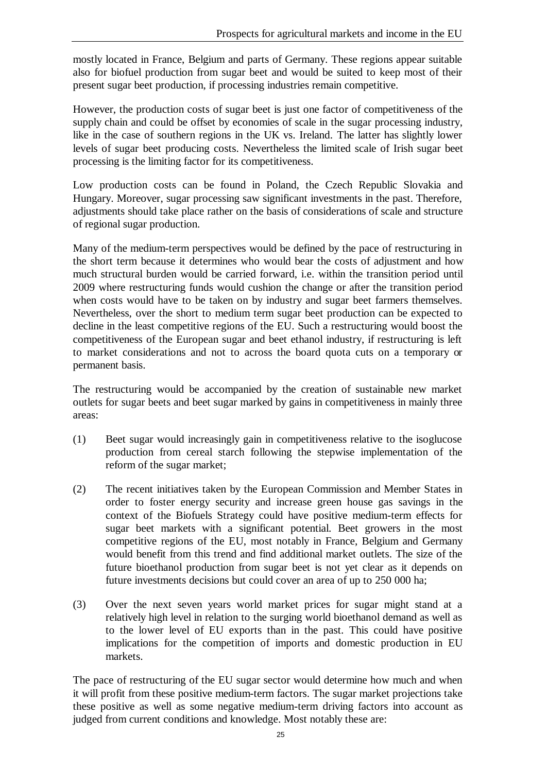mostly located in France, Belgium and parts of Germany. These regions appear suitable also for biofuel production from sugar beet and would be suited to keep most of their present sugar beet production, if processing industries remain competitive.

However, the production costs of sugar beet is just one factor of competitiveness of the supply chain and could be offset by economies of scale in the sugar processing industry, like in the case of southern regions in the UK vs. Ireland. The latter has slightly lower levels of sugar beet producing costs. Nevertheless the limited scale of Irish sugar beet processing is the limiting factor for its competitiveness.

Low production costs can be found in Poland, the Czech Republic Slovakia and Hungary. Moreover, sugar processing saw significant investments in the past. Therefore, adjustments should take place rather on the basis of considerations of scale and structure of regional sugar production.

Many of the medium-term perspectives would be defined by the pace of restructuring in the short term because it determines who would bear the costs of adjustment and how much structural burden would be carried forward, i.e. within the transition period until 2009 where restructuring funds would cushion the change or after the transition period when costs would have to be taken on by industry and sugar beet farmers themselves. Nevertheless, over the short to medium term sugar beet production can be expected to decline in the least competitive regions of the EU. Such a restructuring would boost the competitiveness of the European sugar and beet ethanol industry, if restructuring is left to market considerations and not to across the board quota cuts on a temporary or permanent basis.

The restructuring would be accompanied by the creation of sustainable new market outlets for sugar beets and beet sugar marked by gains in competitiveness in mainly three areas:

- (1) Beet sugar would increasingly gain in competitiveness relative to the isoglucose production from cereal starch following the stepwise implementation of the reform of the sugar market;
- (2) The recent initiatives taken by the European Commission and Member States in order to foster energy security and increase green house gas savings in the context of the Biofuels Strategy could have positive medium-term effects for sugar beet markets with a significant potential. Beet growers in the most competitive regions of the EU, most notably in France, Belgium and Germany would benefit from this trend and find additional market outlets. The size of the future bioethanol production from sugar beet is not yet clear as it depends on future investments decisions but could cover an area of up to 250 000 ha;
- (3) Over the next seven years world market prices for sugar might stand at a relatively high level in relation to the surging world bioethanol demand as well as to the lower level of EU exports than in the past. This could have positive implications for the competition of imports and domestic production in EU markets.

The pace of restructuring of the EU sugar sector would determine how much and when it will profit from these positive medium-term factors. The sugar market projections take these positive as well as some negative medium-term driving factors into account as judged from current conditions and knowledge. Most notably these are: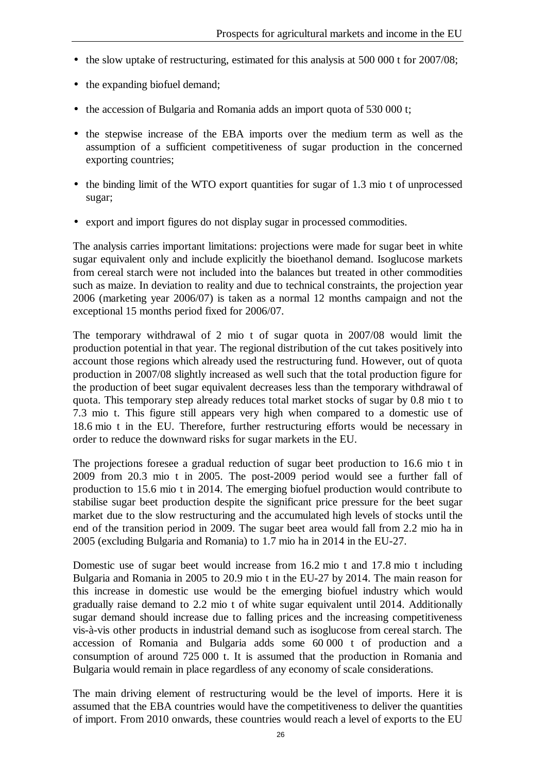- the slow uptake of restructuring, estimated for this analysis at 500 000 t for 2007/08;
- the expanding biofuel demand;
- the accession of Bulgaria and Romania adds an import quota of 530 000 t;
- the stepwise increase of the EBA imports over the medium term as well as the assumption of a sufficient competitiveness of sugar production in the concerned exporting countries;
- the binding limit of the WTO export quantities for sugar of 1.3 mio t of unprocessed sugar;
- export and import figures do not display sugar in processed commodities.

The analysis carries important limitations: projections were made for sugar beet in white sugar equivalent only and include explicitly the bioethanol demand. Isoglucose markets from cereal starch were not included into the balances but treated in other commodities such as maize. In deviation to reality and due to technical constraints, the projection year 2006 (marketing year 2006/07) is taken as a normal 12 months campaign and not the exceptional 15 months period fixed for 2006/07.

The temporary withdrawal of 2 mio t of sugar quota in 2007/08 would limit the production potential in that year. The regional distribution of the cut takes positively into account those regions which already used the restructuring fund. However, out of quota production in 2007/08 slightly increased as well such that the total production figure for the production of beet sugar equivalent decreases less than the temporary withdrawal of quota. This temporary step already reduces total market stocks of sugar by 0.8 mio t to 7.3 mio t. This figure still appears very high when compared to a domestic use of 18.6 mio t in the EU. Therefore, further restructuring efforts would be necessary in order to reduce the downward risks for sugar markets in the EU.

The projections foresee a gradual reduction of sugar beet production to 16.6 mio t in 2009 from 20.3 mio t in 2005. The post-2009 period would see a further fall of production to 15.6 mio t in 2014. The emerging biofuel production would contribute to stabilise sugar beet production despite the significant price pressure for the beet sugar market due to the slow restructuring and the accumulated high levels of stocks until the end of the transition period in 2009. The sugar beet area would fall from 2.2 mio ha in 2005 (excluding Bulgaria and Romania) to 1.7 mio ha in 2014 in the EU-27.

Domestic use of sugar beet would increase from 16.2 mio t and 17.8 mio t including Bulgaria and Romania in 2005 to 20.9 mio t in the EU-27 by 2014. The main reason for this increase in domestic use would be the emerging biofuel industry which would gradually raise demand to 2.2 mio t of white sugar equivalent until 2014. Additionally sugar demand should increase due to falling prices and the increasing competitiveness vis-à-vis other products in industrial demand such as isoglucose from cereal starch. The accession of Romania and Bulgaria adds some 60 000 t of production and a consumption of around 725 000 t. It is assumed that the production in Romania and Bulgaria would remain in place regardless of any economy of scale considerations.

The main driving element of restructuring would be the level of imports. Here it is assumed that the EBA countries would have the competitiveness to deliver the quantities of import. From 2010 onwards, these countries would reach a level of exports to the EU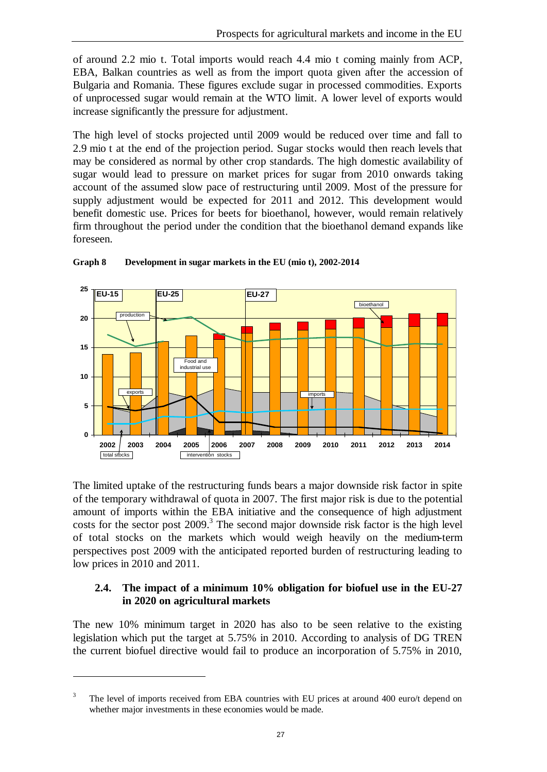of around 2.2 mio t. Total imports would reach 4.4 mio t coming mainly from ACP, EBA, Balkan countries as well as from the import quota given after the accession of Bulgaria and Romania. These figures exclude sugar in processed commodities. Exports of unprocessed sugar would remain at the WTO limit. A lower level of exports would increase significantly the pressure for adjustment.

The high level of stocks projected until 2009 would be reduced over time and fall to 2.9 mio t at the end of the projection period. Sugar stocks would then reach levels that may be considered as normal by other crop standards. The high domestic availability of sugar would lead to pressure on market prices for sugar from 2010 onwards taking account of the assumed slow pace of restructuring until 2009. Most of the pressure for supply adjustment would be expected for 2011 and 2012. This development would benefit domestic use. Prices for beets for bioethanol, however, would remain relatively firm throughout the period under the condition that the bioethanol demand expands like foreseen.



**Graph 8 Development in sugar markets in the EU (mio t), 2002-2014**

The limited uptake of the restructuring funds bears a major downside risk factor in spite of the temporary withdrawal of quota in 2007. The first major risk is due to the potential amount of imports within the EBA initiative and the consequence of high adjustment costs for the sector post  $2009$ .<sup>3</sup> The second major downside risk factor is the high level of total stocks on the markets which would weigh heavily on the medium-term perspectives post 2009 with the anticipated reported burden of restructuring leading to low prices in 2010 and 2011.

## **2.4. The impact of a minimum 10% obligation for biofuel use in the EU-27 in 2020 on agricultural markets**

The new 10% minimum target in 2020 has also to be seen relative to the existing legislation which put the target at 5.75% in 2010. According to analysis of DG TREN the current biofuel directive would fail to produce an incorporation of 5.75% in 2010,

 $\overline{a}$ 

The level of imports received from EBA countries with EU prices at around 400 euro/t depend on whether major investments in these economies would be made.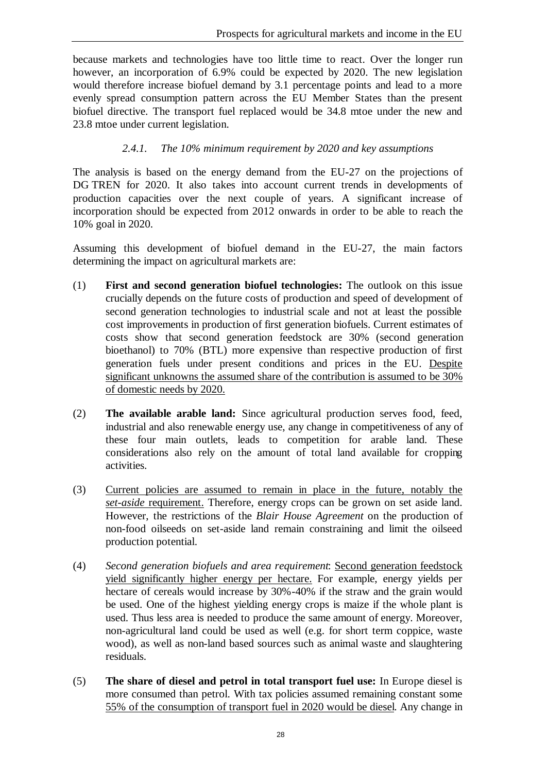because markets and technologies have too little time to react. Over the longer run however, an incorporation of 6.9% could be expected by 2020. The new legislation would therefore increase biofuel demand by 3.1 percentage points and lead to a more evenly spread consumption pattern across the EU Member States than the present biofuel directive. The transport fuel replaced would be 34.8 mtoe under the new and 23.8 mtoe under current legislation.

## *2.4.1. The 10% minimum requirement by 2020 and key assumptions*

The analysis is based on the energy demand from the EU-27 on the projections of DG TREN for 2020. It also takes into account current trends in developments of production capacities over the next couple of years. A significant increase of incorporation should be expected from 2012 onwards in order to be able to reach the 10% goal in 2020.

Assuming this development of biofuel demand in the EU-27, the main factors determining the impact on agricultural markets are:

- (1) **First and second generation biofuel technologies:** The outlook on this issue crucially depends on the future costs of production and speed of development of second generation technologies to industrial scale and not at least the possible cost improvements in production of first generation biofuels. Current estimates of costs show that second generation feedstock are 30% (second generation bioethanol) to 70% (BTL) more expensive than respective production of first generation fuels under present conditions and prices in the EU. Despite significant unknowns the assumed share of the contribution is assumed to be 30% of domestic needs by 2020.
- (2) **The available arable land:** Since agricultural production serves food, feed, industrial and also renewable energy use, any change in competitiveness of any of these four main outlets, leads to competition for arable land. These considerations also rely on the amount of total land available for cropping activities.
- (3) Current policies are assumed to remain in place in the future, notably the *set-aside* requirement. Therefore, energy crops can be grown on set aside land. However, the restrictions of the *Blair House Agreement* on the production of non-food oilseeds on set-aside land remain constraining and limit the oilseed production potential.
- (4) *Second generation biofuels and area requirement*: Second generation feedstock yield significantly higher energy per hectare. For example, energy yields per hectare of cereals would increase by 30%-40% if the straw and the grain would be used. One of the highest yielding energy crops is maize if the whole plant is used. Thus less area is needed to produce the same amount of energy. Moreover, non-agricultural land could be used as well (e.g. for short term coppice, waste wood), as well as non-land based sources such as animal waste and slaughtering residuals.
- (5) **The share of diesel and petrol in total transport fuel use:** In Europe diesel is more consumed than petrol. With tax policies assumed remaining constant some 55% of the consumption of transport fuel in 2020 would be diesel. Any change in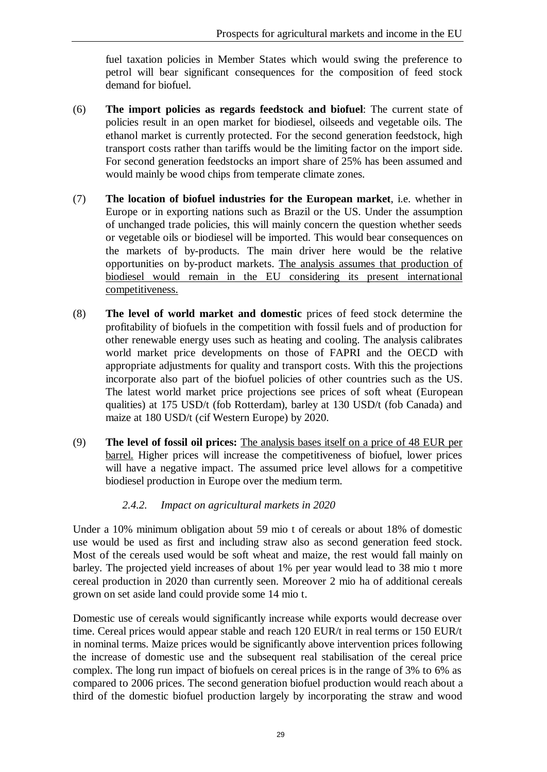fuel taxation policies in Member States which would swing the preference to petrol will bear significant consequences for the composition of feed stock demand for biofuel.

- (6) **The import policies as regards feedstock and biofuel**: The current state of policies result in an open market for biodiesel, oilseeds and vegetable oils. The ethanol market is currently protected. For the second generation feedstock, high transport costs rather than tariffs would be the limiting factor on the import side. For second generation feedstocks an import share of 25% has been assumed and would mainly be wood chips from temperate climate zones.
- (7) **The location of biofuel industries for the European market**, i.e. whether in Europe or in exporting nations such as Brazil or the US. Under the assumption of unchanged trade policies, this will mainly concern the question whether seeds or vegetable oils or biodiesel will be imported. This would bear consequences on the markets of by-products. The main driver here would be the relative opportunities on by-product markets. The analysis assumes that production of biodiesel would remain in the EU considering its present international competitiveness.
- (8) **The level of world market and domestic** prices of feed stock determine the profitability of biofuels in the competition with fossil fuels and of production for other renewable energy uses such as heating and cooling. The analysis calibrates world market price developments on those of FAPRI and the OECD with appropriate adjustments for quality and transport costs. With this the projections incorporate also part of the biofuel policies of other countries such as the US. The latest world market price projections see prices of soft wheat (European qualities) at 175 USD/t (fob Rotterdam), barley at 130 USD/t (fob Canada) and maize at 180 USD/t (cif Western Europe) by 2020.
- (9) **The level of fossil oil prices:** The analysis bases itself on a price of 48 EUR per barrel. Higher prices will increase the competitiveness of biofuel, lower prices will have a negative impact. The assumed price level allows for a competitive biodiesel production in Europe over the medium term.

## *2.4.2. Impact on agricultural markets in 2020*

Under a 10% minimum obligation about 59 mio t of cereals or about 18% of domestic use would be used as first and including straw also as second generation feed stock. Most of the cereals used would be soft wheat and maize, the rest would fall mainly on barley. The projected yield increases of about 1% per year would lead to 38 mio t more cereal production in 2020 than currently seen. Moreover 2 mio ha of additional cereals grown on set aside land could provide some 14 mio t.

Domestic use of cereals would significantly increase while exports would decrease over time. Cereal prices would appear stable and reach 120 EUR/t in real terms or 150 EUR/t in nominal terms. Maize prices would be significantly above intervention prices following the increase of domestic use and the subsequent real stabilisation of the cereal price complex. The long run impact of biofuels on cereal prices is in the range of 3% to 6% as compared to 2006 prices. The second generation biofuel production would reach about a third of the domestic biofuel production largely by incorporating the straw and wood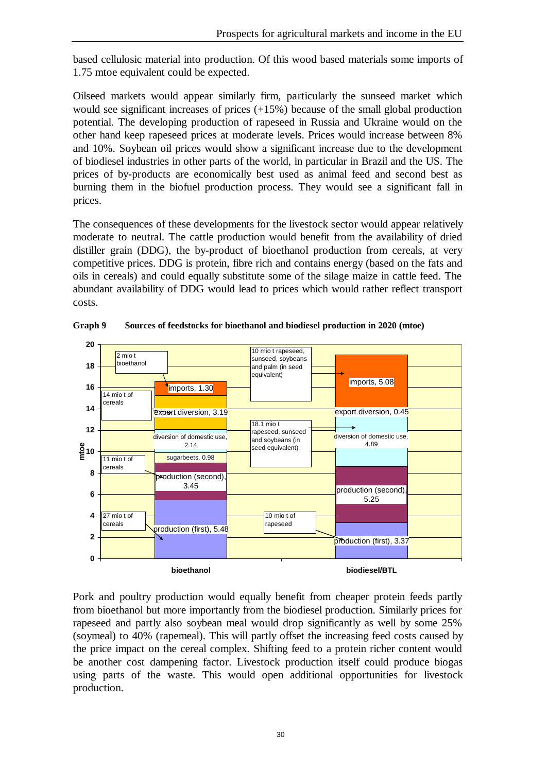based cellulosic material into production. Of this wood based materials some imports of 1.75 mtoe equivalent could be expected.

Oilseed markets would appear similarly firm, particularly the sunseed market which would see significant increases of prices (+15%) because of the small global production potential. The developing production of rapeseed in Russia and Ukraine would on the other hand keep rapeseed prices at moderate levels. Prices would increase between 8% and 10%. Soybean oil prices would show a significant increase due to the development of biodiesel industries in other parts of the world, in particular in Brazil and the US. The prices of by-products are economically best used as animal feed and second best as burning them in the biofuel production process. They would see a significant fall in prices.

The consequences of these developments for the livestock sector would appear relatively moderate to neutral. The cattle production would benefit from the availability of dried distiller grain (DDG), the by-product of bioethanol production from cereals, at very competitive prices. DDG is protein, fibre rich and contains energy (based on the fats and oils in cereals) and could equally substitute some of the silage maize in cattle feed. The abundant availability of DDG would lead to prices which would rather reflect transport costs.



**Graph 9 Sources of feedstocks for bioethanol and biodiesel production in 2020 (mtoe)**

Pork and poultry production would equally benefit from cheaper protein feeds partly from bioethanol but more importantly from the biodiesel production. Similarly prices for rapeseed and partly also soybean meal would drop significantly as well by some 25% (soymeal) to 40% (rapemeal). This will partly offset the increasing feed costs caused by the price impact on the cereal complex. Shifting feed to a protein richer content would be another cost dampening factor. Livestock production itself could produce biogas using parts of the waste. This would open additional opportunities for livestock production.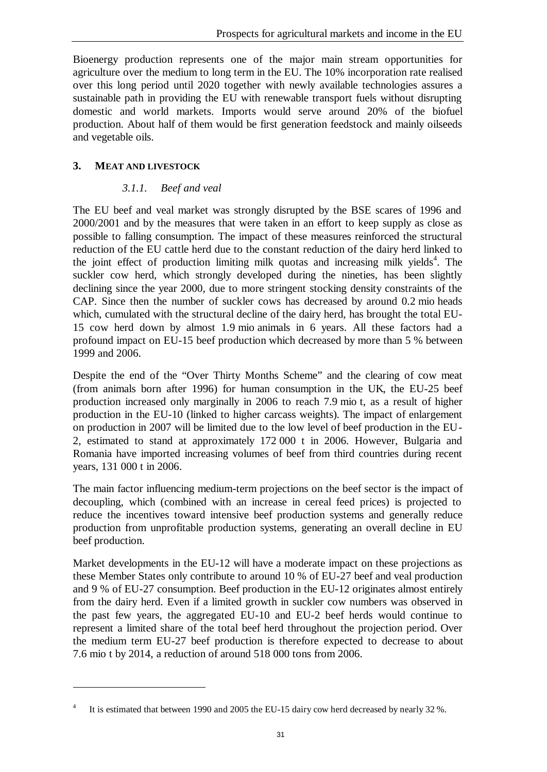Bioenergy production represents one of the major main stream opportunities for agriculture over the medium to long term in the EU. The 10% incorporation rate realised over this long period until 2020 together with newly available technologies assures a sustainable path in providing the EU with renewable transport fuels without disrupting domestic and world markets. Imports would serve around 20% of the biofuel production. About half of them would be first generation feedstock and mainly oilseeds and vegetable oils.

## **3. MEAT AND LIVESTOCK**

 $\overline{a}$ 

## *3.1.1. Beef and veal*

The EU beef and veal market was strongly disrupted by the BSE scares of 1996 and 2000/2001 and by the measures that were taken in an effort to keep supply as close as possible to falling consumption. The impact of these measures reinforced the structural reduction of the EU cattle herd due to the constant reduction of the dairy herd linked to the joint effect of production limiting milk quotas and increasing milk yields<sup>4</sup>. The suckler cow herd, which strongly developed during the nineties, has been slightly declining since the year 2000, due to more stringent stocking density constraints of the CAP. Since then the number of suckler cows has decreased by around 0.2 mio heads which, cumulated with the structural decline of the dairy herd, has brought the total EU-15 cow herd down by almost 1.9 mio animals in 6 years. All these factors had a profound impact on EU-15 beef production which decreased by more than 5 % between 1999 and 2006.

Despite the end of the "Over Thirty Months Scheme" and the clearing of cow meat (from animals born after 1996) for human consumption in the UK, the EU-25 beef production increased only marginally in 2006 to reach 7.9 mio t, as a result of higher production in the EU-10 (linked to higher carcass weights). The impact of enlargement on production in 2007 will be limited due to the low level of beef production in the EU-2, estimated to stand at approximately 172 000 t in 2006. However, Bulgaria and Romania have imported increasing volumes of beef from third countries during recent years, 131 000 t in 2006.

The main factor influencing medium-term projections on the beef sector is the impact of decoupling, which (combined with an increase in cereal feed prices) is projected to reduce the incentives toward intensive beef production systems and generally reduce production from unprofitable production systems, generating an overall decline in EU beef production.

Market developments in the EU-12 will have a moderate impact on these projections as these Member States only contribute to around 10 % of EU-27 beef and veal production and 9 % of EU-27 consumption. Beef production in the EU-12 originates almost entirely from the dairy herd. Even if a limited growth in suckler cow numbers was observed in the past few years, the aggregated EU-10 and EU-2 beef herds would continue to represent a limited share of the total beef herd throughout the projection period. Over the medium term EU-27 beef production is therefore expected to decrease to about 7.6 mio t by 2014, a reduction of around 518 000 tons from 2006.

<sup>4</sup> It is estimated that between 1990 and 2005 the EU-15 dairy cow herd decreased by nearly 32 %.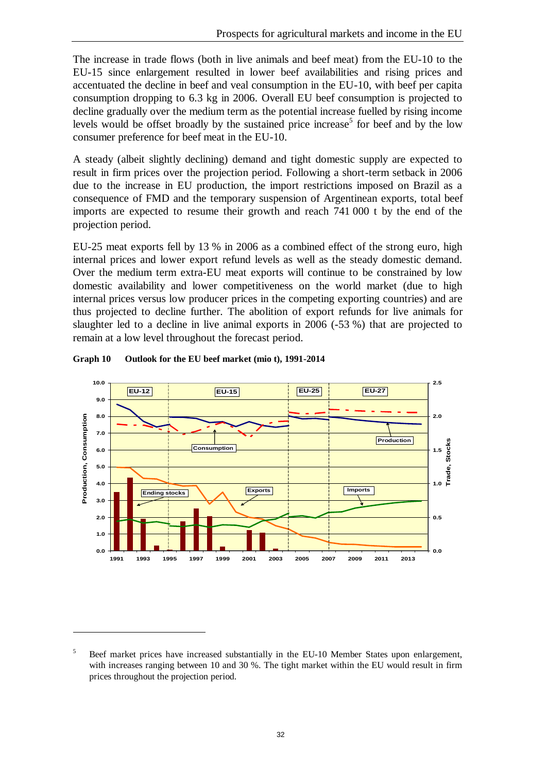The increase in trade flows (both in live animals and beef meat) from the EU-10 to the EU-15 since enlargement resulted in lower beef availabilities and rising prices and accentuated the decline in beef and veal consumption in the EU-10, with beef per capita consumption dropping to 6.3 kg in 2006. Overall EU beef consumption is projected to decline gradually over the medium term as the potential increase fuelled by rising income levels would be offset broadly by the sustained price increase<sup>5</sup> for beef and by the low consumer preference for beef meat in the EU-10.

A steady (albeit slightly declining) demand and tight domestic supply are expected to result in firm prices over the projection period. Following a short-term setback in 2006 due to the increase in EU production, the import restrictions imposed on Brazil as a consequence of FMD and the temporary suspension of Argentinean exports, total beef imports are expected to resume their growth and reach 741 000 t by the end of the projection period.

EU-25 meat exports fell by 13 % in 2006 as a combined effect of the strong euro, high internal prices and lower export refund levels as well as the steady domestic demand. Over the medium term extra-EU meat exports will continue to be constrained by low domestic availability and lower competitiveness on the world market (due to high internal prices versus low producer prices in the competing exporting countries) and are thus projected to decline further. The abolition of export refunds for live animals for slaughter led to a decline in live animal exports in 2006 (-53 %) that are projected to remain at a low level throughout the forecast period.



#### **Graph 10 Outlook for the EU beef market (mio t), 1991-2014**

 $\overline{a}$ 

<sup>&</sup>lt;sup>5</sup> Beef market prices have increased substantially in the EU-10 Member States upon enlargement, with increases ranging between 10 and 30 %. The tight market within the EU would result in firm prices throughout the projection period.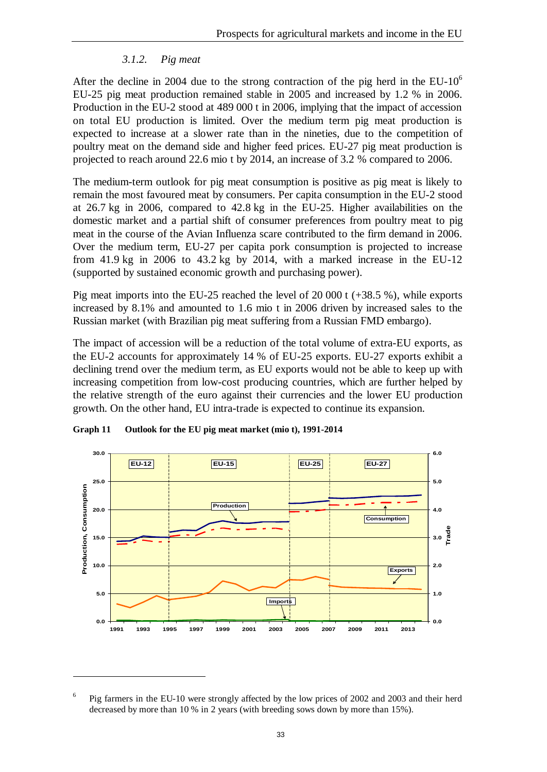## *3.1.2. Pig meat*

After the decline in 2004 due to the strong contraction of the pig herd in the  $EU-10<sup>6</sup>$ EU-25 pig meat production remained stable in 2005 and increased by 1.2 % in 2006. Production in the EU-2 stood at 489 000 t in 2006, implying that the impact of accession on total EU production is limited. Over the medium term pig meat production is expected to increase at a slower rate than in the nineties, due to the competition of poultry meat on the demand side and higher feed prices. EU-27 pig meat production is projected to reach around 22.6 mio t by 2014, an increase of 3.2 % compared to 2006.

The medium-term outlook for pig meat consumption is positive as pig meat is likely to remain the most favoured meat by consumers. Per capita consumption in the EU-2 stood at 26.7 kg in 2006, compared to 42.8 kg in the EU-25. Higher availabilities on the domestic market and a partial shift of consumer preferences from poultry meat to pig meat in the course of the Avian Influenza scare contributed to the firm demand in 2006. Over the medium term, EU-27 per capita pork consumption is projected to increase from 41.9 kg in 2006 to 43.2 kg by 2014, with a marked increase in the EU-12 (supported by sustained economic growth and purchasing power).

Pig meat imports into the EU-25 reached the level of 20 000 t (+38.5 %), while exports increased by 8.1% and amounted to 1.6 mio t in 2006 driven by increased sales to the Russian market (with Brazilian pig meat suffering from a Russian FMD embargo).

The impact of accession will be a reduction of the total volume of extra-EU exports, as the EU-2 accounts for approximately 14 % of EU-25 exports. EU-27 exports exhibit a declining trend over the medium term, as EU exports would not be able to keep up with increasing competition from low-cost producing countries, which are further helped by the relative strength of the euro against their currencies and the lower EU production growth. On the other hand, EU intra-trade is expected to continue its expansion.



**Graph 11 Outlook for the EU pig meat market (mio t), 1991-2014**

 $\overline{a}$ 

<sup>6</sup> Pig farmers in the EU-10 were strongly affected by the low prices of 2002 and 2003 and their herd decreased by more than 10 % in 2 years (with breeding sows down by more than 15%).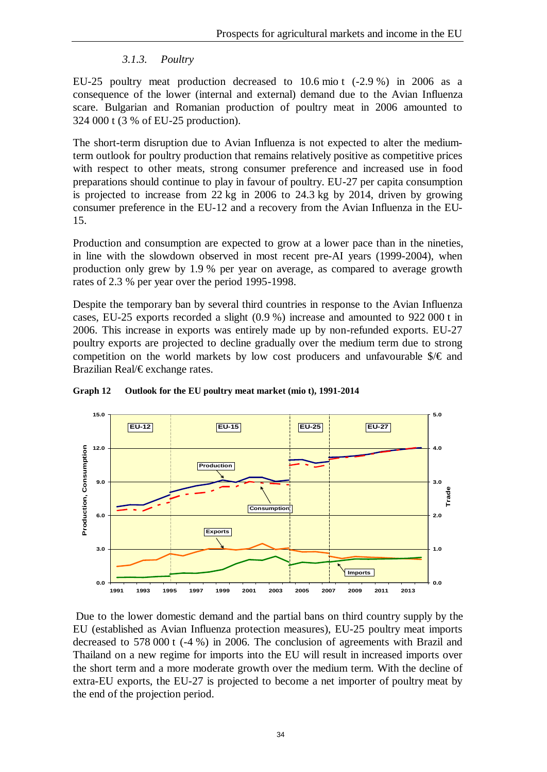#### *3.1.3. Poultry*

EU-25 poultry meat production decreased to 10.6 mio t (-2.9 %) in 2006 as a consequence of the lower (internal and external) demand due to the Avian Influenza scare. Bulgarian and Romanian production of poultry meat in 2006 amounted to 324 000 t (3 % of EU-25 production).

The short-term disruption due to Avian Influenza is not expected to alter the mediumterm outlook for poultry production that remains relatively positive as competitive prices with respect to other meats, strong consumer preference and increased use in food preparations should continue to play in favour of poultry. EU-27 per capita consumption is projected to increase from 22 kg in 2006 to 24.3 kg by 2014, driven by growing consumer preference in the EU-12 and a recovery from the Avian Influenza in the EU-15.

Production and consumption are expected to grow at a lower pace than in the nineties, in line with the slowdown observed in most recent pre-AI years (1999-2004), when production only grew by 1.9 % per year on average, as compared to average growth rates of 2.3 % per year over the period 1995-1998.

Despite the temporary ban by several third countries in response to the Avian Influenza cases, EU-25 exports recorded a slight (0.9 %) increase and amounted to 922 000 t in 2006. This increase in exports was entirely made up by non-refunded exports. EU-27 poultry exports are projected to decline gradually over the medium term due to strong competition on the world markets by low cost producers and unfavourable  $\sqrt[6]{\epsilon}$  and Brazilian Real/€ exchange rates.



#### **Graph 12 Outlook for the EU poultry meat market (mio t), 1991-2014**

Due to the lower domestic demand and the partial bans on third country supply by the EU (established as Avian Influenza protection measures), EU-25 poultry meat imports decreased to 578 000 t (-4 %) in 2006. The conclusion of agreements with Brazil and Thailand on a new regime for imports into the EU will result in increased imports over the short term and a more moderate growth over the medium term. With the decline of extra-EU exports, the EU-27 is projected to become a net importer of poultry meat by the end of the projection period.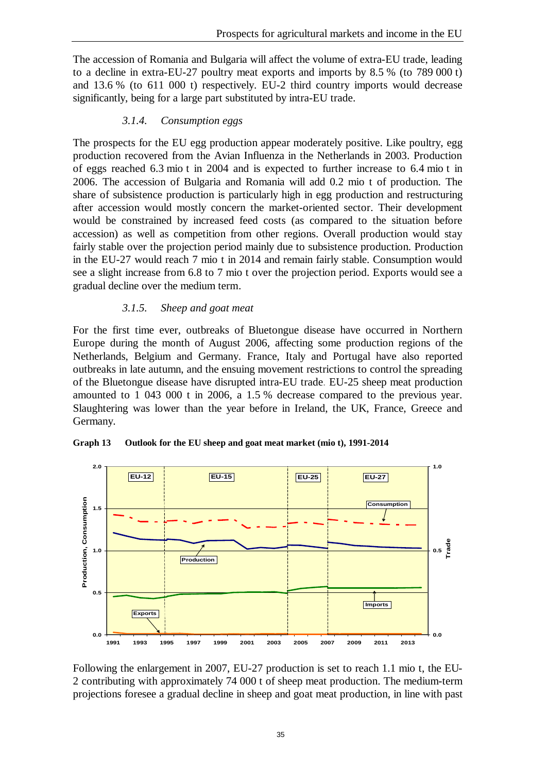The accession of Romania and Bulgaria will affect the volume of extra-EU trade, leading to a decline in extra-EU-27 poultry meat exports and imports by 8.5 % (to 789 000 t) and 13.6 % (to 611 000 t) respectively. EU-2 third country imports would decrease significantly, being for a large part substituted by intra-EU trade.

#### *3.1.4. Consumption eggs*

The prospects for the EU egg production appear moderately positive. Like poultry, egg production recovered from the Avian Influenza in the Netherlands in 2003. Production of eggs reached 6.3 mio t in 2004 and is expected to further increase to 6.4 mio t in 2006. The accession of Bulgaria and Romania will add 0.2 mio t of production. The share of subsistence production is particularly high in egg production and restructuring after accession would mostly concern the market-oriented sector. Their development would be constrained by increased feed costs (as compared to the situation before accession) as well as competition from other regions. Overall production would stay fairly stable over the projection period mainly due to subsistence production. Production in the EU-27 would reach 7 mio t in 2014 and remain fairly stable. Consumption would see a slight increase from 6.8 to 7 mio t over the projection period. Exports would see a gradual decline over the medium term.

#### *3.1.5. Sheep and goat meat*

For the first time ever, outbreaks of Bluetongue disease have occurred in Northern Europe during the month of August 2006, affecting some production regions of the Netherlands, Belgium and Germany. France, Italy and Portugal have also reported outbreaks in late autumn, and the ensuing movement restrictions to control the spreading of the Bluetongue disease have disrupted intra-EU trade. EU-25 sheep meat production amounted to 1 043 000 t in 2006, a 1.5 % decrease compared to the previous year. Slaughtering was lower than the year before in Ireland, the UK, France, Greece and Germany.



**Graph 13 Outlook for the EU sheep and goat meat market (mio t), 1991-2014**

Following the enlargement in 2007, EU-27 production is set to reach 1.1 mio t, the EU-2 contributing with approximately 74 000 t of sheep meat production. The medium-term projections foresee a gradual decline in sheep and goat meat production, in line with past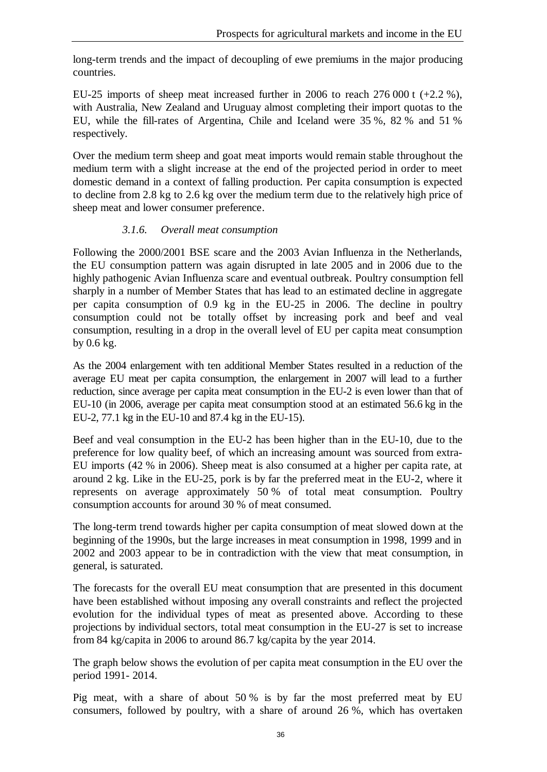long-term trends and the impact of decoupling of ewe premiums in the major producing countries.

EU-25 imports of sheep meat increased further in 2006 to reach 276 000 t  $(+2.2\%)$ . with Australia, New Zealand and Uruguay almost completing their import quotas to the EU, while the fill-rates of Argentina, Chile and Iceland were 35 %, 82 % and 51 % respectively.

Over the medium term sheep and goat meat imports would remain stable throughout the medium term with a slight increase at the end of the projected period in order to meet domestic demand in a context of falling production. Per capita consumption is expected to decline from 2.8 kg to 2.6 kg over the medium term due to the relatively high price of sheep meat and lower consumer preference.

#### *3.1.6. Overall meat consumption*

Following the 2000/2001 BSE scare and the 2003 Avian Influenza in the Netherlands, the EU consumption pattern was again disrupted in late 2005 and in 2006 due to the highly pathogenic Avian Influenza scare and eventual outbreak. Poultry consumption fell sharply in a number of Member States that has lead to an estimated decline in aggregate per capita consumption of 0.9 kg in the EU-25 in 2006. The decline in poultry consumption could not be totally offset by increasing pork and beef and veal consumption, resulting in a drop in the overall level of EU per capita meat consumption by 0.6 kg.

As the 2004 enlargement with ten additional Member States resulted in a reduction of the average EU meat per capita consumption, the enlargement in 2007 will lead to a further reduction, since average per capita meat consumption in the EU-2 is even lower than that of EU-10 (in 2006, average per capita meat consumption stood at an estimated 56.6 kg in the EU-2, 77.1 kg in the EU-10 and 87.4 kg in the EU-15).

Beef and veal consumption in the EU-2 has been higher than in the EU-10, due to the preference for low quality beef, of which an increasing amount was sourced from extra-EU imports (42 % in 2006). Sheep meat is also consumed at a higher per capita rate, at around 2 kg. Like in the EU-25, pork is by far the preferred meat in the EU-2, where it represents on average approximately 50 % of total meat consumption. Poultry consumption accounts for around 30 % of meat consumed.

The long-term trend towards higher per capita consumption of meat slowed down at the beginning of the 1990s, but the large increases in meat consumption in 1998, 1999 and in 2002 and 2003 appear to be in contradiction with the view that meat consumption, in general, is saturated.

The forecasts for the overall EU meat consumption that are presented in this document have been established without imposing any overall constraints and reflect the projected evolution for the individual types of meat as presented above. According to these projections by individual sectors, total meat consumption in the EU-27 is set to increase from 84 kg/capita in 2006 to around 86.7 kg/capita by the year 2014.

The graph below shows the evolution of per capita meat consumption in the EU over the period 1991- 2014.

Pig meat, with a share of about 50 % is by far the most preferred meat by EU consumers, followed by poultry, with a share of around 26 %, which has overtaken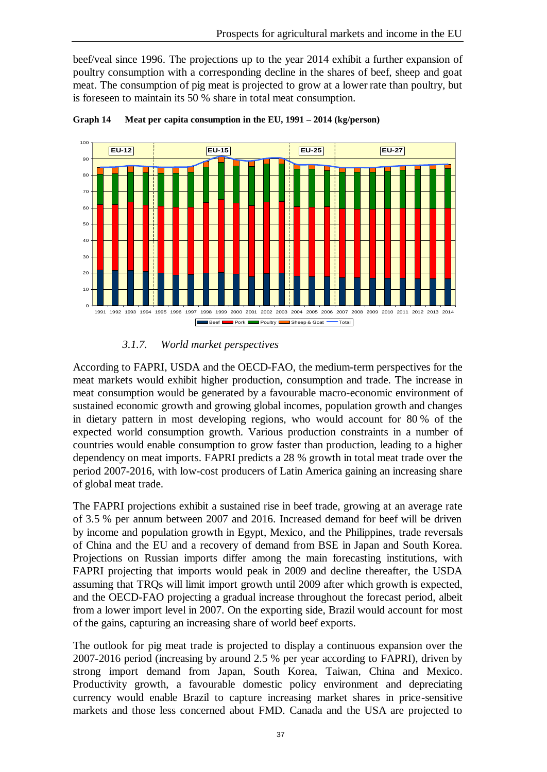beef/veal since 1996. The projections up to the year 2014 exhibit a further expansion of poultry consumption with a corresponding decline in the shares of beef, sheep and goat meat. The consumption of pig meat is projected to grow at a lower rate than poultry, but is foreseen to maintain its 50 % share in total meat consumption.



**Graph 14 Meat per capita consumption in the EU, 1991 – 2014 (kg/person)**

#### *3.1.7. World market perspectives*

According to FAPRI, USDA and the OECD-FAO, the medium-term perspectives for the meat markets would exhibit higher production, consumption and trade. The increase in meat consumption would be generated by a favourable macro-economic environment of sustained economic growth and growing global incomes, population growth and changes in dietary pattern in most developing regions, who would account for 80 % of the expected world consumption growth. Various production constraints in a number of countries would enable consumption to grow faster than production, leading to a higher dependency on meat imports. FAPRI predicts a 28 % growth in total meat trade over the period 2007-2016, with low-cost producers of Latin America gaining an increasing share of global meat trade.

The FAPRI projections exhibit a sustained rise in beef trade, growing at an average rate of 3.5 % per annum between 2007 and 2016. Increased demand for beef will be driven by income and population growth in Egypt, Mexico, and the Philippines, trade reversals of China and the EU and a recovery of demand from BSE in Japan and South Korea. Projections on Russian imports differ among the main forecasting institutions, with FAPRI projecting that imports would peak in 2009 and decline thereafter, the USDA assuming that TRQs will limit import growth until 2009 after which growth is expected, and the OECD-FAO projecting a gradual increase throughout the forecast period, albeit from a lower import level in 2007. On the exporting side, Brazil would account for most of the gains, capturing an increasing share of world beef exports.

The outlook for pig meat trade is projected to display a continuous expansion over the 2007-2016 period (increasing by around 2.5 % per year according to FAPRI), driven by strong import demand from Japan, South Korea, Taiwan, China and Mexico. Productivity growth, a favourable domestic policy environment and depreciating currency would enable Brazil to capture increasing market shares in price-sensitive markets and those less concerned about FMD. Canada and the USA are projected to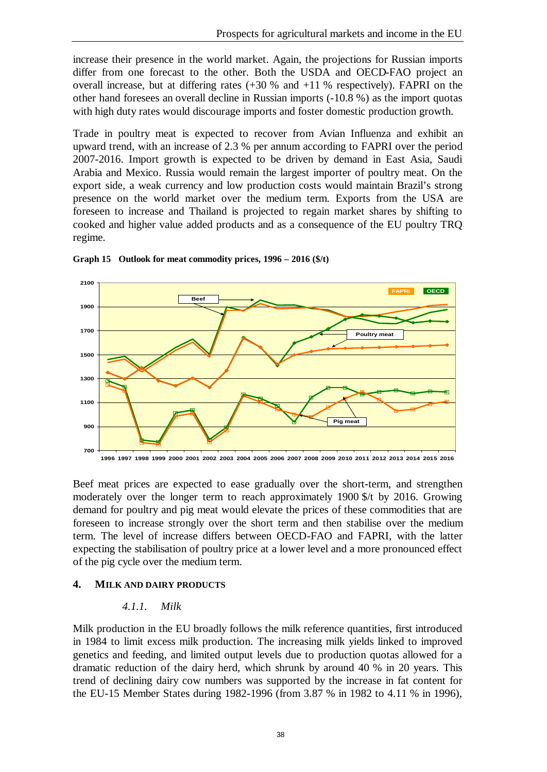increase their presence in the world market. Again, the projections for Russian imports differ from one forecast to the other. Both the USDA and OECD-FAO project an overall increase, but at differing rates  $(+30\%$  and  $+11\%$  respectively). FAPRI on the other hand foresees an overall decline in Russian imports (-10.8 %) as the import quotas with high duty rates would discourage imports and foster domestic production growth.

Trade in poultry meat is expected to recover from Avian Influenza and exhibit an upward trend, with an increase of 2.3 % per annum according to FAPRI over the period 2007-2016. Import growth is expected to be driven by demand in East Asia, Saudi Arabia and Mexico. Russia would remain the largest importer of poultry meat. On the export side, a weak currency and low production costs would maintain Brazil's strong presence on the world market over the medium term. Exports from the USA are foreseen to increase and Thailand is projected to regain market shares by shifting to cooked and higher value added products and as a consequence of the EU poultry TRQ regime.



**Graph 15 Outlook for meat commodity prices, 1996 – 2016 (\$/t)**

Beef meat prices are expected to ease gradually over the short-term, and strengthen moderately over the longer term to reach approximately 1900 \$/t by 2016. Growing demand for poultry and pig meat would elevate the prices of these commodities that are foreseen to increase strongly over the short term and then stabilise over the medium term. The level of increase differs between OECD-FAO and FAPRI, with the latter expecting the stabilisation of poultry price at a lower level and a more pronounced effect of the pig cycle over the medium term.

#### **4. MILK AND DAIRY PRODUCTS**

#### *4.1.1. Milk*

Milk production in the EU broadly follows the milk reference quantities, first introduced in 1984 to limit excess milk production. The increasing milk yields linked to improved genetics and feeding, and limited output levels due to production quotas allowed for a dramatic reduction of the dairy herd, which shrunk by around 40 % in 20 years. This trend of declining dairy cow numbers was supported by the increase in fat content for the EU-15 Member States during 1982-1996 (from 3.87 % in 1982 to 4.11 % in 1996),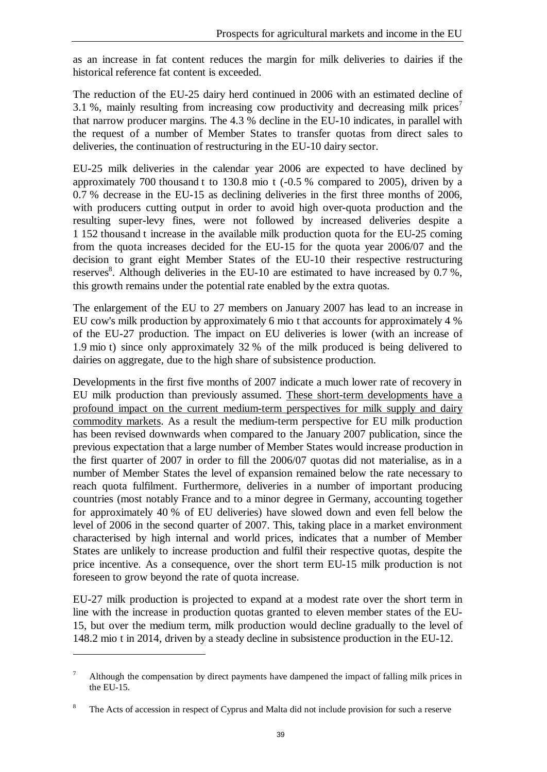as an increase in fat content reduces the margin for milk deliveries to dairies if the historical reference fat content is exceeded.

The reduction of the EU-25 dairy herd continued in 2006 with an estimated decline of 3.1 %, mainly resulting from increasing cow productivity and decreasing milk prices<sup>7</sup> that narrow producer margins. The 4.3 % decline in the EU-10 indicates, in parallel with the request of a number of Member States to transfer quotas from direct sales to deliveries, the continuation of restructuring in the EU-10 dairy sector.

EU-25 milk deliveries in the calendar year 2006 are expected to have declined by approximately 700 thousand t to 130.8 mio t (-0.5 % compared to 2005), driven by a 0.7 % decrease in the EU-15 as declining deliveries in the first three months of 2006, with producers cutting output in order to avoid high over-quota production and the resulting super-levy fines, were not followed by increased deliveries despite a 1 152 thousand t increase in the available milk production quota for the EU-25 coming from the quota increases decided for the EU-15 for the quota year 2006/07 and the decision to grant eight Member States of the EU-10 their respective restructuring reserves<sup>8</sup>. Although deliveries in the EU-10 are estimated to have increased by 0.7 %, this growth remains under the potential rate enabled by the extra quotas.

The enlargement of the EU to 27 members on January 2007 has lead to an increase in EU cow's milk production by approximately 6 mio t that accounts for approximately 4 % of the EU-27 production. The impact on EU deliveries is lower (with an increase of 1.9 mio t) since only approximately 32 % of the milk produced is being delivered to dairies on aggregate, due to the high share of subsistence production.

Developments in the first five months of 2007 indicate a much lower rate of recovery in EU milk production than previously assumed. These short-term developments have a profound impact on the current medium-term perspectives for milk supply and dairy commodity markets. As a result the medium-term perspective for EU milk production has been revised downwards when compared to the January 2007 publication, since the previous expectation that a large number of Member States would increase production in the first quarter of 2007 in order to fill the 2006/07 quotas did not materialise, as in a number of Member States the level of expansion remained below the rate necessary to reach quota fulfilment. Furthermore, deliveries in a number of important producing countries (most notably France and to a minor degree in Germany, accounting together for approximately 40 % of EU deliveries) have slowed down and even fell below the level of 2006 in the second quarter of 2007. This, taking place in a market environment characterised by high internal and world prices, indicates that a number of Member States are unlikely to increase production and fulfil their respective quotas, despite the price incentive. As a consequence, over the short term EU-15 milk production is not foreseen to grow beyond the rate of quota increase.

EU-27 milk production is projected to expand at a modest rate over the short term in line with the increase in production quotas granted to eleven member states of the EU-15, but over the medium term, milk production would decline gradually to the level of 148.2 mio t in 2014, driven by a steady decline in subsistence production in the EU-12.

 $\overline{a}$ 

<sup>7</sup> Although the compensation by direct payments have dampened the impact of falling milk prices in the EU-15.

The Acts of accession in respect of Cyprus and Malta did not include provision for such a reserve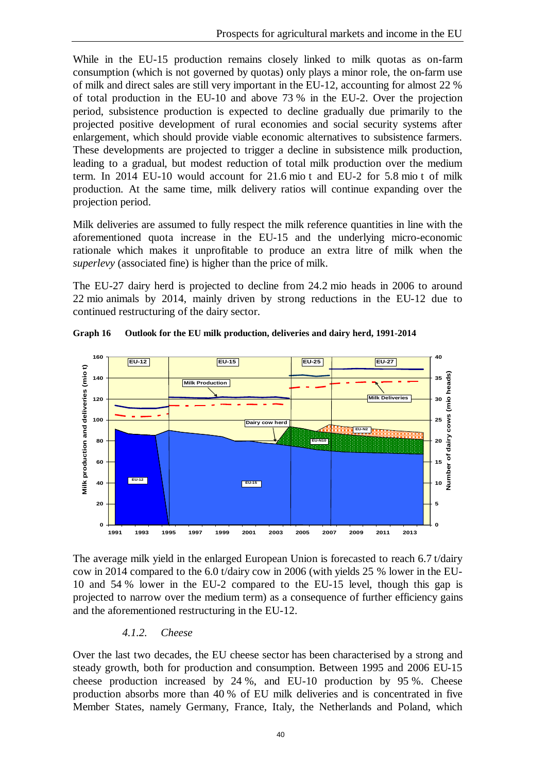While in the EU-15 production remains closely linked to milk quotas as on-farm consumption (which is not governed by quotas) only plays a minor role, the on-farm use of milk and direct sales are still very important in the EU-12, accounting for almost 22 % of total production in the EU-10 and above 73 % in the EU-2. Over the projection period, subsistence production is expected to decline gradually due primarily to the projected positive development of rural economies and social security systems after enlargement, which should provide viable economic alternatives to subsistence farmers. These developments are projected to trigger a decline in subsistence milk production, leading to a gradual, but modest reduction of total milk production over the medium term. In 2014 EU-10 would account for 21.6 mio t and EU-2 for 5.8 mio t of milk production. At the same time, milk delivery ratios will continue expanding over the projection period.

Milk deliveries are assumed to fully respect the milk reference quantities in line with the aforementioned quota increase in the EU-15 and the underlying micro-economic rationale which makes it unprofitable to produce an extra litre of milk when the *superlevy* (associated fine) is higher than the price of milk.

The EU-27 dairy herd is projected to decline from 24.2 mio heads in 2006 to around 22 mio animals by 2014, mainly driven by strong reductions in the EU-12 due to continued restructuring of the dairy sector.



**Graph 16 Outlook for the EU milk production, deliveries and dairy herd, 1991-2014**

The average milk yield in the enlarged European Union is forecasted to reach 6.7 t/dairy cow in 2014 compared to the 6.0 t/dairy cow in 2006 (with yields 25 % lower in the EU-10 and 54 % lower in the EU-2 compared to the EU-15 level, though this gap is projected to narrow over the medium term) as a consequence of further efficiency gains and the aforementioned restructuring in the EU-12.

#### *4.1.2. Cheese*

Over the last two decades, the EU cheese sector has been characterised by a strong and steady growth, both for production and consumption. Between 1995 and 2006 EU-15 cheese production increased by 24 %, and EU-10 production by 95 %. Cheese production absorbs more than 40 % of EU milk deliveries and is concentrated in five Member States, namely Germany, France, Italy, the Netherlands and Poland, which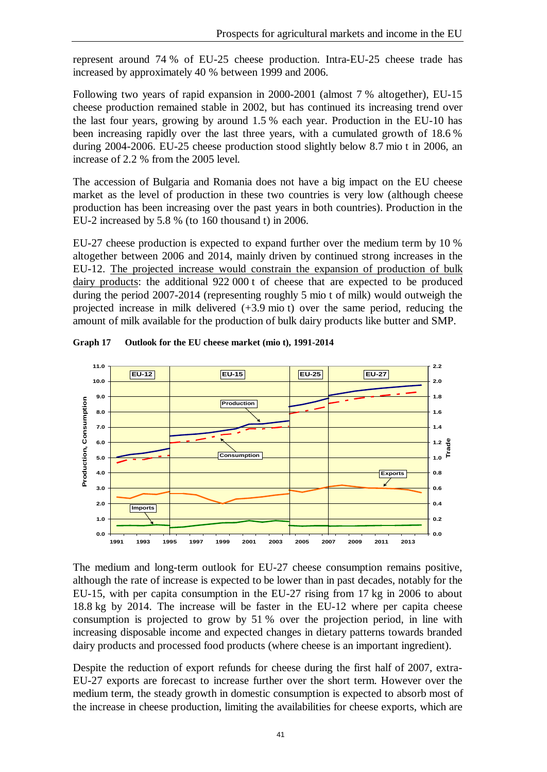represent around 74 % of EU-25 cheese production. Intra-EU-25 cheese trade has increased by approximately 40 % between 1999 and 2006.

Following two years of rapid expansion in 2000-2001 (almost 7 % altogether), EU-15 cheese production remained stable in 2002, but has continued its increasing trend over the last four years, growing by around 1.5 % each year. Production in the EU-10 has been increasing rapidly over the last three years, with a cumulated growth of 18.6 % during 2004-2006. EU-25 cheese production stood slightly below 8.7 mio t in 2006, an increase of 2.2 % from the 2005 level.

The accession of Bulgaria and Romania does not have a big impact on the EU cheese market as the level of production in these two countries is very low (although cheese production has been increasing over the past years in both countries). Production in the EU-2 increased by 5.8 % (to 160 thousand t) in 2006.

EU-27 cheese production is expected to expand further over the medium term by 10 % altogether between 2006 and 2014, mainly driven by continued strong increases in the EU-12. The projected increase would constrain the expansion of production of bulk dairy products: the additional 922 000 t of cheese that are expected to be produced during the period 2007-2014 (representing roughly 5 mio t of milk) would outweigh the projected increase in milk delivered (+3.9 mio t) over the same period, reducing the amount of milk available for the production of bulk dairy products like butter and SMP.



**Graph 17 Outlook for the EU cheese market (mio t), 1991-2014**

The medium and long-term outlook for EU-27 cheese consumption remains positive, although the rate of increase is expected to be lower than in past decades, notably for the EU-15, with per capita consumption in the EU-27 rising from 17 kg in 2006 to about 18.8 kg by 2014. The increase will be faster in the EU-12 where per capita cheese consumption is projected to grow by 51 % over the projection period, in line with increasing disposable income and expected changes in dietary patterns towards branded dairy products and processed food products (where cheese is an important ingredient).

Despite the reduction of export refunds for cheese during the first half of 2007, extra-EU-27 exports are forecast to increase further over the short term. However over the medium term, the steady growth in domestic consumption is expected to absorb most of the increase in cheese production, limiting the availabilities for cheese exports, which are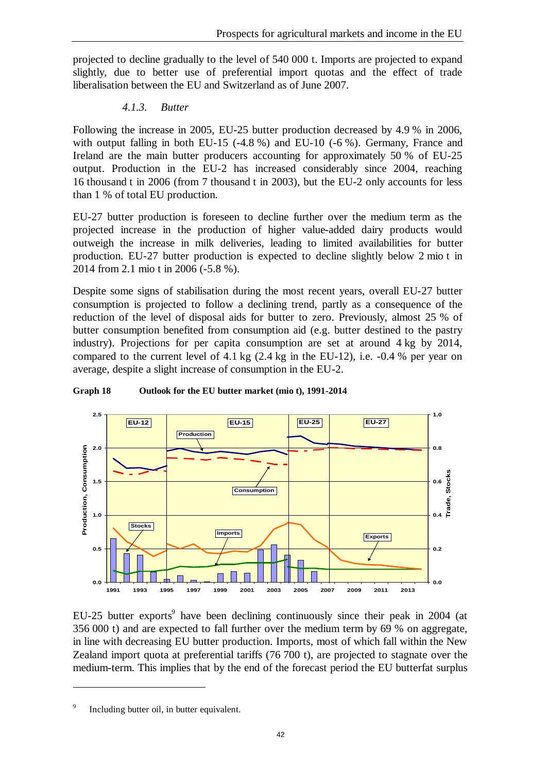projected to decline gradually to the level of 540 000 t. Imports are projected to expand slightly, due to better use of preferential import quotas and the effect of trade liberalisation between the EU and Switzerland as of June 2007.

#### *4.1.3. Butter*

Following the increase in 2005, EU-25 butter production decreased by 4.9 % in 2006, with output falling in both EU-15 (-4.8 %) and EU-10 (-6 %). Germany, France and Ireland are the main butter producers accounting for approximately 50 % of EU-25 output. Production in the EU-2 has increased considerably since 2004, reaching 16 thousand t in 2006 (from 7 thousand t in 2003), but the EU-2 only accounts for less than 1 % of total EU production.

EU-27 butter production is foreseen to decline further over the medium term as the projected increase in the production of higher value-added dairy products would outweigh the increase in milk deliveries, leading to limited availabilities for butter production. EU-27 butter production is expected to decline slightly below 2 mio t in 2014 from 2.1 mio t in 2006 (-5.8 %).

Despite some signs of stabilisation during the most recent years, overall EU-27 butter consumption is projected to follow a declining trend, partly as a consequence of the reduction of the level of disposal aids for butter to zero. Previously, almost 25 % of butter consumption benefited from consumption aid (e.g. butter destined to the pastry industry). Projections for per capita consumption are set at around 4 kg by 2014, compared to the current level of 4.1 kg (2.4 kg in the EU-12), i.e. -0.4 % per year on average, despite a slight increase of consumption in the EU-2.



#### **Graph 18 Outlook for the EU butter market (mio t), 1991-2014**

EU-25 butter exports<sup>9</sup> have been declining continuously since their peak in 2004 (at 356 000 t) and are expected to fall further over the medium term by 69 % on aggregate, in line with decreasing EU butter production. Imports, most of which fall within the New Zealand import quota at preferential tariffs (76 700 t), are projected to stagnate over the medium-term. This implies that by the end of the forecast period the EU butterfat surplus

 $\overline{a}$ 

<sup>9</sup> Including butter oil, in butter equivalent.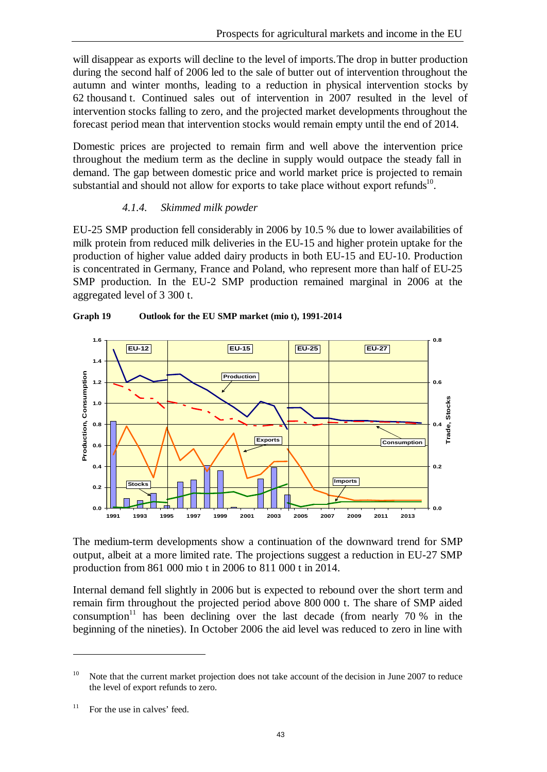**Trade, Stocks**

will disappear as exports will decline to the level of imports.The drop in butter production during the second half of 2006 led to the sale of butter out of intervention throughout the autumn and winter months, leading to a reduction in physical intervention stocks by 62 thousand t. Continued sales out of intervention in 2007 resulted in the level of intervention stocks falling to zero, and the projected market developments throughout the forecast period mean that intervention stocks would remain empty until the end of 2014.

Domestic prices are projected to remain firm and well above the intervention price throughout the medium term as the decline in supply would outpace the steady fall in demand. The gap between domestic price and world market price is projected to remain substantial and should not allow for exports to take place without export refunds<sup>10</sup>.

#### *4.1.4. Skimmed milk powder*

EU-25 SMP production fell considerably in 2006 by 10.5 % due to lower availabilities of milk protein from reduced milk deliveries in the EU-15 and higher protein uptake for the production of higher value added dairy products in both EU-15 and EU-10. Production is concentrated in Germany, France and Poland, who represent more than half of EU-25 SMP production. In the EU-2 SMP production remained marginal in 2006 at the aggregated level of 3 300 t.



#### **Graph 19 Outlook for the EU SMP market (mio t), 1991-2014**

The medium-term developments show a continuation of the downward trend for SMP output, albeit at a more limited rate. The projections suggest a reduction in EU-27 SMP production from 861 000 mio t in 2006 to 811 000 t in 2014.

Internal demand fell slightly in 2006 but is expected to rebound over the short term and remain firm throughout the projected period above 800 000 t. The share of SMP aided consumption<sup>11</sup> has been declining over the last decade (from nearly 70 % in the beginning of the nineties). In October 2006 the aid level was reduced to zero in line with

 $\overline{a}$ 

<sup>&</sup>lt;sup>10</sup> Note that the current market projection does not take account of the decision in June 2007 to reduce the level of export refunds to zero.

 $11$  For the use in calves' feed.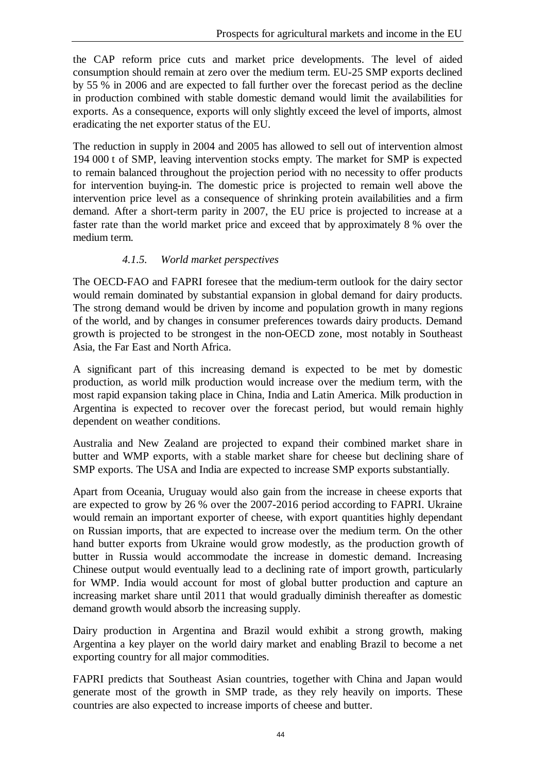the CAP reform price cuts and market price developments. The level of aided consumption should remain at zero over the medium term. EU-25 SMP exports declined by 55 % in 2006 and are expected to fall further over the forecast period as the decline in production combined with stable domestic demand would limit the availabilities for exports. As a consequence, exports will only slightly exceed the level of imports, almost eradicating the net exporter status of the EU.

The reduction in supply in 2004 and 2005 has allowed to sell out of intervention almost 194 000 t of SMP, leaving intervention stocks empty. The market for SMP is expected to remain balanced throughout the projection period with no necessity to offer products for intervention buying-in. The domestic price is projected to remain well above the intervention price level as a consequence of shrinking protein availabilities and a firm demand. After a short-term parity in 2007, the EU price is projected to increase at a faster rate than the world market price and exceed that by approximately 8 % over the medium term.

#### *4.1.5. World market perspectives*

The OECD-FAO and FAPRI foresee that the medium-term outlook for the dairy sector would remain dominated by substantial expansion in global demand for dairy products. The strong demand would be driven by income and population growth in many regions of the world, and by changes in consumer preferences towards dairy products. Demand growth is projected to be strongest in the non-OECD zone, most notably in Southeast Asia, the Far East and North Africa.

A significant part of this increasing demand is expected to be met by domestic production, as world milk production would increase over the medium term, with the most rapid expansion taking place in China, India and Latin America. Milk production in Argentina is expected to recover over the forecast period, but would remain highly dependent on weather conditions.

Australia and New Zealand are projected to expand their combined market share in butter and WMP exports, with a stable market share for cheese but declining share of SMP exports. The USA and India are expected to increase SMP exports substantially.

Apart from Oceania, Uruguay would also gain from the increase in cheese exports that are expected to grow by 26 % over the 2007-2016 period according to FAPRI. Ukraine would remain an important exporter of cheese, with export quantities highly dependant on Russian imports, that are expected to increase over the medium term. On the other hand butter exports from Ukraine would grow modestly, as the production growth of butter in Russia would accommodate the increase in domestic demand. Increasing Chinese output would eventually lead to a declining rate of import growth, particularly for WMP. India would account for most of global butter production and capture an increasing market share until 2011 that would gradually diminish thereafter as domestic demand growth would absorb the increasing supply.

Dairy production in Argentina and Brazil would exhibit a strong growth, making Argentina a key player on the world dairy market and enabling Brazil to become a net exporting country for all major commodities.

FAPRI predicts that Southeast Asian countries, together with China and Japan would generate most of the growth in SMP trade, as they rely heavily on imports. These countries are also expected to increase imports of cheese and butter.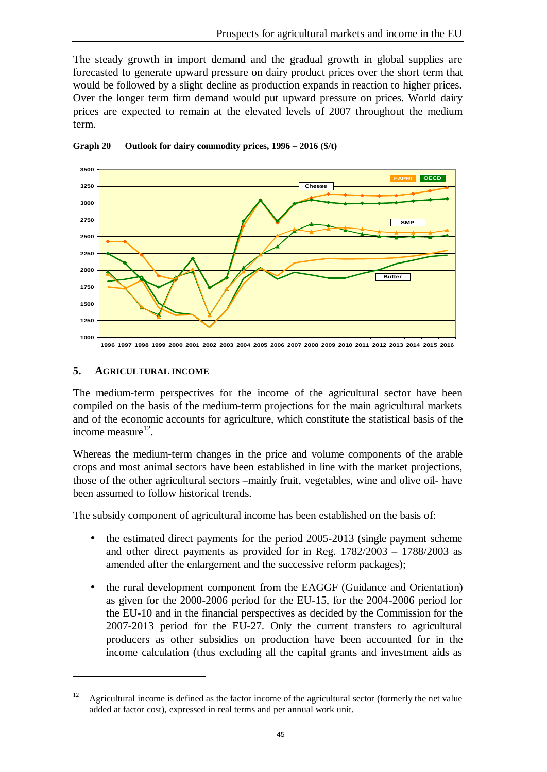The steady growth in import demand and the gradual growth in global supplies are forecasted to generate upward pressure on dairy product prices over the short term that would be followed by a slight decline as production expands in reaction to higher prices. Over the longer term firm demand would put upward pressure on prices. World dairy prices are expected to remain at the elevated levels of 2007 throughout the medium term.



#### **Graph 20 Outlook for dairy commodity prices, 1996 – 2016 (\$/t)**

#### **5. AGRICULTURAL INCOME**

 $\overline{a}$ 

The medium-term perspectives for the income of the agricultural sector have been compiled on the basis of the medium-term projections for the main agricultural markets and of the economic accounts for agriculture, which constitute the statistical basis of the income measure $^{12}$ .

Whereas the medium-term changes in the price and volume components of the arable crops and most animal sectors have been established in line with the market projections, those of the other agricultural sectors –mainly fruit, vegetables, wine and olive oil- have been assumed to follow historical trends.

The subsidy component of agricultural income has been established on the basis of:

- the estimated direct payments for the period 2005-2013 (single payment scheme and other direct payments as provided for in Reg. 1782/2003 – 1788/2003 as amended after the enlargement and the successive reform packages);
- the rural development component from the EAGGF (Guidance and Orientation) as given for the 2000-2006 period for the EU-15, for the 2004-2006 period for the EU-10 and in the financial perspectives as decided by the Commission for the 2007-2013 period for the EU-27. Only the current transfers to agricultural producers as other subsidies on production have been accounted for in the income calculation (thus excluding all the capital grants and investment aids as

<sup>&</sup>lt;sup>12</sup> Agricultural income is defined as the factor income of the agricultural sector (formerly the net value added at factor cost), expressed in real terms and per annual work unit.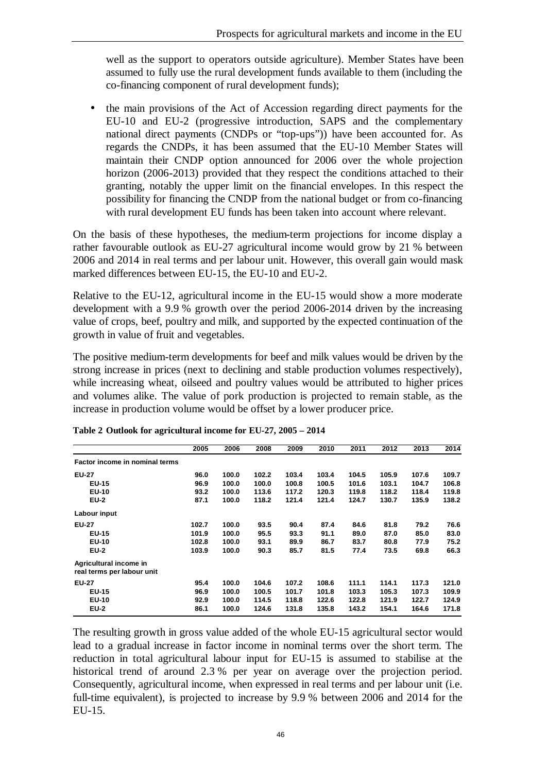well as the support to operators outside agriculture). Member States have been assumed to fully use the rural development funds available to them (including the co-financing component of rural development funds);

• the main provisions of the Act of Accession regarding direct payments for the EU-10 and EU-2 (progressive introduction, SAPS and the complementary national direct payments (CNDPs or "top-ups")) have been accounted for. As regards the CNDPs, it has been assumed that the EU-10 Member States will maintain their CNDP option announced for 2006 over the whole projection horizon (2006-2013) provided that they respect the conditions attached to their granting, notably the upper limit on the financial envelopes. In this respect the possibility for financing the CNDP from the national budget or from co-financing with rural development EU funds has been taken into account where relevant.

On the basis of these hypotheses, the medium-term projections for income display a rather favourable outlook as EU-27 agricultural income would grow by 21 % between 2006 and 2014 in real terms and per labour unit. However, this overall gain would mask marked differences between EU-15, the EU-10 and EU-2.

Relative to the EU-12, agricultural income in the EU-15 would show a more moderate development with a 9.9 % growth over the period 2006-2014 driven by the increasing value of crops, beef, poultry and milk, and supported by the expected continuation of the growth in value of fruit and vegetables.

The positive medium-term developments for beef and milk values would be driven by the strong increase in prices (next to declining and stable production volumes respectively), while increasing wheat, oilseed and poultry values would be attributed to higher prices and volumes alike. The value of pork production is projected to remain stable, as the increase in production volume would be offset by a lower producer price.

|                                                      | 2005  | 2006  | 2008  | 2009  | 2010  | 2011  | 2012  | 2013  | 2014  |
|------------------------------------------------------|-------|-------|-------|-------|-------|-------|-------|-------|-------|
| Factor income in nominal terms                       |       |       |       |       |       |       |       |       |       |
| <b>EU-27</b>                                         | 96.0  | 100.0 | 102.2 | 103.4 | 103.4 | 104.5 | 105.9 | 107.6 | 109.7 |
| <b>EU-15</b>                                         | 96.9  | 100.0 | 100.0 | 100.8 | 100.5 | 101.6 | 103.1 | 104.7 | 106.8 |
| <b>EU-10</b>                                         | 93.2  | 100.0 | 113.6 | 117.2 | 120.3 | 119.8 | 118.2 | 118.4 | 119.8 |
| <b>EU-2</b>                                          | 87.1  | 100.0 | 118.2 | 121.4 | 121.4 | 124.7 | 130.7 | 135.9 | 138.2 |
| Labour input                                         |       |       |       |       |       |       |       |       |       |
| <b>EU-27</b>                                         | 102.7 | 100.0 | 93.5  | 90.4  | 87.4  | 84.6  | 81.8  | 79.2  | 76.6  |
| <b>EU-15</b>                                         | 101.9 | 100.0 | 95.5  | 93.3  | 91.1  | 89.0  | 87.0  | 85.0  | 83.0  |
| EU-10                                                | 102.8 | 100.0 | 93.1  | 89.9  | 86.7  | 83.7  | 80.8  | 77.9  | 75.2  |
| <b>EU-2</b>                                          | 103.9 | 100.0 | 90.3  | 85.7  | 81.5  | 77.4  | 73.5  | 69.8  | 66.3  |
| Agricultural income in<br>real terms per labour unit |       |       |       |       |       |       |       |       |       |
| <b>EU-27</b>                                         | 95.4  | 100.0 | 104.6 | 107.2 | 108.6 | 111.1 | 114.1 | 117.3 | 121.0 |
| <b>EU-15</b>                                         | 96.9  | 100.0 | 100.5 | 101.7 | 101.8 | 103.3 | 105.3 | 107.3 | 109.9 |
| EU-10                                                | 92.9  | 100.0 | 114.5 | 118.8 | 122.6 | 122.8 | 121.9 | 122.7 | 124.9 |
| <b>EU-2</b>                                          | 86.1  | 100.0 | 124.6 | 131.8 | 135.8 | 143.2 | 154.1 | 164.6 | 171.8 |

|  |  | Table 2 Outlook for agricultural income for EU-27, 2005 - 2014 |  |  |
|--|--|----------------------------------------------------------------|--|--|
|  |  |                                                                |  |  |

The resulting growth in gross value added of the whole EU-15 agricultural sector would lead to a gradual increase in factor income in nominal terms over the short term. The reduction in total agricultural labour input for EU-15 is assumed to stabilise at the historical trend of around 2.3 % per year on average over the projection period. Consequently, agricultural income, when expressed in real terms and per labour unit (i.e. full-time equivalent), is projected to increase by 9.9 % between 2006 and 2014 for the EU-15.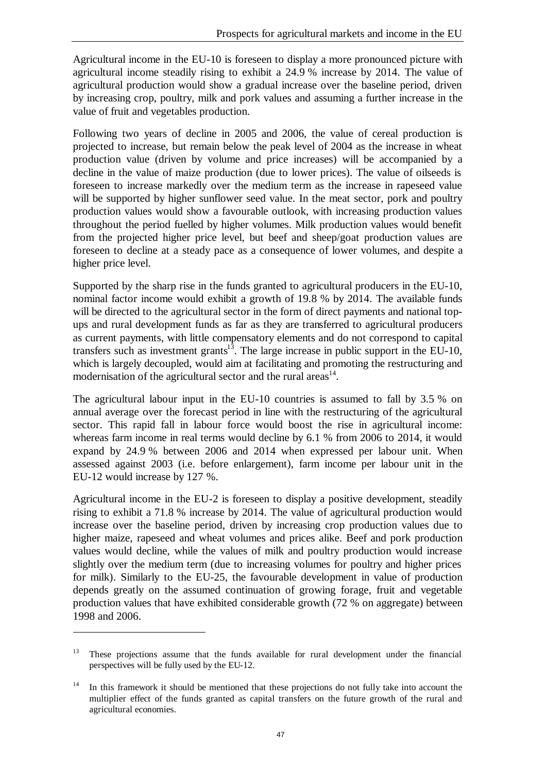Agricultural income in the EU-10 is foreseen to display a more pronounced picture with agricultural income steadily rising to exhibit a 24.9 % increase by 2014. The value of agricultural production would show a gradual increase over the baseline period, driven by increasing crop, poultry, milk and pork values and assuming a further increase in the value of fruit and vegetables production.

Following two years of decline in 2005 and 2006, the value of cereal production is projected to increase, but remain below the peak level of 2004 as the increase in wheat production value (driven by volume and price increases) will be accompanied by a decline in the value of maize production (due to lower prices). The value of oilseeds is foreseen to increase markedly over the medium term as the increase in rapeseed value will be supported by higher sunflower seed value. In the meat sector, pork and poultry production values would show a favourable outlook, with increasing production values throughout the period fuelled by higher volumes. Milk production values would benefit from the projected higher price level, but beef and sheep/goat production values are foreseen to decline at a steady pace as a consequence of lower volumes, and despite a higher price level.

Supported by the sharp rise in the funds granted to agricultural producers in the EU-10, nominal factor income would exhibit a growth of 19.8 % by 2014. The available funds will be directed to the agricultural sector in the form of direct payments and national topups and rural development funds as far as they are transferred to agricultural producers as current payments, with little compensatory elements and do not correspond to capital transfers such as investment grants $1^3$ . The large increase in public support in the EU-10, which is largely decoupled, would aim at facilitating and promoting the restructuring and modernisation of the agricultural sector and the rural areas $14$ .

The agricultural labour input in the EU-10 countries is assumed to fall by 3.5 % on annual average over the forecast period in line with the restructuring of the agricultural sector. This rapid fall in labour force would boost the rise in agricultural income: whereas farm income in real terms would decline by 6.1 % from 2006 to 2014, it would expand by 24.9 % between 2006 and 2014 when expressed per labour unit. When assessed against 2003 (i.e. before enlargement), farm income per labour unit in the EU-12 would increase by 127 %.

Agricultural income in the EU-2 is foreseen to display a positive development, steadily rising to exhibit a 71.8 % increase by 2014. The value of agricultural production would increase over the baseline period, driven by increasing crop production values due to higher maize, rapeseed and wheat volumes and prices alike. Beef and pork production values would decline, while the values of milk and poultry production would increase slightly over the medium term (due to increasing volumes for poultry and higher prices for milk). Similarly to the EU-25, the favourable development in value of production depends greatly on the assumed continuation of growing forage, fruit and vegetable production values that have exhibited considerable growth (72 % on aggregate) between 1998 and 2006.

 $\overline{a}$ 

<sup>&</sup>lt;sup>13</sup> These projections assume that the funds available for rural development under the financial perspectives will be fully used by the EU-12.

In this framework it should be mentioned that these projections do not fully take into account the multiplier effect of the funds granted as capital transfers on the future growth of the rural and agricultural economies.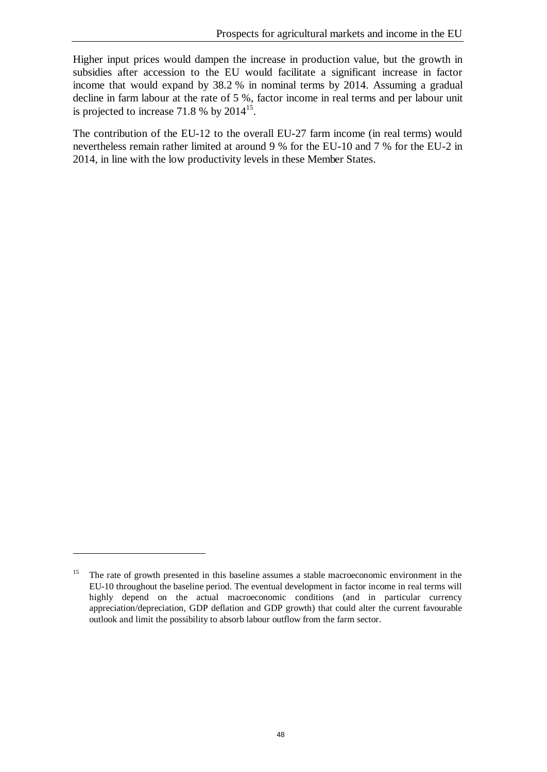Higher input prices would dampen the increase in production value, but the growth in subsidies after accession to the EU would facilitate a significant increase in factor income that would expand by 38.2 % in nominal terms by 2014. Assuming a gradual decline in farm labour at the rate of 5 %, factor income in real terms and per labour unit is projected to increase 71.8 % by  $2014^{15}$ .

The contribution of the EU-12 to the overall EU-27 farm income (in real terms) would nevertheless remain rather limited at around 9 % for the EU-10 and 7 % for the EU-2 in 2014, in line with the low productivity levels in these Member States.

 $\overline{a}$ 

<sup>&</sup>lt;sup>15</sup> The rate of growth presented in this baseline assumes a stable macroeconomic environment in the EU-10 throughout the baseline period. The eventual development in factor income in real terms will highly depend on the actual macroeconomic conditions (and in particular currency appreciation/depreciation, GDP deflation and GDP growth) that could alter the current favourable outlook and limit the possibility to absorb labour outflow from the farm sector.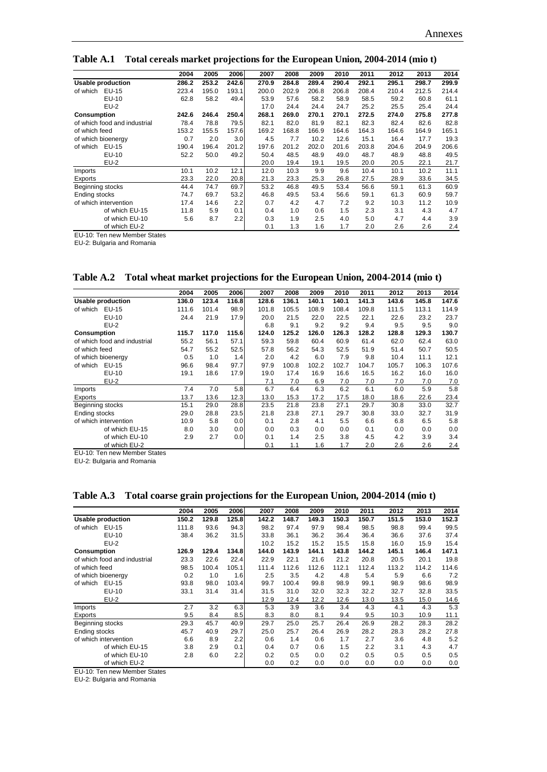**Table A.1 Total cereals market projections for the European Union, 2004-2014 (mio t)**

|                              | 2004  | 2005  | 2006  | 2007  | 2008  | 2009  | 2010  | 2011  | 2012  | 2013  | 2014  |
|------------------------------|-------|-------|-------|-------|-------|-------|-------|-------|-------|-------|-------|
| <b>Usable production</b>     | 286.2 | 253.2 | 242.6 | 270.9 | 284.8 | 289.4 | 290.4 | 292.1 | 295.1 | 298.7 | 299.9 |
| EU-15<br>of which            | 223.4 | 195.0 | 193.1 | 200.0 | 202.9 | 206.8 | 206.8 | 208.4 | 210.4 | 212.5 | 214.4 |
| EU-10                        | 62.8  | 58.2  | 49.4  | 53.9  | 57.6  | 58.2  | 58.9  | 58.5  | 59.2  | 60.8  | 61.1  |
| $EU-2$                       |       |       |       | 17.0  | 24.4  | 24.4  | 24.7  | 25.2  | 25.5  | 25.4  | 24.4  |
| Consumption                  | 242.6 | 246.4 | 250.4 | 268.1 | 269.0 | 270.1 | 270.1 | 272.5 | 274.0 | 275.8 | 277.8 |
| of which food and industrial | 78.4  | 78.8  | 79.5  | 82.1  | 82.0  | 81.9  | 82.1  | 82.3  | 82.4  | 82.6  | 82.8  |
| of which feed                | 153.2 | 155.5 | 157.6 | 169.2 | 168.8 | 166.9 | 164.6 | 164.3 | 164.6 | 164.9 | 165.1 |
| of which bioenergy           | 0.7   | 2.0   | 3.0   | 4.5   | 7.7   | 10.2  | 12.6  | 15.1  | 16.4  | 17.7  | 19.3  |
| EU-15<br>of which            | 190.4 | 196.4 | 201.2 | 197.6 | 201.2 | 202.0 | 201.6 | 203.8 | 204.6 | 204.9 | 206.6 |
| EU-10                        | 52.2  | 50.0  | 49.2  | 50.4  | 48.5  | 48.9  | 49.0  | 48.7  | 48.9  | 48.8  | 49.5  |
| $EU-2$                       |       |       |       | 20.0  | 19.4  | 19.1  | 19.5  | 20.0  | 20.5  | 22.1  | 21.7  |
| Imports                      | 10.1  | 10.2  | 12.1  | 12.0  | 10.3  | 9.9   | 9.6   | 10.4  | 10.1  | 10.2  | 11.1  |
| Exports                      | 23.3  | 22.0  | 20.8  | 21.3  | 23.3  | 25.3  | 26.8  | 27.5  | 28.9  | 33.6  | 34.5  |
| Beginning stocks             | 44.4  | 74.7  | 69.7  | 53.2  | 46.8  | 49.5  | 53.4  | 56.6  | 59.1  | 61.3  | 60.9  |
| Ending stocks                | 74.7  | 69.7  | 53.2  | 46.8  | 49.5  | 53.4  | 56.6  | 59.1  | 61.3  | 60.9  | 59.7  |
| of which intervention        | 17.4  | 14.6  | 2.2   | 0.7   | 4.2   | 4.7   | 7.2   | 9.2   | 10.3  | 11.2  | 10.9  |
| of which EU-15               | 11.8  | 5.9   | 0.1   | 0.4   | 1.0   | 0.6   | 1.5   | 2.3   | 3.1   | 4.3   | 4.7   |
| of which EU-10               | 5.6   | 8.7   | 2.2   | 0.3   | 1.9   | 2.5   | 4.0   | 5.0   | 4.7   | 4.4   | 3.9   |
| of which EU-2                |       |       |       | 0.1   | 1.3   | 1.6   | 1.7   | 2.0   | 2.6   | 2.6   | 2.4   |

EU-10: Ten new Member States

EU-2: Bulgaria and Romania

**Table A.2 Total wheat market projections for the European Union, 2004-2014 (mio t)**

|                              | 2004  | 2005  | 2006  | 2007  | 2008  | 2009  | 2010  | 2011  | 2012  | 2013  | 2014  |
|------------------------------|-------|-------|-------|-------|-------|-------|-------|-------|-------|-------|-------|
| <b>Usable production</b>     | 136.0 | 123.4 | 116.8 | 128.6 | 136.1 | 140.1 | 140.1 | 141.3 | 143.6 | 145.8 | 147.6 |
| of which<br>EU-15            | 111.6 | 101.4 | 98.9  | 101.8 | 105.5 | 108.9 | 108.4 | 109.8 | 111.5 | 113.1 | 114.9 |
| $EU-10$                      | 24.4  | 21.9  | 17.9  | 20.0  | 21.5  | 22.0  | 22.5  | 22.1  | 22.6  | 23.2  | 23.7  |
| $EU-2$                       |       |       |       | 6.8   | 9.1   | 9.2   | 9.2   | 9.4   | 9.5   | 9.5   | 9.0   |
| Consumption                  | 115.7 | 117.0 | 115.6 | 124.0 | 125.2 | 126.0 | 126.3 | 128.2 | 128.8 | 129.3 | 130.7 |
| of which food and industrial | 55.2  | 56.1  | 57.1  | 59.3  | 59.8  | 60.4  | 60.9  | 61.4  | 62.0  | 62.4  | 63.0  |
| of which feed                | 54.7  | 55.2  | 52.5  | 57.8  | 56.2  | 54.3  | 52.5  | 51.9  | 51.4  | 50.7  | 50.5  |
| of which bioenergy           | 0.5   | 1.0   | 1.4   | 2.0   | 4.2   | 6.0   | 7.9   | 9.8   | 10.4  | 11.1  | 12.1  |
| EU-15<br>of which            | 96.6  | 98.4  | 97.7  | 97.9  | 100.8 | 102.2 | 102.7 | 104.7 | 105.7 | 106.3 | 107.6 |
| EU-10                        | 19.1  | 18.6  | 17.9  | 19.0  | 17.4  | 16.9  | 16.6  | 16.5  | 16.2  | 16.0  | 16.0  |
| $EU-2$                       |       |       |       | 7.1   | 7.0   | 6.9   | 7.0   | 7.0   | 7.0   | 7.0   | 7.0   |
| Imports                      | 7.4   | 7.0   | 5.8   | 6.7   | 6.4   | 6.3   | 6.2   | 6.1   | 6.0   | 5.9   | 5.8   |
| Exports                      | 13.7  | 13.6  | 12.3  | 13.0  | 15.3  | 17.2  | 17.5  | 18.0  | 18.6  | 22.6  | 23.4  |
| Beginning stocks             | 15.1  | 29.0  | 28.8  | 23.5  | 21.8  | 23.8  | 27.1  | 29.7  | 30.8  | 33.0  | 32.7  |
| Ending stocks                | 29.0  | 28.8  | 23.5  | 21.8  | 23.8  | 27.1  | 29.7  | 30.8  | 33.0  | 32.7  | 31.9  |
| of which intervention        | 10.9  | 5.8   | 0.0   | 0.1   | 2.8   | 4.1   | 5.5   | 6.6   | 6.8   | 6.5   | 5.8   |
| of which EU-15               | 8.0   | 3.0   | 0.0   | 0.0   | 0.3   | 0.0   | 0.0   | 0.1   | 0.0   | 0.0   | 0.0   |
| of which EU-10               | 2.9   | 2.7   | 0.0   | 0.1   | 1.4   | 2.5   | 3.8   | 4.5   | 4.2   | 3.9   | 3.4   |
| of which EU-2                |       |       |       | 0.1   | 1.1   | 1.6   | 1.7   | 2.0   | 2.6   | 2.6   | 2.4   |

EU-10: Ten new Member States

EU-2: Bulgaria and Romania

**Table A.3 Total coarse grain projections for the European Union, 2004-2014 (mio t)**

|                              | 2004  | 2005  | 2006  | 2007  | 2008  | 2009  | 2010  | 2011  | 2012  | 2013  | 2014  |
|------------------------------|-------|-------|-------|-------|-------|-------|-------|-------|-------|-------|-------|
| <b>Usable production</b>     | 150.2 | 129.8 | 125.8 | 142.2 | 148.7 | 149.3 | 150.3 | 150.7 | 151.5 | 153.0 | 152.3 |
| EU-15<br>of which            | 111.8 | 93.6  | 94.3  | 98.2  | 97.4  | 97.9  | 98.4  | 98.5  | 98.8  | 99.4  | 99.5  |
| EU-10                        | 38.4  | 36.2  | 31.5  | 33.8  | 36.1  | 36.2  | 36.4  | 36.4  | 36.6  | 37.6  | 37.4  |
| $EU-2$                       |       |       |       | 10.2  | 15.2  | 15.2  | 15.5  | 15.8  | 16.0  | 15.9  | 15.4  |
| Consumption                  | 126.9 | 129.4 | 134.8 | 144.0 | 143.9 | 144.1 | 143.8 | 144.2 | 145.1 | 146.4 | 147.1 |
| of which food and industrial | 23.3  | 22.6  | 22.4  | 22.9  | 22.1  | 21.6  | 21.2  | 20.8  | 20.5  | 20.1  | 19.8  |
| of which feed                | 98.5  | 100.4 | 105.1 | 111.4 | 112.6 | 112.6 | 112.1 | 112.4 | 113.2 | 114.2 | 114.6 |
| of which bioenerav           | 0.2   | 1.0   | 1.6   | 2.5   | 3.5   | 4.2   | 4.8   | 5.4   | 5.9   | 6.6   | 7.2   |
| EU-15<br>of which            | 93.8  | 98.0  | 103.4 | 99.7  | 100.4 | 99.8  | 98.9  | 99.1  | 98.9  | 98.6  | 98.9  |
| EU-10                        | 33.1  | 31.4  | 31.4  | 31.5  | 31.0  | 32.0  | 32.3  | 32.2  | 32.7  | 32.8  | 33.5  |
| $EU-2$                       |       |       |       | 12.9  | 12.4  | 12.2  | 12.6  | 13.0  | 13.5  | 15.0  | 14.6  |
| Imports                      | 2.7   | 3.2   | 6.3   | 5.3   | 3.9   | 3.6   | 3.4   | 4.3   | 4.1   | 4.3   | 5.3   |
| Exports                      | 9.5   | 8.4   | 8.5   | 8.3   | 8.0   | 8.1   | 9.4   | 9.5   | 10.3  | 10.9  | 11.1  |
| Beginning stocks             | 29.3  | 45.7  | 40.9  | 29.7  | 25.0  | 25.7  | 26.4  | 26.9  | 28.2  | 28.3  | 28.2  |
| Ending stocks                | 45.7  | 40.9  | 29.7  | 25.0  | 25.7  | 26.4  | 26.9  | 28.2  | 28.3  | 28.2  | 27.8  |
| of which intervention        | 6.6   | 8.9   | 2.2   | 0.6   | 1.4   | 0.6   | 1.7   | 2.7   | 3.6   | 4.8   | 5.2   |
| of which EU-15               | 3.8   | 2.9   | 0.1   | 0.4   | 0.7   | 0.6   | 1.5   | 2.2   | 3.1   | 4.3   | 4.7   |
| of which EU-10               | 2.8   | 6.0   | 2.2   | 0.2   | 0.5   | 0.0   | 0.2   | 0.5   | 0.5   | 0.5   | 0.5   |
| of which EU-2                |       |       |       | 0.0   | 0.2   | 0.0   | 0.0   | 0.0   | 0.0   | 0.0   | 0.0   |

EU-10: Ten new Member States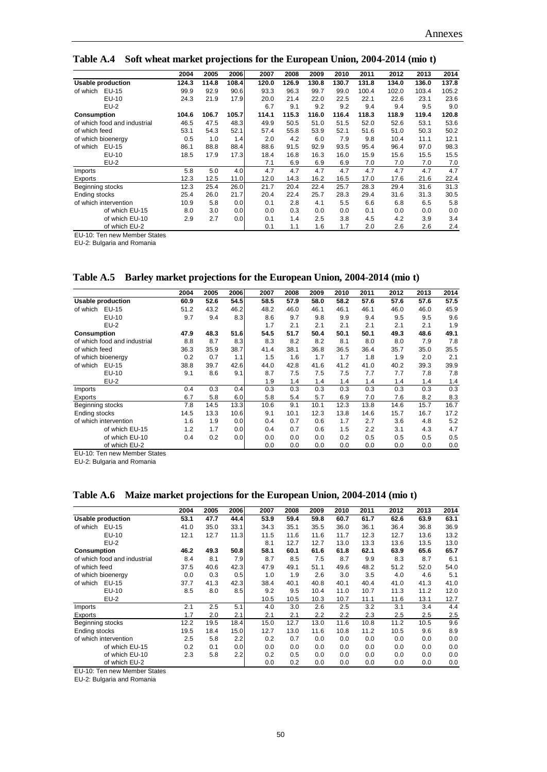**Table A.4 Soft wheat market projections for the European Union, 2004-2014 (mio t)**

|                              | 2004  | 2005  | 2006  | 2007  | 2008  | 2009  | 2010  | 2011  | 2012  | 2013  | 2014  |
|------------------------------|-------|-------|-------|-------|-------|-------|-------|-------|-------|-------|-------|
| <b>Usable production</b>     | 124.3 | 114.8 | 108.4 | 120.0 | 126.9 | 130.8 | 130.7 | 131.8 | 134.0 | 136.0 | 137.8 |
| of which<br>EU-15            | 99.9  | 92.9  | 90.6  | 93.3  | 96.3  | 99.7  | 99.0  | 100.4 | 102.0 | 103.4 | 105.2 |
| EU-10                        | 24.3  | 21.9  | 17.9  | 20.0  | 21.4  | 22.0  | 22.5  | 22.1  | 22.6  | 23.1  | 23.6  |
| $EU-2$                       |       |       |       | 6.7   | 9.1   | 9.2   | 9.2   | 9.4   | 9.4   | 9.5   | 9.0   |
| Consumption                  | 104.6 | 106.7 | 105.7 | 114.1 | 115.3 | 116.0 | 116.4 | 118.3 | 118.9 | 119.4 | 120.8 |
| of which food and industrial | 46.5  | 47.5  | 48.3  | 49.9  | 50.5  | 51.0  | 51.5  | 52.0  | 52.6  | 53.1  | 53.6  |
| of which feed                | 53.1  | 54.3  | 52.1  | 57.4  | 55.8  | 53.9  | 52.1  | 51.6  | 51.0  | 50.3  | 50.2  |
| of which bioenergy           | 0.5   | 1.0   | 1.4   | 2.0   | 4.2   | 6.0   | 7.9   | 9.8   | 10.4  | 11.1  | 12.1  |
| EU-15<br>of which            | 86.1  | 88.8  | 88.4  | 88.6  | 91.5  | 92.9  | 93.5  | 95.4  | 96.4  | 97.0  | 98.3  |
| EU-10                        | 18.5  | 17.9  | 17.3  | 18.4  | 16.8  | 16.3  | 16.0  | 15.9  | 15.6  | 15.5  | 15.5  |
| $EU-2$                       |       |       |       | 7.1   | 6.9   | 6.9   | 6.9   | 7.0   | 7.0   | 7.0   | 7.0   |
| Imports                      | 5.8   | 5.0   | 4.0   | 4.7   | 4.7   | 4.7   | 4.7   | 4.7   | 4.7   | 4.7   | 4.7   |
| Exports                      | 12.3  | 12.5  | 11.0  | 12.0  | 14.3  | 16.2  | 16.5  | 17.0  | 17.6  | 21.6  | 22.4  |
| Beginning stocks             | 12.3  | 25.4  | 26.0  | 21.7  | 20.4  | 22.4  | 25.7  | 28.3  | 29.4  | 31.6  | 31.3  |
| Ending stocks                | 25.4  | 26.0  | 21.7  | 20.4  | 22.4  | 25.7  | 28.3  | 29.4  | 31.6  | 31.3  | 30.5  |
| of which intervention        | 10.9  | 5.8   | 0.0   | 0.1   | 2.8   | 4.1   | 5.5   | 6.6   | 6.8   | 6.5   | 5.8   |
| of which EU-15               | 8.0   | 3.0   | 0.0   | 0.0   | 0.3   | 0.0   | 0.0   | 0.1   | 0.0   | 0.0   | 0.0   |
| of which EU-10               | 2.9   | 2.7   | 0.0   | 0.1   | 1.4   | 2.5   | 3.8   | 4.5   | 4.2   | 3.9   | 3.4   |
| of which EU-2                |       |       |       | 0.1   | 1.1   | 1.6   | 1.7   | 2.0   | 2.6   | 2.6   | 2.4   |

EU-10: Ten new Member States

EU-2: Bulgaria and Romania

**Table A.5 Barley market projections for the European Union, 2004-2014 (mio t)**

|                              | 2004 | 2005 | 2006 | 2007 | 2008 | 2009 | 2010 | 2011 | 2012 | 2013 | 2014 |
|------------------------------|------|------|------|------|------|------|------|------|------|------|------|
| <b>Usable production</b>     | 60.9 | 52.6 | 54.5 | 58.5 | 57.9 | 58.0 | 58.2 | 57.6 | 57.6 | 57.6 | 57.5 |
| of which<br>EU-15            | 51.2 | 43.2 | 46.2 | 48.2 | 46.0 | 46.1 | 46.1 | 46.1 | 46.0 | 46.0 | 45.9 |
| $EU-10$                      | 9.7  | 9.4  | 8.3  | 8.6  | 9.7  | 9.8  | 9.9  | 9.4  | 9.5  | 9.5  | 9.6  |
| $EU-2$                       |      |      |      | 1.7  | 2.1  | 2.1  | 2.1  | 2.1  | 2.1  | 2.1  | 1.9  |
| Consumption                  | 47.9 | 48.3 | 51.6 | 54.5 | 51.7 | 50.4 | 50.1 | 50.1 | 49.3 | 48.6 | 49.1 |
| of which food and industrial | 8.8  | 8.7  | 8.3  | 8.3  | 8.2  | 8.2  | 8.1  | 8.0  | 8.0  | 7.9  | 7.8  |
| of which feed                | 36.3 | 35.9 | 38.7 | 41.4 | 38.1 | 36.8 | 36.5 | 36.4 | 35.7 | 35.0 | 35.5 |
| of which bioenergy           | 0.2  | 0.7  | 1.1  | 1.5  | 1.6  | 1.7  | 1.7  | 1.8  | 1.9  | 2.0  | 2.1  |
| of which<br>EU-15            | 38.8 | 39.7 | 42.6 | 44.0 | 42.8 | 41.6 | 41.2 | 41.0 | 40.2 | 39.3 | 39.9 |
| EU-10                        | 9.1  | 8.6  | 9.1  | 8.7  | 7.5  | 7.5  | 7.5  | 7.7  | 7.7  | 7.8  | 7.8  |
| $EU-2$                       |      |      |      | 1.9  | 1.4  | 1.4  | 1.4  | 1.4  | 1.4  | 1.4  | 1.4  |
| Imports                      | 0.4  | 0.3  | 0.4  | 0.3  | 0.3  | 0.3  | 0.3  | 0.3  | 0.3  | 0.3  | 0.3  |
| Exports                      | 6.7  | 5.8  | 6.0  | 5.8  | 5.4  | 5.7  | 6.9  | 7.0  | 7.6  | 8.2  | 8.3  |
| Beginning stocks             | 7.8  | 14.5 | 13.3 | 10.6 | 9.1  | 10.1 | 12.3 | 13.8 | 14.6 | 15.7 | 16.7 |
| Ending stocks                | 14.5 | 13.3 | 10.6 | 9.1  | 10.1 | 12.3 | 13.8 | 14.6 | 15.7 | 16.7 | 17.2 |
| of which intervention        | 1.6  | 1.9  | 0.0  | 0.4  | 0.7  | 0.6  | 1.7  | 2.7  | 3.6  | 4.8  | 5.2  |
| of which EU-15               | 1.2  | 1.7  | 0.0  | 0.4  | 0.7  | 0.6  | 1.5  | 2.2  | 3.1  | 4.3  | 4.7  |
| of which EU-10               | 0.4  | 0.2  | 0.0  | 0.0  | 0.0  | 0.0  | 0.2  | 0.5  | 0.5  | 0.5  | 0.5  |
| of which EU-2                |      |      |      | 0.0  | 0.0  | 0.0  | 0.0  | 0.0  | 0.0  | 0.0  | 0.0  |

EU-10: Ten new Member States

EU-2: Bulgaria and Romania

**Table A.6 Maize market projections for the European Union, 2004-2014 (mio t)**

|                              | 2004 | 2005 | 2006 | 2007 | 2008 | 2009 | 2010 | 2011 | 2012 | 2013 | 2014 |
|------------------------------|------|------|------|------|------|------|------|------|------|------|------|
| <b>Usable production</b>     | 53.1 | 47.7 | 44.4 | 53.9 | 59.4 | 59.8 | 60.7 | 61.7 | 62.6 | 63.9 | 63.1 |
| of which<br>EU-15            | 41.0 | 35.0 | 33.1 | 34.3 | 35.1 | 35.5 | 36.0 | 36.1 | 36.4 | 36.8 | 36.9 |
| EU-10                        | 12.1 | 12.7 | 11.3 | 11.5 | 11.6 | 11.6 | 11.7 | 12.3 | 12.7 | 13.6 | 13.2 |
| $EU-2$                       |      |      |      | 8.1  | 12.7 | 12.7 | 13.0 | 13.3 | 13.6 | 13.5 | 13.0 |
| Consumption                  | 46.2 | 49.3 | 50.8 | 58.1 | 60.1 | 61.6 | 61.8 | 62.1 | 63.9 | 65.6 | 65.7 |
| of which food and industrial | 8.4  | 8.1  | 7.9  | 8.7  | 8.5  | 7.5  | 8.7  | 9.9  | 8.3  | 8.7  | 6.1  |
| of which feed                | 37.5 | 40.6 | 42.3 | 47.9 | 49.1 | 51.1 | 49.6 | 48.2 | 51.2 | 52.0 | 54.0 |
| of which bioenergy           | 0.0  | 0.3  | 0.5  | 1.0  | 1.9  | 2.6  | 3.0  | 3.5  | 4.0  | 4.6  | 5.1  |
| of which<br>EU-15            | 37.7 | 41.3 | 42.3 | 38.4 | 40.1 | 40.8 | 40.1 | 40.4 | 41.0 | 41.3 | 41.0 |
| EU-10                        | 8.5  | 8.0  | 8.5  | 9.2  | 9.5  | 10.4 | 11.0 | 10.7 | 11.3 | 11.2 | 12.0 |
| $EU-2$                       |      |      |      | 10.5 | 10.5 | 10.3 | 10.7 | 11.1 | 11.6 | 13.1 | 12.7 |
| Imports                      | 2.1  | 2.5  | 5.1  | 4.0  | 3.0  | 2.6  | 2.5  | 3.2  | 3.1  | 3.4  | 4.4  |
| Exports                      | 1.7  | 2.0  | 2.1  | 2.1  | 2.1  | 2.2  | 2.2  | 2.3  | 2.5  | 2.5  | 2.5  |
| Beginning stocks             | 12.2 | 19.5 | 18.4 | 15.0 | 12.7 | 13.0 | 11.6 | 10.8 | 11.2 | 10.5 | 9.6  |
| Ending stocks                | 19.5 | 18.4 | 15.0 | 12.7 | 13.0 | 11.6 | 10.8 | 11.2 | 10.5 | 9.6  | 8.9  |
| of which intervention        | 2.5  | 5.8  | 2.2  | 0.2  | 0.7  | 0.0  | 0.0  | 0.0  | 0.0  | 0.0  | 0.0  |
| of which EU-15               | 0.2  | 0.1  | 0.0  | 0.0  | 0.0  | 0.0  | 0.0  | 0.0  | 0.0  | 0.0  | 0.0  |
| of which EU-10               | 2.3  | 5.8  | 2.2  | 0.2  | 0.5  | 0.0  | 0.0  | 0.0  | 0.0  | 0.0  | 0.0  |
| of which EU-2                |      |      |      | 0.0  | 0.2  | 0.0  | 0.0  | 0.0  | 0.0  | 0.0  | 0.0  |

EU-10: Ten new Member States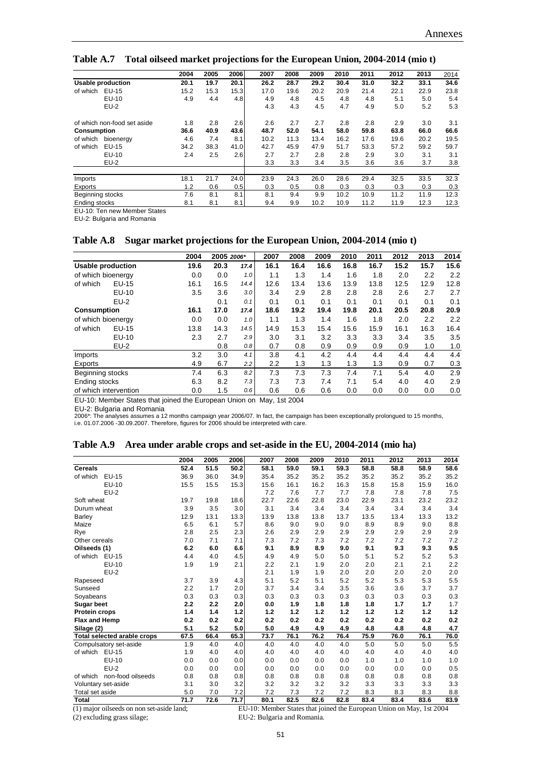|                             | 2004 | 2005 | 2006 | 2007 | 2008 | 2009 | 2010 | 2011 | 2012 | 2013 | 2014 |
|-----------------------------|------|------|------|------|------|------|------|------|------|------|------|
| <b>Usable production</b>    | 20.1 | 19.7 | 20.1 | 26.2 | 28.7 | 29.2 | 30.4 | 31.0 | 32.2 | 33.1 | 34.6 |
| of which<br>EU-15           | 15.2 | 15.3 | 15.3 | 17.0 | 19.6 | 20.2 | 20.9 | 21.4 | 22.1 | 22.9 | 23.8 |
| EU-10                       | 4.9  | 4.4  | 4.8  | 4.9  | 4.8  | 4.5  | 4.8  | 4.8  | 5.1  | 5.0  | 5.4  |
| $EU-2$                      |      |      |      | 4.3  | 4.3  | 4.5  | 4.7  | 4.9  | 5.0  | 5.2  | 5.3  |
| of which non-food set aside | 1.8  | 2.8  | 2.6  | 2.6  | 2.7  | 2.7  | 2.8  | 2.8  | 2.9  | 3.0  | 3.1  |
| Consumption                 | 36.6 | 40.9 | 43.6 | 48.7 | 52.0 | 54.1 | 58.0 | 59.8 | 63.8 | 66.0 | 66.6 |
| of which<br>bioenerav       | 4.6  | 7.4  | 8.1  | 10.2 | 11.3 | 13.4 | 16.2 | 17.6 | 19.6 | 20.2 | 19.5 |
| of which<br>EU-15           | 34.2 | 38.3 | 41.0 | 42.7 | 45.9 | 47.9 | 51.7 | 53.3 | 57.2 | 59.2 | 59.7 |
| EU-10                       | 2.4  | 2.5  | 2.6  | 2.7  | 2.7  | 2.8  | 2.8  | 2.9  | 3.0  | 3.1  | 3.1  |
| $EU-2$                      |      |      |      | 3.3  | 3.3  | 3.4  | 3.5  | 3.6  | 3.6  | 3.7  | 3.8  |
| Imports                     | 18.1 | 21.7 | 24.0 | 23.9 | 24.3 | 26.0 | 28.6 | 29.4 | 32.5 | 33.5 | 32.3 |
| Exports                     | 1.2  | 0.6  | 0.5  | 0.3  | 0.5  | 0.8  | 0.3  | 0.3  | 0.3  | 0.3  | 0.3  |
| Beginning stocks            | 7.6  | 8.1  | 8.1  | 8.1  | 9.4  | 9.9  | 10.2 | 10.9 | 11.2 | 11.9 | 12.3 |
| Ending stocks               | 8.1  | 8.1  | 8.1  | 9.4  | 9.9  | 10.2 | 10.9 | 11.2 | 11.9 | 12.3 | 12.3 |
|                             |      |      |      |      |      |      |      |      |      |      |      |

**Table A.7 Total oilseed market projections for the European Union, 2004-2014 (mio t)**

EU-10: Ten new Member States

EU-2: Bulgaria and Romania

#### **Table A.8 Sugar market projections for the European Union, 2004-2014 (mio t)**

|                       |        | 2004 | 2005 2006* |      | 2007 | 2008 | 2009 | 2010 | 2011 | 2012 | 2013 | 2014 |
|-----------------------|--------|------|------------|------|------|------|------|------|------|------|------|------|
| Usable production     |        | 19.6 | 20.3       | 17.4 | 16.1 | 16.4 | 16.6 | 16.8 | 16.7 | 15.2 | 15.7 | 15.6 |
| of which bioenergy    |        | 0.0  | 0.0        | 1.0  | 1.1  | 1.3  | 1.4  | 1.6  | 1.8  | 2.0  | 2.2  | 2.2  |
| of which              | EU-15  | 16.1 | 16.5       | 14.4 | 12.6 | 13.4 | 13.6 | 13.9 | 13.8 | 12.5 | 12.9 | 12.8 |
|                       | EU-10  | 3.5  | 3.6        | 3.0  | 3.4  | 2.9  | 2.8  | 2.8  | 2.8  | 2.6  | 2.7  | 2.7  |
|                       | $EU-2$ |      | 0.1        | 0.1  | 0.1  | 0.1  | 0.1  | 0.1  | 0.1  | 0.1  | 0.1  | 0.1  |
| Consumption           |        | 16.1 | 17.0       | 17.4 | 18.6 | 19.2 | 19.4 | 19.8 | 20.1 | 20.5 | 20.8 | 20.9 |
| of which bioenergy    |        | 0.0  | 0.0        | 1.0  | 1.1  | 1.3  | 1.4  | 1.6  | 1.8  | 2.0  | 2.2  | 2.2  |
| of which              | EU-15  | 13.8 | 14.3       | 14.5 | 14.9 | 15.3 | 15.4 | 15.6 | 15.9 | 16.1 | 16.3 | 16.4 |
|                       | EU-10  | 2.3  | 2.7        | 2.9  | 3.0  | 3.1  | 3.2  | 3.3  | 3.3  | 3.4  | 3.5  | 3.5  |
|                       | $EU-2$ |      | 0.8        | 0.8  | 0.7  | 0.8  | 0.9  | 0.9  | 0.9  | 0.9  | 1.0  | 1.0  |
| Imports               |        | 3.2  | 3.0        | 4.1  | 3.8  | 4.1  | 4.2  | 4.4  | 4.4  | 4.4  | 4.4  | 4.4  |
| Exports               |        | 4.9  | 6.7        | 2.2  | 2.2  | 1.3  | 1.3  | 1.3  | 1.3  | 0.9  | 0.7  | 0.3  |
| Beginning stocks      |        | 7.4  | 6.3        | 8.2  | 7.3  | 7.3  | 7.3  | 7.4  | 7.1  | 5.4  | 4.0  | 2.9  |
| Ending stocks         |        | 6.3  | 8.2        | 7.3  | 7.3  | 7.3  | 7.4  | 7.1  | 5.4  | 4.0  | 4.0  | 2.9  |
| of which intervention |        | 0.0  | 1.5        | 0.6  | 0.6  | 0.6  | 0.6  | 0.0  | 0.0  | 0.0  | 0.0  | 0.0  |

EU-10: Member States that joined the European Union on May, 1st 2004

EU-2: Bulgaria and Romania 2006\*: The analyses assumes a 12 months campaign year 2006/07. In fact, the campaign has been exceptionally prolongued to 15 months,

| i.e. 01.07.2006 -30.09.2007. Therefore, figures for 2006 should be interpreted with care. |  |  |  |
|-------------------------------------------------------------------------------------------|--|--|--|
|-------------------------------------------------------------------------------------------|--|--|--|

| Table A.9 Area under arable crops and set-aside in the EU, 2004-2014 (mio ha) |  |  |  |  |  |  |  |
|-------------------------------------------------------------------------------|--|--|--|--|--|--|--|
|-------------------------------------------------------------------------------|--|--|--|--|--|--|--|

|                                    | 2004 | 2005 | 2006 | 2007 | 2008 | 2009 | 2010 | 2011 | 2012 | 2013 | 2014 |
|------------------------------------|------|------|------|------|------|------|------|------|------|------|------|
| <b>Cereals</b>                     | 52.4 | 51.5 | 50.2 | 58.1 | 59.0 | 59.1 | 59.3 | 58.8 | 58.8 | 58.9 | 58.6 |
| of which<br>EU-15                  | 36.9 | 36.0 | 34.9 | 35.4 | 35.2 | 35.2 | 35.2 | 35.2 | 35.2 | 35.2 | 35.2 |
| EU-10                              | 15.5 | 15.5 | 15.3 | 15.6 | 16.1 | 16.2 | 16.3 | 15.8 | 15.8 | 15.9 | 16.0 |
| $EU-2$                             |      |      |      | 7.2  | 7.6  | 7.7  | 7.7  | 7.8  | 7.8  | 7.8  | 7.5  |
| Soft wheat                         | 19.7 | 19.8 | 18.6 | 22.7 | 22.6 | 22.8 | 23.0 | 22.9 | 23.1 | 23.2 | 23.2 |
| Durum wheat                        | 3.9  | 3.5  | 3.0  | 3.1  | 3.4  | 3.4  | 3.4  | 3.4  | 3.4  | 3.4  | 3.4  |
| Barley                             | 12.9 | 13.1 | 13.3 | 13.9 | 13.8 | 13.8 | 13.7 | 13.5 | 13.4 | 13.3 | 13.2 |
| Maize                              | 6.5  | 6.1  | 5.7  | 8.6  | 9.0  | 9.0  | 9.0  | 8.9  | 8.9  | 9.0  | 8.8  |
| Rye                                | 2.8  | 2.5  | 2.3  | 2.6  | 2.9  | 2.9  | 2.9  | 2.9  | 2.9  | 2.9  | 2.9  |
| Other cereals                      | 7.0  | 7.1  | 7.1  | 7.3  | 7.2  | 7.3  | 7.2  | 7.2  | 7.2  | 7.2  | 7.2  |
| Oilseeds (1)                       | 6.2  | 6.0  | 6.6  | 9.1  | 8.9  | 8.9  | 9.0  | 9.1  | 9.3  | 9.3  | 9.5  |
| of which EU-15                     | 4.4  | 4.0  | 4.5  | 4.9  | 4.9  | 5.0  | 5.0  | 5.1  | 5.2  | 5.2  | 5.3  |
| EU-10                              | 1.9  | 1.9  | 2.1  | 2.2  | 2.1  | 1.9  | 2.0  | 2.0  | 2.1  | 2.1  | 2.2  |
| $EU-2$                             |      |      |      | 2.1  | 1.9  | 1.9  | 2.0  | 2.0  | 2.0  | 2.0  | 2.0  |
| Rapeseed                           | 3.7  | 3.9  | 4.3  | 5.1  | 5.2  | 5.1  | 5.2  | 5.2  | 5.3  | 5.3  | 5.5  |
| Sunseed                            | 2.2  | 1.7  | 2.0  | 3.7  | 3.4  | 3.4  | 3.5  | 3.6  | 3.6  | 3.7  | 3.7  |
| Soyabeans                          | 0.3  | 0.3  | 0.3  | 0.3  | 0.3  | 0.3  | 0.3  | 0.3  | 0.3  | 0.3  | 0.3  |
| Sugar beet                         | 2.2  | 2.2  | 2.0  | 0.0  | 1.9  | 1.8  | 1.8  | 1.8  | 1.7  | 1.7  | 1.7  |
| Protein crops                      | 1.4  | 1.4  | 1.2  | 1.2  | 1.2  | 1.2  | 1.2  | 1.2  | 1.2  | 1.2  | 1.2  |
| Flax and Hemp                      | 0.2  | 0.2  | 0.2  | 0.2  | 0.2  | 0.2  | 0.2  | 0.2  | 0.2  | 0.2  | 0.2  |
| Silage (2)                         | 5.1  | 5.2  | 5.0  | 5.0  | 4.9  | 4.9  | 4.9  | 4.8  | 4.8  | 4.8  | 4.7  |
| <b>Total selected arable crops</b> | 67.5 | 66.4 | 65.3 | 73.7 | 76.1 | 76.2 | 76.4 | 75.9 | 76.0 | 76.1 | 76.0 |
| Compulsatory set-aside             | 1.9  | 4.0  | 4.0  | 4.0  | 4.0  | 4.0  | 4.0  | 5.0  | 5.0  | 5.0  | 5.5  |
| of which EU-15                     | 1.9  | 4.0  | 4.0  | 4.0  | 4.0  | 4.0  | 4.0  | 4.0  | 4.0  | 4.0  | 4.0  |
| EU-10                              | 0.0  | 0.0  | 0.0  | 0.0  | 0.0  | 0.0  | 0.0  | 1.0  | 1.0  | 1.0  | 1.0  |
| $EU-2$                             | 0.0  | 0.0  | 0.0  | 0.0  | 0.0  | 0.0  | 0.0  | 0.0  | 0.0  | 0.0  | 0.5  |
| non-food oilseeds<br>of which      | 0.8  | 0.8  | 0.8  | 0.8  | 0.8  | 0.8  | 0.8  | 0.8  | 0.8  | 0.8  | 0.8  |
| Voluntary set-aside                | 3.1  | 3.0  | 3.2  | 3.2  | 3.2  | 3.2  | 3.2  | 3.3  | 3.3  | 3.3  | 3.3  |
| Total set aside                    | 5.0  | 7.0  | 7.2  | 7.2  | 7.3  | 7.2  | 7.2  | 8.3  | 8.3  | 8.3  | 8.8  |
| <b>Total</b>                       | 71.7 | 72.6 | 71.7 | 80.1 | 82.5 | 82.6 | 82.8 | 83.4 | 83.4 | 83.6 | 83.9 |

(1) major oilseeds on non set-aside land; EU-10: Member States that joined the European Union on May, 1st 2004 (2) excluding grass silage; EU-2: Bulgaria and Romania.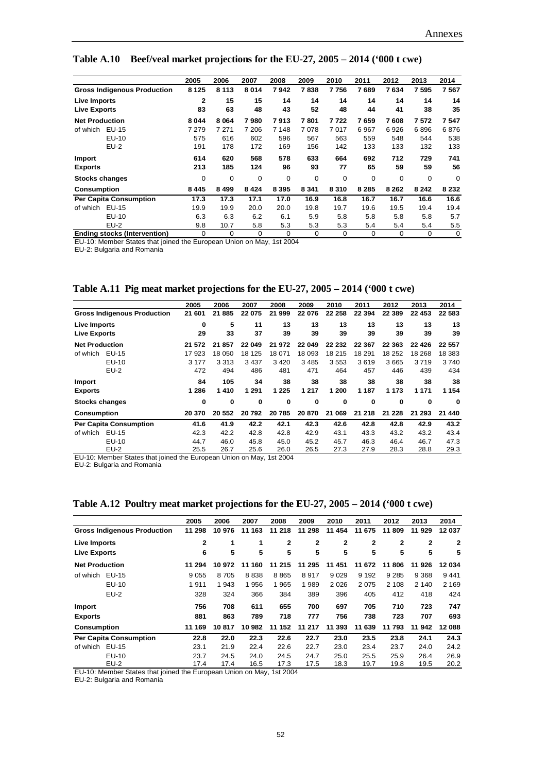|                                     | 2005    | 2006    | 2007    | 2008        | 2009        | 2010        | 2011        | 2012    | 2013    | 2014    |
|-------------------------------------|---------|---------|---------|-------------|-------------|-------------|-------------|---------|---------|---------|
| <b>Gross Indigenous Production</b>  | 8 1 2 5 | 8 1 1 3 | 8014    | 7942        | 7838        | 7756        | 7689        | 7634    | 7 595   | 7567    |
| Live Imports                        | 2       | 15      | 15      | 14          | 14          | 14          | 14          | 14      | 14      | 14      |
| <b>Live Exports</b>                 | 83      | 63      | 48      | 43          | 52          | 48          | 44          | 41      | 38      | 35      |
| <b>Net Production</b>               | 8044    | 8 0 64  | 7980    | 7913        | 7801        | 7722        | 7659        | 7608    | 7572    | 7547    |
| of which<br>EU-15                   | 7279    | 7 271   | 7 206   | 7 1 4 8     | 7078        | 7017        | 6967        | 6926    | 6896    | 6876    |
| EU-10                               | 575     | 616     | 602     | 596         | 567         | 563         | 559         | 548     | 544     | 538     |
| $EU-2$                              | 191     | 178     | 172     | 169         | 156         | 142         | 133         | 133     | 132     | 133     |
| Import                              | 614     | 620     | 568     | 578         | 633         | 664         | 692         | 712     | 729     | 741     |
| <b>Exports</b>                      | 213     | 185     | 124     | 96          | 93          | 77          | 65          | 59      | 59      | 56      |
| <b>Stocks changes</b>               | 0       | 0       | 0       | $\mathbf 0$ | $\mathbf 0$ | $\mathbf 0$ | $\mathbf 0$ | 0       | 0       | 0       |
| <b>Consumption</b>                  | 8445    | 8 4 9 9 | 8 4 2 4 | 8 3 9 5     | 8 3 4 1     | 8310        | 8 2 8 5     | 8 2 6 2 | 8 2 4 2 | 8 2 3 2 |
| <b>Per Capita Consumption</b>       | 17.3    | 17.3    | 17.1    | 17.0        | 16.9        | 16.8        | 16.7        | 16.7    | 16.6    | 16.6    |
| EU-15<br>of which                   | 19.9    | 19.9    | 20.0    | 20.0        | 19.8        | 19.7        | 19.6        | 19.5    | 19.4    | 19.4    |
| EU-10                               | 6.3     | 6.3     | 6.2     | 6.1         | 5.9         | 5.8         | 5.8         | 5.8     | 5.8     | 5.7     |
| $EU-2$                              | 9.8     | 10.7    | 5.8     | 5.3         | 5.3         | 5.3         | 5.4         | 5.4     | 5.4     | 5.5     |
| <b>Ending stocks (Intervention)</b> | 0       | 0       | 0       | 0           | 0           | 0           | 0           | 0       | 0       | 0       |

**Table A.10 Beef/veal market projections for the EU-27, 2005 – 2014 ('000 t cwe)**

EU-10: Member States that joined the European Union on May, 1st 2004

EU-2: Bulgaria and Romania

**Table A.11 Pig meat market projections for the EU-27, 2005 – 2014 ('000 t cwe)**

|                       |                                    | 2005    | 2006      | 2007    | 2008     | 2009     | 2010   | 2011     | 2012      | 2013      | 2014      |
|-----------------------|------------------------------------|---------|-----------|---------|----------|----------|--------|----------|-----------|-----------|-----------|
|                       | <b>Gross Indigenous Production</b> | 21 601  | 21885     | 22 075  | 21 999   | 22 076   | 22 258 | 22 3 94  | 22 389    | 22 453    | 22 583    |
| Live Imports          |                                    | 0       | 5         | 11      | 13       | 13       | 13     | 13       | 13        | 13        | 13        |
| <b>Live Exports</b>   |                                    | 29      | 33        | 37      | 39       | 39       | 39     | 39       | 39        | 39        | 39        |
| <b>Net Production</b> |                                    | 21 572  | 21 857    | 22 049  | 21 972   | 22 049   | 22 232 | 22 367   | 22 363    | 22 4 26   | 22 557    |
| of which              | EU-15                              | 17923   | 18 050    | 18 125  | 18 071   | 18 093   | 18 215 | 18 291   | 18 252    | 18 268    | 18 3 8 3  |
|                       | EU-10                              | 3 1 7 7 | 3 3 1 3   | 3 4 3 7 | 3 4 2 0  | 3 4 8 5  | 3553   | 3619     | 3665      | 3719      | 3740      |
|                       | $EU-2$                             | 472     | 494       | 486     | 481      | 471      | 464    | 457      | 446       | 439       | 434       |
| <b>Import</b>         |                                    | 84      | 105       | 34      | 38       | 38       | 38     | 38       | 38        | 38        | 38        |
| <b>Exports</b>        |                                    | 1 2 8 6 | 1410      | 1 2 9 1 | 1 2 2 5  | 1 2 1 7  | 1 200  | 1 187    | 1 1 7 3   | 1 1 7 1   | 1 1 5 4   |
| Stocks changes        |                                    | 0       | 0         | 0       | $\bf{0}$ | $\bf{0}$ | 0      | $\bf{0}$ | 0         | $\bf{0}$  | 0         |
| <b>Consumption</b>    |                                    | 20 370  | 20 552    | 20792   | 20785    | 20 870   | 21 069 | 21 218   | 228<br>21 | 293<br>21 | 440<br>21 |
|                       | <b>Per Capita Consumption</b>      | 41.6    | 41.9      | 42.2    | 42.1     | 42.3     | 42.6   | 42.8     | 42.8      | 42.9      | 43.2      |
| of which              | EU-15                              | 42.3    | 42.2      | 42.8    | 42.8     | 42.9     | 43.1   | 43.3     | 43.2      | 43.2      | 43.4      |
|                       | EU-10                              | 44.7    | 46.0      | 45.8    | 45.0     | 45.2     | 45.7   | 46.3     | 46.4      | 46.7      | 47.3      |
| _ _                   | $EU-2$<br>.                        | 25.5    | 26.7<br>. | 25.6    | 26.0     | 26.5     | 27.3   | 27.9     | 28.3      | 28.8      | 29.3      |

EU-10: Member States that joined the European Union on May, 1st 2004

EU-2: Bulgaria and Romania

|  | Table A.12 Poultry meat market projections for the EU-27, 2005 - 2014 ('000 t cwe) |  |
|--|------------------------------------------------------------------------------------|--|
|  |                                                                                    |  |

|                       |                                    | 2005    | 2006   | 2007   | 2008         | 2009      | 2010           | 2011    | 2012         | 2013         | 2014    |
|-----------------------|------------------------------------|---------|--------|--------|--------------|-----------|----------------|---------|--------------|--------------|---------|
|                       | <b>Gross Indigenous Production</b> | 11 298  | 10 976 | 11 163 | 11 218       | 11 298    | 11 454         | 11 675  | 11 809       | 11 929       | 12037   |
| Live Imports          |                                    | 2       | 1      | 1      | $\mathbf{2}$ | 2         | $\overline{2}$ | 2       | $\mathbf{2}$ | $\mathbf{2}$ | 2       |
| <b>Live Exports</b>   |                                    | 6       | 5      | 5      | 5            | 5         | 5              | 5       | 5            | 5            | 5       |
| <b>Net Production</b> |                                    | 11 294  | 10 972 | 11 160 | 11 215       | 295<br>11 | 11 451         | 11 672  | 11 806       | 11 926       | 12034   |
| of which              | EU-15                              | 9 0 5 5 | 8 705  | 8838   | 8865         | 8917      | 9 0 2 9        | 9 1 9 2 | 9 2 8 5      | 9 3 6 8      | 9441    |
|                       | EU-10                              | 1911    | 1 943  | 1956   | 1965         | 1989      | 2 0 2 6        | 2075    | 2 1 0 8      | 2 140        | 2 1 6 9 |
|                       | EU-2                               | 328     | 324    | 366    | 384          | 389       | 396            | 405     | 412          | 418          | 424     |
| <b>Import</b>         |                                    | 756     | 708    | 611    | 655          | 700       | 697            | 705     | 710          | 723          | 747     |
| <b>Exports</b>        |                                    | 881     | 863    | 789    | 718          | 777       | 756            | 738     | 723          | 707          | 693     |
| <b>Consumption</b>    |                                    | 11 169  | 10817  | 10 982 | 152<br>11    | 217<br>11 | 393<br>11      | 11 639  | 793<br>11    | 942<br>11    | 12088   |
|                       | <b>Per Capita Consumption</b>      | 22.8    | 22.0   | 22.3   | 22.6         | 22.7      | 23.0           | 23.5    | 23.8         | 24.1         | 24.3    |
| of which              | EU-15                              | 23.1    | 21.9   | 22.4   | 22.6         | 22.7      | 23.0           | 23.4    | 23.7         | 24.0         | 24.2    |
|                       | EU-10                              | 23.7    | 24.5   | 24.0   | 24.5         | 24.7      | 25.0           | 25.5    | 25.9         | 26.4         | 26.9    |
|                       | EU-2                               | 17.4    | 17.4   | 16.5   | 17.3         | 17.5      | 18.3           | 19.7    | 19.8         | 19.5         | 20.2    |

EU-10: Member States that joined the European Union on May, 1st 2004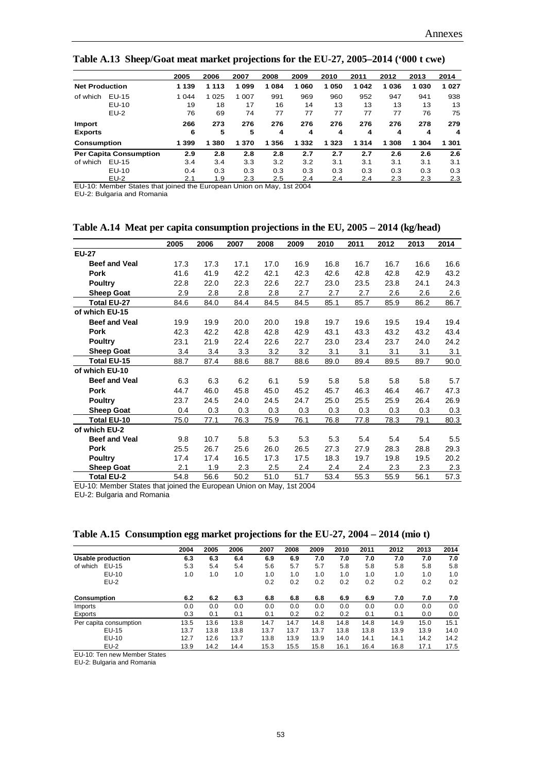**Table A.13 Sheep/Goat meat market projections for the EU-27, 2005–2014 ('000 t cwe)**

|                       |                               | 2005    | 2006    | 2007  | 2008    | 2009    | 2010    | 2011 | 2012  | 2013    | 2014  |
|-----------------------|-------------------------------|---------|---------|-------|---------|---------|---------|------|-------|---------|-------|
| <b>Net Production</b> |                               | 1 1 3 9 | 1 1 1 3 | 1099  | 1084    | 1 060   | 1 050   | 1042 | 1036  | 1 0 3 0 | 1027  |
| of which              | EU-15                         | 1 0 4 4 | 1 0 2 5 | 1 007 | 991     | 969     | 960     | 952  | 947   | 941     | 938   |
|                       | $EU-10$                       | 19      | 18      | 17    | 16      | 14      | 13      | 13   | 13    | 13      | 13    |
|                       | $EU-2$                        | 76      | 69      | 74    | 77      | 77      | 77      | 77   | 77    | 76      | 75    |
| Import                |                               | 266     | 273     | 276   | 276     | 276     | 276     | 276  | 276   | 278     | 279   |
| <b>Exports</b>        |                               | 6       | 5       | 5     | 4       | 4       | 4       | 4    | 4     | 4       | 4     |
| <b>Consumption</b>    |                               | 1 3 9 9 | 1 3 8 0 | 1 370 | 1 3 5 6 | 1 3 3 2 | 1 3 2 3 | 1314 | 1 308 | 1 3 0 4 | 1 301 |
|                       | <b>Per Capita Consumption</b> | 2.9     | 2.8     | 2.8   | 2.8     | 2.7     | 2.7     | 2.7  | 2.6   | 2.6     | 2.6   |
| of which              | EU-15                         | 3.4     | 3.4     | 3.3   | 3.2     | 3.2     | 3.1     | 3.1  | 3.1   | 3.1     | 3.1   |
|                       | $EU-10$                       | 0.4     | 0.3     | 0.3   | 0.3     | 0.3     | 0.3     | 0.3  | 0.3   | 0.3     | 0.3   |
|                       | $EU-2$                        | 2.1     | 1.9     | 2.3   | 2.5     | 2.4     | 2.4     | 2.4  | 2.3   | 2.3     | 2.3   |

EU-10: Member States that joined the European Union on May, 1st 2004

EU-2: Bulgaria and Romania

|                      | 2005 | 2006 | 2007 | 2008 | 2009 | 2010 | 2011 | 2012 | 2013 | 2014 |
|----------------------|------|------|------|------|------|------|------|------|------|------|
| <b>EU-27</b>         |      |      |      |      |      |      |      |      |      |      |
| <b>Beef and Veal</b> | 17.3 | 17.3 | 17.1 | 17.0 | 16.9 | 16.8 | 16.7 | 16.7 | 16.6 | 16.6 |
| <b>Pork</b>          | 41.6 | 41.9 | 42.2 | 42.1 | 42.3 | 42.6 | 42.8 | 42.8 | 42.9 | 43.2 |
| <b>Poultry</b>       | 22.8 | 22.0 | 22.3 | 22.6 | 22.7 | 23.0 | 23.5 | 23.8 | 24.1 | 24.3 |
| <b>Sheep Goat</b>    | 2.9  | 2.8  | 2.8  | 2.8  | 2.7  | 2.7  | 2.7  | 2.6  | 2.6  | 2.6  |
| Total EU-27          | 84.6 | 84.0 | 84.4 | 84.5 | 84.5 | 85.1 | 85.7 | 85.9 | 86.2 | 86.7 |
| of which EU-15       |      |      |      |      |      |      |      |      |      |      |
| <b>Beef and Veal</b> | 19.9 | 19.9 | 20.0 | 20.0 | 19.8 | 19.7 | 19.6 | 19.5 | 19.4 | 19.4 |
| <b>Pork</b>          | 42.3 | 42.2 | 42.8 | 42.8 | 42.9 | 43.1 | 43.3 | 43.2 | 43.2 | 43.4 |
| <b>Poultry</b>       | 23.1 | 21.9 | 22.4 | 22.6 | 22.7 | 23.0 | 23.4 | 23.7 | 24.0 | 24.2 |
| <b>Sheep Goat</b>    | 3.4  | 3.4  | 3.3  | 3.2  | 3.2  | 3.1  | 3.1  | 3.1  | 3.1  | 3.1  |
| Total EU-15          | 88.7 | 87.4 | 88.6 | 88.7 | 88.6 | 89.0 | 89.4 | 89.5 | 89.7 | 90.0 |
| of which EU-10       |      |      |      |      |      |      |      |      |      |      |
| <b>Beef and Veal</b> | 6.3  | 6.3  | 6.2  | 6.1  | 5.9  | 5.8  | 5.8  | 5.8  | 5.8  | 5.7  |
| <b>Pork</b>          | 44.7 | 46.0 | 45.8 | 45.0 | 45.2 | 45.7 | 46.3 | 46.4 | 46.7 | 47.3 |
| <b>Poultry</b>       | 23.7 | 24.5 | 24.0 | 24.5 | 24.7 | 25.0 | 25.5 | 25.9 | 26.4 | 26.9 |
| <b>Sheep Goat</b>    | 0.4  | 0.3  | 0.3  | 0.3  | 0.3  | 0.3  | 0.3  | 0.3  | 0.3  | 0.3  |
| Total EU-10          | 75.0 | 77.1 | 76.3 | 75.9 | 76.1 | 76.8 | 77.8 | 78.3 | 79.1 | 80.3 |
| of which EU-2        |      |      |      |      |      |      |      |      |      |      |
| <b>Beef and Veal</b> | 9.8  | 10.7 | 5.8  | 5.3  | 5.3  | 5.3  | 5.4  | 5.4  | 5.4  | 5.5  |
| <b>Pork</b>          | 25.5 | 26.7 | 25.6 | 26.0 | 26.5 | 27.3 | 27.9 | 28.3 | 28.8 | 29.3 |
| <b>Poultry</b>       | 17.4 | 17.4 | 16.5 | 17.3 | 17.5 | 18.3 | 19.7 | 19.8 | 19.5 | 20.2 |
| <b>Sheep Goat</b>    | 2.1  | 1.9  | 2.3  | 2.5  | 2.4  | 2.4  | 2.4  | 2.3  | 2.3  | 2.3  |
| Total EU-2           | 54.8 | 56.6 | 50.2 | 51.0 | 51.7 | 53.4 | 55.3 | 55.9 | 56.1 | 57.3 |

|  | Table A.14 Meat per capita consumption projections in the EU, 2005 – 2014 (kg/head) |  |  |  |  |  |  |  |
|--|-------------------------------------------------------------------------------------|--|--|--|--|--|--|--|
|--|-------------------------------------------------------------------------------------|--|--|--|--|--|--|--|

EU-10: Member States that joined the European Union on May, 1st 2004

EU-2: Bulgaria and Romania

**Table A.15 Consumption egg market projections for the EU-27, 2004 – 2014 (mio t)**

|                          | 2004 | 2005 | 2006 | 2007 | 2008 | 2009 | 2010 | 2011 | 2012 | 2013 | 2014 |
|--------------------------|------|------|------|------|------|------|------|------|------|------|------|
| <b>Usable production</b> | 6.3  | 6.3  | 6.4  | 6.9  | 6.9  | 7.0  | 7.0  | 7.0  | 7.0  | 7.0  | 7.0  |
| of which<br>EU-15        | 5.3  | 5.4  | 5.4  | 5.6  | 5.7  | 5.7  | 5.8  | 5.8  | 5.8  | 5.8  | 5.8  |
| EU-10                    | 1.0  | 1.0  | 1.0  | 1.0  | 1.0  | 1.0  | 1.0  | 1.0  | 1.0  | 1.0  | 1.0  |
| $EU-2$                   |      |      |      | 0.2  | 0.2  | 0.2  | 0.2  | 0.2  | 0.2  | 0.2  | 0.2  |
| <b>Consumption</b>       | 6.2  | 6.2  | 6.3  | 6.8  | 6.8  | 6.8  | 6.9  | 6.9  | 7.0  | 7.0  | 7.0  |
| Imports                  | 0.0  | 0.0  | 0.0  | 0.0  | 0.0  | 0.0  | 0.0  | 0.0  | 0.0  | 0.0  | 0.0  |
| Exports                  | 0.3  | 0.1  | 0.1  | 0.1  | 0.2  | 0.2  | 0.2  | 0.1  | 0.1  | 0.0  | 0.0  |
| Per capita consumption   | 13.5 | 13.6 | 13.8 | 14.7 | 14.7 | 14.8 | 14.8 | 14.8 | 14.9 | 15.0 | 15.1 |
| EU-15                    | 13.7 | 13.8 | 13.8 | 13.7 | 13.7 | 13.7 | 13.8 | 13.8 | 13.9 | 13.9 | 14.0 |
| EU-10                    | 12.7 | 12.6 | 13.7 | 13.8 | 13.9 | 13.9 | 14.0 | 14.1 | 14.1 | 14.2 | 14.2 |
| $EU-2$                   | 13.9 | 14.2 | 14.4 | 15.3 | 15.5 | 15.8 | 16.1 | 16.4 | 16.8 | 17.1 | 17.5 |

EU-10: Ten new Member States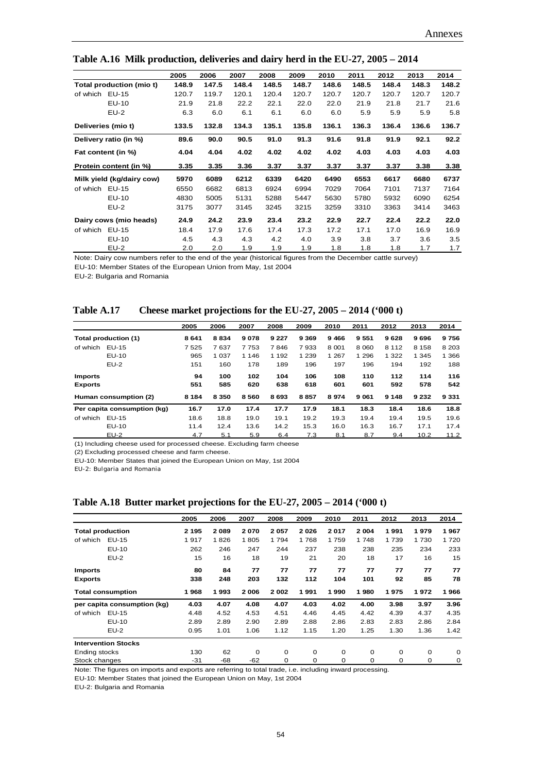|                           | 2005  | 2006  | 2007  | 2008  | 2009  | 2010  | 2011  | 2012  | 2013  | 2014  |
|---------------------------|-------|-------|-------|-------|-------|-------|-------|-------|-------|-------|
| Total production (mio t)  | 148.9 | 147.5 | 148.4 | 148.5 | 148.7 | 148.6 | 148.5 | 148.4 | 148.3 | 148.2 |
| EU-15<br>of which         | 120.7 | 119.7 | 120.1 | 120.4 | 120.7 | 120.7 | 120.7 | 120.7 | 120.7 | 120.7 |
| EU-10                     | 21.9  | 21.8  | 22.2  | 22.1  | 22.0  | 22.0  | 21.9  | 21.8  | 21.7  | 21.6  |
| $EU-2$                    | 6.3   | 6.0   | 6.1   | 6.1   | 6.0   | 6.0   | 5.9   | 5.9   | 5.9   | 5.8   |
| Deliveries (mio t)        | 133.5 | 132.8 | 134.3 | 135.1 | 135.8 | 136.1 | 136.3 | 136.4 | 136.6 | 136.7 |
| Delivery ratio (in %)     | 89.6  | 90.0  | 90.5  | 91.0  | 91.3  | 91.6  | 91.8  | 91.9  | 92.1  | 92.2  |
| Fat content (in %)        | 4.04  | 4.04  | 4.02  | 4.02  | 4.02  | 4.02  | 4.03  | 4.03  | 4.03  | 4.03  |
| Protein content (in %)    | 3.35  | 3.35  | 3.36  | 3.37  | 3.37  | 3.37  | 3.37  | 3.37  | 3.38  | 3.38  |
| Milk yield (kg/dairy cow) | 5970  | 6089  | 6212  | 6339  | 6420  | 6490  | 6553  | 6617  | 6680  | 6737  |
| EU-15<br>of which         | 6550  | 6682  | 6813  | 6924  | 6994  | 7029  | 7064  | 7101  | 7137  | 7164  |
| $EU-10$                   | 4830  | 5005  | 5131  | 5288  | 5447  | 5630  | 5780  | 5932  | 6090  | 6254  |
| $EU-2$                    | 3175  | 3077  | 3145  | 3245  | 3215  | 3259  | 3310  | 3363  | 3414  | 3463  |
| Dairy cows (mio heads)    | 24.9  | 24.2  | 23.9  | 23.4  | 23.2  | 22.9  | 22.7  | 22.4  | 22.2  | 22.0  |
| EU-15<br>of which         | 18.4  | 17.9  | 17.6  | 17.4  | 17.3  | 17.2  | 17.1  | 17.0  | 16.9  | 16.9  |
| $EU-10$                   | 4.5   | 4.3   | 4.3   | 4.2   | 4.0   | 3.9   | 3.8   | 3.7   | 3.6   | 3.5   |
| $EU-2$                    | 2.0   | 2.0   | 1.9   | 1.9   | 1.9   | 1.8   | 1.8   | 1.8   | 1.7   | 1.7   |

**Table A.16 Milk production, deliveries and dairy herd in the EU-27, 2005 – 2014**

Note: Dairy cow numbers refer to the end of the year (historical figures from the December cattle survey)

EU-10: Member States of the European Union from May, 1st 2004

EU-2: Bulgaria and Romania

| <b>Table A.17</b> | Cheese market projections for the EU-27, $2005 - 2014$ ('000 t) |  |
|-------------------|-----------------------------------------------------------------|--|
|                   |                                                                 |  |

|                |                             | 2005    | 2006    | 2007    | 2008    | 2009    | 2010    | 2011    | 2012    | 2013    | 2014    |
|----------------|-----------------------------|---------|---------|---------|---------|---------|---------|---------|---------|---------|---------|
|                | Total production (1)        | 8641    | 8834    | 9078    | 9 2 2 7 | 9 3 6 9 | 9466    | 9551    | 9628    | 9696    | 9756    |
| of which       | EU-15                       | 7525    | 7637    | 7753    | 7846    | 7933    | 8 0 0 1 | 8 0 6 0 | 8 1 1 2 | 8 1 5 8 | 8 2 0 3 |
|                | EU-10                       | 965     | 1 0 3 7 | 1 1 4 6 | 1 1 9 2 | 1 2 3 9 | 1 2 6 7 | 1 2 9 6 | 1 3 2 2 | 1 3 4 5 | 1 3 6 6 |
|                | $EU-2$                      | 151     | 160     | 178     | 189     | 196     | 197     | 196     | 194     | 192     | 188     |
| <b>Imports</b> |                             | 94      | 100     | 102     | 104     | 106     | 108     | 110     | 112     | 114     | 116     |
| <b>Exports</b> |                             | 551     | 585     | 620     | 638     | 618     | 601     | 601     | 592     | 578     | 542     |
|                | Human consumption (2)       | 8 1 8 4 | 8 3 5 0 | 8560    | 8693    | 8857    | 8974    | 9 0 61  | 9 1 4 8 | 9 2 3 2 | 9 3 3 1 |
|                | Per capita consumption (kg) | 16.7    | 17.0    | 17.4    | 17.7    | 17.9    | 18.1    | 18.3    | 18.4    | 18.6    | 18.8    |
| of which       | EU-15                       | 18.6    | 18.8    | 19.0    | 19.1    | 19.2    | 19.3    | 19.4    | 19.4    | 19.5    | 19.6    |
|                | EU-10                       | 11.4    | 12.4    | 13.6    | 14.2    | 15.3    | 16.0    | 16.3    | 16.7    | 17.1    | 17.4    |
|                | $EU-2$                      | 4.7     | 5.1     | 5.9     | 6.4     | 7.3     | 8.1     | 8.7     | 9.4     | 10.2    | 11.2    |

(1) Including cheese used for processed cheese. Excluding farm cheese

(2) Excluding processed cheese and farm cheese.

EU-10: Member States that joined the European Union on May, 1st 2004

EU-2: Bulgaria and Romania

| Table A.18 Butter market projections for the EU-27, 2005 – 2014 ('000 t) |  |  |  |  |  |
|--------------------------------------------------------------------------|--|--|--|--|--|
|                                                                          |  |  |  |  |  |

|                         |                             | 2005    | 2006 | 2007     | 2008     | 2009        | 2010 | 2011     | 2012     | 2013 | 2014     |
|-------------------------|-----------------------------|---------|------|----------|----------|-------------|------|----------|----------|------|----------|
| <b>Total production</b> |                             | 2 1 9 5 | 2089 | 2070     | 2057     | 2026        | 2017 | 2 0 0 4  | 1991     | 1979 | 1967     |
| of which                | EU-15                       | 1917    | 1826 | 1805     | 1794     | 1768        | 1759 | 1 748    | 1739     | 1730 | 1720     |
|                         | EU-10                       | 262     | 246  | 247      | 244      | 237         | 238  | 238      | 235      | 234  | 233      |
|                         | $EU-2$                      | 15      | 16   | 18       | 19       | 21          | 20   | 18       | 17       | 16   | 15       |
| <b>Imports</b>          |                             | 80      | 84   | 77       | 77       | 77          | 77   | 77       | 77       | 77   | 77       |
| <b>Exports</b>          |                             | 338     | 248  | 203      | 132      | 112         | 104  | 101      | 92       | 85   | 78       |
|                         | <b>Total consumption</b>    | 1968    | 1993 | 2006     | 2002     | 1991        | 1990 | 1980     | 1975     | 1972 | 966<br>1 |
|                         | per capita consumption (kg) | 4.03    | 4.07 | 4.08     | 4.07     | 4.03        | 4.02 | 4.00     | 3.98     | 3.97 | 3.96     |
| of which                | EU-15                       | 4.48    | 4.52 | 4.53     | 4.51     | 4.46        | 4.45 | 4.42     | 4.39     | 4.37 | 4.35     |
|                         | EU-10                       | 2.89    | 2.89 | 2.90     | 2.89     | 2.88        | 2.86 | 2.83     | 2.83     | 2.86 | 2.84     |
|                         | $EU-2$                      | 0.95    | 1.01 | 1.06     | 1.12     | 1.15        | 1.20 | 1.25     | 1.30     | 1.36 | 1.42     |
|                         | <b>Intervention Stocks</b>  |         |      |          |          |             |      |          |          |      |          |
| Ending stocks           |                             | 130     | 62   | $\Omega$ | $\Omega$ | $\mathbf 0$ | 0    | $\Omega$ | $\Omega$ | 0    | 0        |
| Stock changes           |                             | $-31$   | -68  | $-62$    | 0        | $\mathbf 0$ | 0    | 0        | 0        | 0    | 0        |

Note: The figures on imports and exports are referring to total trade, i.e. including inward processing.

EU-10: Member States that joined the European Union on May, 1st 2004